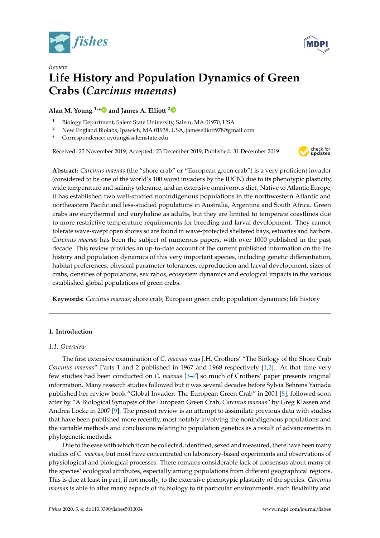



# *Review* **Life History and Population Dynamics of Green Crabs (***Carcinus maenas***)**

# **Alan M. Young 1,[\\*](https://orcid.org/0000-0001-5310-0038) and James A. Elliott [2](https://orcid.org/0000-0002-6502-2265)**

- <sup>1</sup> Biology Department, Salem State University, Salem, MA 01970, USA
- <sup>2</sup> New England Biolabs, Ipswich, MA 01938, USA; jameselliott978@gmail.com
- **\*** Correspondence: ayoung@salemstate.edu

Received: 25 November 2019; Accepted: 23 December 2019; Published: 31 December 2019



**Abstract:** *Carcinus maenas* (the "shore crab" or "European green crab") is a very proficient invader (considered to be one of the world's 100 worst invaders by the IUCN) due to its phenotypic plasticity, wide temperature and salinity tolerance, and an extensive omnivorous diet. Native to Atlantic Europe, it has established two well-studied nonindigenous populations in the northwestern Atlantic and northeastern Pacific and less-studied populations in Australia, Argentina and South Africa. Green crabs are eurythermal and euryhaline as adults, but they are limited to temperate coastlines due to more restrictive temperature requirements for breeding and larval development. They cannot tolerate wave-swept open shores so are found in wave-protected sheltered bays, estuaries and harbors. *Carcinus maenas* has been the subject of numerous papers, with over 1000 published in the past decade. This review provides an up-to-date account of the current published information on the life history and population dynamics of this very important species, including genetic differentiation, habitat preferences, physical parameter tolerances, reproduction and larval development, sizes of crabs, densities of populations, sex ratios, ecosystem dynamics and ecological impacts in the various established global populations of green crabs.

**Keywords:** *Carcinus maenas*; shore crab; European green crab; population dynamics; life history

# **1. Introduction**

# *1.1. Overview*

The first extensive examination of *C. maenas* was J.H. Crothers' "The Biology of the Shore Crab *Carcinus maenas*" Parts 1 and 2 published in 1967 and 1968 respectively [\[1,](#page-26-0)[2\]](#page-26-1). At that time very few studies had been conducted on *C. maenas* [\[3](#page-26-2)[–7\]](#page-26-3) so much of Crothers' paper presents original information. Many research studies followed but it was several decades before Sylvia Behrens Yamada published her review book "Global Invader: The European Green Crab" in 2001 [\[8\]](#page-26-4), followed soon after by "A Biological Synopsis of the European Green Crab, *Carcinus maenas*" by Greg Klassen and Andrea Locke in 2007 [\[9\]](#page-26-5). The present review is an attempt to assimilate previous data with studies that have been published more recently, most notably involving the nonindigenous populations and the variable methods and conclusions relating to population genetics as a result of advancements in phylogenetic methods.

Due to the ease with which it can be collected, identified, sexed and measured, there have been many studies of *C. maenas*, but most have concentrated on laboratory-based experiments and observations of physiological and biological processes. There remains considerable lack of consensus about many of the species' ecological attributes, especially among populations from different geographical regions. This is due at least in part, if not mostly, to the extensive phenotypic plasticity of the species. *Carcinus maenas* is able to alter many aspects of its biology to fit particular environments, such flexibility and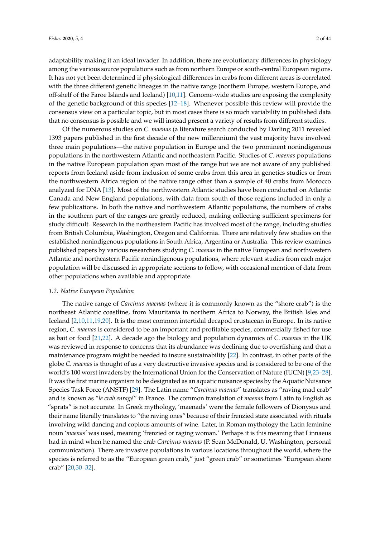adaptability making it an ideal invader. In addition, there are evolutionary differences in physiology among the various source populations such as from northern Europe or south-central European regions. It has not yet been determined if physiological differences in crabs from different areas is correlated with the three different genetic lineages in the native range (northern Europe, western Europe, and off-shelf of the Faroe Islands and Iceland) [\[10](#page-26-6)[,11\]](#page-26-7). Genome-wide studies are exposing the complexity of the genetic background of this species [\[12–](#page-26-8)[18\]](#page-27-0). Whenever possible this review will provide the consensus view on a particular topic, but in most cases there is so much variability in published data that no consensus is possible and we will instead present a variety of results from different studies.

Of the numerous studies on *C. maenas* (a literature search conducted by Darling 2011 revealed 1393 papers published in the first decade of the new millennium) the vast majority have involved three main populations—the native population in Europe and the two prominent nonindigenous populations in the northwestern Atlantic and northeastern Pacific. Studies of *C. maenas* populations in the native European population span most of the range but we are not aware of any published reports from Iceland aside from inclusion of some crabs from this area in genetics studies or from the northwestern Africa region of the native range other than a sample of 40 crabs from Morocco analyzed for DNA [\[13\]](#page-26-9). Most of the northwestern Atlantic studies have been conducted on Atlantic Canada and New England populations, with data from south of those regions included in only a few publications. In both the native and northwestern Atlantic populations, the numbers of crabs in the southern part of the ranges are greatly reduced, making collecting sufficient specimens for study difficult. Research in the northeastern Pacific has involved most of the range, including studies from British Columbia, Washington, Oregon and California. There are relatively few studies on the established nonindigenous populations in South Africa, Argentina or Australia. This review examines published papers by various researchers studying *C. maenas* in the native European and northwestern Atlantic and northeastern Pacific nonindigenous populations, where relevant studies from each major population will be discussed in appropriate sections to follow, with occasional mention of data from other populations when available and appropriate.

# *1.2. Native European Population*

The native range of *Carcinus maenas* (where it is commonly known as the "shore crab") is the northeast Atlantic coastline, from Mauritania in northern Africa to Norway, the British Isles and Iceland [\[2](#page-26-1)[,10,](#page-26-6)[11](#page-26-7)[,19,](#page-27-1)[20\]](#page-27-2). It is the most common intertidal decapod crustacean in Europe. In its native region, *C. maenas* is considered to be an important and profitable species, commercially fished for use as bait or food [\[21](#page-27-3)[,22\]](#page-27-4). A decade ago the biology and population dynamics of *C. maenas* in the UK was reviewed in response to concerns that its abundance was declining due to overfishing and that a maintenance program might be needed to insure sustainability [\[22\]](#page-27-4). In contrast, in other parts of the globe *C. maenas* is thought of as a very destructive invasive species and is considered to be one of the world's 100 worst invaders by the International Union for the Conservation of Nature (IUCN) [\[9,](#page-26-5)[23–](#page-27-5)[28\]](#page-27-6). It was the first marine organism to be designated as an aquatic nuisance species by the Aquatic Nuisance Species Task Force (ANSTF) [\[29\]](#page-27-7). The Latin name "*Carcinus maenas*" translates as "raving mad crab" and is known as "*le crab enragé*" in France. The common translation of *maenas* from Latin to English as "sprats" is not accurate. In Greek mythology, 'maenads' were the female followers of Dionysus and their name literally translates to "the raving ones" because of their frenzied state associated with rituals involving wild dancing and copious amounts of wine. Later, in Roman mythology the Latin feminine noun '*maenas'* was used, meaning 'frenzied or raging woman.' Perhaps it is this meaning that Linnaeus had in mind when he named the crab *Carcinus maenas* (P. Sean McDonald, U. Washington, personal communication). There are invasive populations in various locations throughout the world, where the species is referred to as the "European green crab," just "green crab" or sometimes "European shore crab" [\[20,](#page-27-2)[30–](#page-27-8)[32\]](#page-27-9).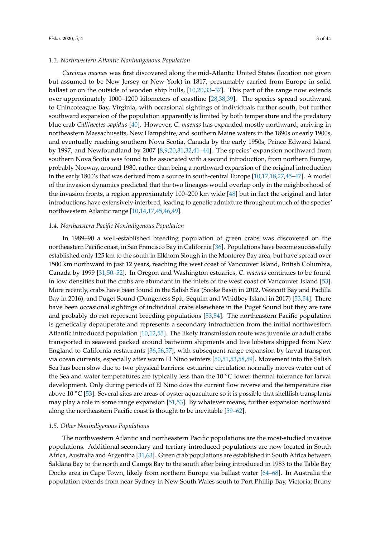### *1.3. Northwestern Atlantic Nonindigenous Population*

*Carcinus maenas* was first discovered along the mid-Atlantic United States (location not given but assumed to be New Jersey or New York) in 1817, presumably carried from Europe in solid ballast or on the outside of wooden ship hulls, [\[10](#page-26-6)[,20](#page-27-2)[,33–](#page-27-10)[37\]](#page-27-11). This part of the range now extends over approximately 1000–1200 kilometers of coastline [\[28](#page-27-6)[,38,](#page-27-12)[39\]](#page-27-13). The species spread southward to Chincoteague Bay, Virginia, with occasional sightings of individuals further south, but further southward expansion of the population apparently is limited by both temperature and the predatory blue crab *Callinectes sapidus* [\[40\]](#page-28-0). However, *C. maenas* has expanded mostly northward, arriving in northeastern Massachusetts, New Hampshire, and southern Maine waters in the 1890s or early 1900s, and eventually reaching southern Nova Scotia, Canada by the early 1950s, Prince Edward Island by 1997, and Newfoundland by 2007 [\[8](#page-26-4)[,9](#page-26-5)[,20](#page-27-2)[,31](#page-27-14)[,32](#page-27-9)[,41–](#page-28-1)[44\]](#page-28-2). The species' expansion northward from southern Nova Scotia was found to be associated with a second introduction, from northern Europe, probably Norway, around 1980, rather than being a northward expansion of the original introduction in the early 1800's that was derived from a source in south-central Europe [\[10](#page-26-6)[,17,](#page-26-10)[18,](#page-27-0)[27,](#page-27-15)[45](#page-28-3)[–47\]](#page-28-4). A model of the invasion dynamics predicted that the two lineages would overlap only in the neighborhood of the invasion fronts, a region approximately 100–200 km wide [\[48\]](#page-28-5) but in fact the original and later introductions have extensively interbred, leading to genetic admixture throughout much of the species' northwestern Atlantic range [\[10](#page-26-6)[,14](#page-26-11)[,17,](#page-26-10)[45,](#page-28-3)[46,](#page-28-6)[49\]](#page-28-7).

# *1.4. Northeastern Pacific Nonindigenous Population*

In 1989–90 a well-established breeding population of green crabs was discovered on the northeastern Pacific coast, in San Francisco Bay in California [\[36\]](#page-27-16). Populations have become successfully established only 125 km to the south in Elkhorn Slough in the Monterey Bay area, but have spread over 1500 km northward in just 12 years, reaching the west coast of Vancouver Island, British Columbia, Canada by 1999 [\[31](#page-27-14)[,50](#page-28-8)[–52\]](#page-28-9). In Oregon and Washington estuaries, *C. maenas* continues to be found in low densities but the crabs are abundant in the inlets of the west coast of Vancouver Island [\[53\]](#page-28-10). More recently, crabs have been found in the Salish Sea (Sooke Basin in 2012, Westcott Bay and Padilla Bay in 2016), and Puget Sound (Dungeness Spit, Sequim and Whidbey Island in 2017) [\[53,](#page-28-10)[54\]](#page-28-11). There have been occasional sightings of individual crabs elsewhere in the Puget Sound but they are rare and probably do not represent breeding populations [\[53,](#page-28-10)[54\]](#page-28-11). The northeastern Pacific population is genetically depauperate and represents a secondary introduction from the initial northwestern Atlantic introduced population [\[10,](#page-26-6)[12,](#page-26-8)[55\]](#page-28-12). The likely transmission route was juvenile or adult crabs transported in seaweed packed around baitworm shipments and live lobsters shipped from New England to California restaurants [\[36,](#page-27-16)[56,](#page-28-13)[57\]](#page-28-14), with subsequent range expansion by larval transport via ocean currents, especially after warm El Nino winters [\[50](#page-28-8)[,51](#page-28-15)[,53](#page-28-10)[,58](#page-28-16)[,59\]](#page-28-17). Movement into the Salish Sea has been slow due to two physical barriers: estuarine circulation normally moves water out of the Sea and water temperatures are typically less than the 10 ◦C lower thermal tolerance for larval development. Only during periods of El Nino does the current flow reverse and the temperature rise above 10 ◦C [\[53\]](#page-28-10). Several sites are areas of oyster aquaculture so it is possible that shellfish transplants may play a role in some range expansion [\[51](#page-28-15)[,53\]](#page-28-10). By whatever means, further expansion northward along the northeastern Pacific coast is thought to be inevitable [\[59–](#page-28-17)[62\]](#page-29-0).

#### *1.5. Other Nonindigenous Populations*

The northwestern Atlantic and northeastern Pacific populations are the most-studied invasive populations. Additional secondary and tertiary introduced populations are now located in South Africa, Australia and Argentina [\[31,](#page-27-14)[63\]](#page-29-1). Green crab populations are established in South Africa between Saldana Bay to the north and Camps Bay to the south after being introduced in 1983 to the Table Bay Docks area in Cape Town, likely from northern Europe via ballast water [\[64](#page-29-2)[–68\]](#page-29-3). In Australia the population extends from near Sydney in New South Wales south to Port Phillip Bay, Victoria; Bruny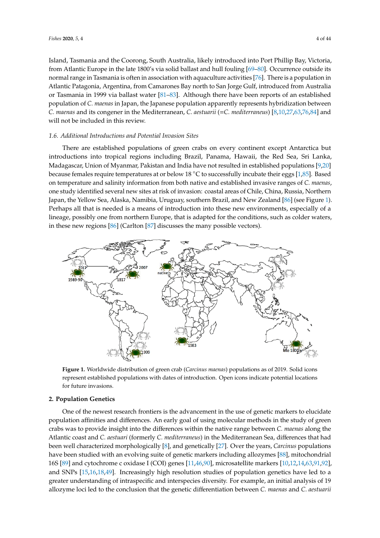Island, Tasmania and the Coorong, South Australia, likely introduced into Port Phillip Bay, Victoria, from Atlantic Europe in the late 1800's via solid ballast and hull fouling [69-[80\]](#page-29-5). Occurrence outside its normal range in Tasmania is often in association with aquaculture activities [\[76\]](#page-29-6). There is a population in Atlantic Patagonia, Argentina, from Camarones Bay north to San Jorge Gulf, introduced from Australia or Tasmania in 1999 via ballast water [\[81–](#page-29-7)[83\]](#page-30-0). Although there have been reports of an established population of *C. maenas* in Japan, the Japanese population apparently represents hybridization between C. maenas and its congener in the Mediterranean, C. aestuarii (=C. mediterraneus) [\[8](#page-26-4)[,10](#page-26-6)[,27](#page-27-15)[,63](#page-29-1)[,76,](#page-29-6)[84\]](#page-30-1) and will not be included in this review.

# *1.6. Additional Introductions and Potential Invasion Sites 1.6. Additional Introductions and Potential Invasion Sites*

There are established populations of green crabs on every continent except Antarctica but There are established populations of green crabs on every continent except Antarctica but introductions into tropical regions including Brazil, Panama, Hawaii, the Red Sea, Sri Lanka, introductions into tropical regions including Brazil, Panama, Hawaii, the Red Sea, Sri Lanka, Madagascar, Union of Myanmar, Pakistan and India have not resulted in established populations [9,20] Madagascar, Union of Myanmar, Pakistan and India have not resulted in established popul[ati](#page-26-5)[on](#page-27-2)s because females require temperatures at or below 18 °C to successfully incubate the[ir](#page-26-0) [egg](#page-30-2)s [1,85]. Based on temperature and salinity information from both native and established invasive ranges of *C. maenas*, one study identified several new sites at risk of invasion: coastal areas of Chile, China, Russia, Northern Japan, the Yellow Sea, Alaska, Namibia, Uruguay, southern Brazil, and Ne[w Ze](#page-30-3)aland [86] ([see](#page-3-0) Figure 1). Perhaps all that is needed is a means of introduction into these new environments, especially of a lineage, possibly one from northern Europe, that is adapted for the conditions, such as colder waters, in these new [regi](#page-30-3)ons [86] ([Carl](#page-30-4)ton [87] discusses the many possible vectors).

<span id="page-3-0"></span>

Figure 1. Worldwide distribution of green crab (Carcinus maenas) populations as of 2019. Solid icons represent established populations with dates of introduction. Open icons indicate potential locations represent established populations with dates of introduction. Open icons indicate potential locations for future invasions. for future invasions.

# **2. Population Genetics 2. Population Genetics**

population affinities and differences. An early goal of using molecular methods in the study of green crabs was to provide insight into the differences within the native range between *C. maenas* along the Atlantic coast and C. aestuari (formerly C. mediterraneus) in the Mediterranean Sea, differences that had been well characterized morphologically [\[8\]](#page-26-4), and genetically [\[27\]](#page-27-15). Over the years, *Carcinus* populations have been studied with an evolving suite of genetic markers including allozymes [\[88\]](#page-30-5), mitochondrial 16S [\[89\]](#page-30-6) and cytochrome c oxidase I (COI) genes [\[11](#page-26-7)[,46](#page-28-6)[,90\]](#page-30-7), microsatellite markers [\[10](#page-26-6)[,12](#page-26-8)[,14](#page-26-11)[,63,](#page-29-1)[91,](#page-30-8)[92\]](#page-30-9), and SNPs  $[15,16,18,49]$  $[15,16,18,49]$  $[15,16,18,49]$  $[15,16,18,49]$ . Increasingly high resolution studies of population genetics have led to a greater understanding of intraspecific and interspecies diversity. For example, an initial analysis of 19 greater understanding of interspective and interspective and interspective and  $\epsilon$  and  $\epsilon$  and  $\epsilon$  and  $\epsilon$  and  $\epsilon$  and  $\epsilon$  and  $\epsilon$  and  $\epsilon$  and  $\epsilon$  and  $\epsilon$  and  $\epsilon$  and  $\epsilon$  and  $\epsilon$  and  $\epsilon$  and  $\epsilon$  and  $\epsilon$  an allozyme loci led to the conclusion that the genetic differentiation between *C. maenas* and *C. aestuarii* One of the newest research frontiers is the advancement in the use of genetic markers to elucidate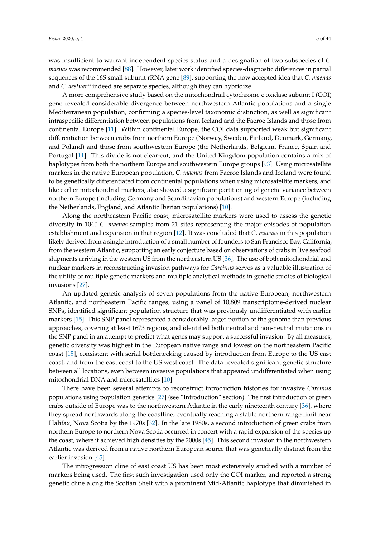was insufficient to warrant independent species status and a designation of two subspecies of *C. maenas* was recommended [\[88\]](#page-30-5). However, later work identified species-diagnostic differences in partial sequences of the 16S small subunit rRNA gene [\[89\]](#page-30-6), supporting the now accepted idea that *C. maenas* and *C. aestuarii* indeed are separate species, although they can hybridize.

A more comprehensive study based on the mitochondrial cytochrome c oxidase subunit I (COI) gene revealed considerable divergence between northwestern Atlantic populations and a single Mediterranean population, confirming a species-level taxonomic distinction, as well as significant intraspecific differentiation between populations from Iceland and the Faeroe Islands and those from continental Europe [\[11\]](#page-26-7). Within continental Europe, the COI data supported weak but significant differentiation between crabs from northern Europe (Norway, Sweden, Finland, Denmark, Germany, and Poland) and those from southwestern Europe (the Netherlands, Belgium, France, Spain and Portugal [\[11\]](#page-26-7). This divide is not clear-cut, and the United Kingdom population contains a mix of haplotypes from both the northern Europe and southwestern Europe groups [\[93\]](#page-30-10). Using microsatellite markers in the native European population, *C. maenas* from Faeroe Islands and Iceland were found to be genetically differentiated from continental populations when using microsatellite markers, and like earlier mitochondrial markers, also showed a significant partitioning of genetic variance between northern Europe (including Germany and Scandinavian populations) and western Europe (including the Netherlands, England, and Atlantic Iberian populations) [\[10\]](#page-26-6).

Along the northeastern Pacific coast, microsatellite markers were used to assess the genetic diversity in 1040 *C. maenas* samples from 21 sites representing the major episodes of population establishment and expansion in that region [\[12\]](#page-26-8). It was concluded that *C. maenas* in this population likely derived from a single introduction of a small number of founders to San Francisco Bay, California, from the western Atlantic, supporting an early conjecture based on observations of crabs in live seafood shipments arriving in the western US from the northeastern US [\[36\]](#page-27-16). The use of both mitochondrial and nuclear markers in reconstructing invasion pathways for *Carcinus* serves as a valuable illustration of the utility of multiple genetic markers and multiple analytical methods in genetic studies of biological invasions [\[27\]](#page-27-15).

An updated genetic analysis of seven populations from the native European, northwestern Atlantic, and northeastern Pacific ranges, using a panel of 10,809 transcriptome-derived nuclear SNPs, identified significant population structure that was previously undifferentiated with earlier markers [\[15\]](#page-26-12). This SNP panel represented a considerably larger portion of the genome than previous approaches, covering at least 1673 regions, and identified both neutral and non-neutral mutations in the SNP panel in an attempt to predict what genes may support a successful invasion. By all measures, genetic diversity was highest in the European native range and lowest on the northeastern Pacific coast [\[15\]](#page-26-12), consistent with serial bottlenecking caused by introduction from Europe to the US east coast, and from the east coast to the US west coast. The data revealed significant genetic structure between all locations, even between invasive populations that appeared undifferentiated when using mitochondrial DNA and microsatellites [\[10\]](#page-26-6).

There have been several attempts to reconstruct introduction histories for invasive *Carcinus* populations using population genetics [\[27\]](#page-27-15) (see "Introduction" section). The first introduction of green crabs outside of Europe was to the northwestern Atlantic in the early nineteenth century [\[36\]](#page-27-16), where they spread northwards along the coastline, eventually reaching a stable northern range limit near Halifax, Nova Scotia by the 1970s [\[32\]](#page-27-9). In the late 1980s, a second introduction of green crabs from northern Europe to northern Nova Scotia occurred in concert with a rapid expansion of the species up the coast, where it achieved high densities by the 2000s [\[45\]](#page-28-3). This second invasion in the northwestern Atlantic was derived from a native northern European source that was genetically distinct from the earlier invasion [\[45\]](#page-28-3).

The introgression cline of east coast US has been most extensively studied with a number of markers being used. The first such investigation used only the COI marker, and reported a strong genetic cline along the Scotian Shelf with a prominent Mid-Atlantic haplotype that diminished in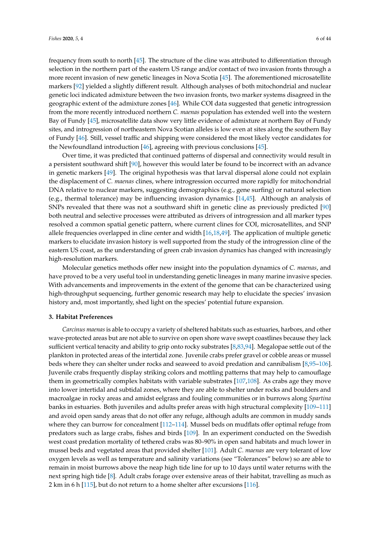frequency from south to north [\[45\]](#page-28-3). The structure of the cline was attributed to differentiation through selection in the northern part of the eastern US range and/or contact of two invasion fronts through a more recent invasion of new genetic lineages in Nova Scotia [\[45\]](#page-28-3). The aforementioned microsatellite markers [\[92\]](#page-30-9) yielded a slightly different result. Although analyses of both mitochondrial and nuclear genetic loci indicated admixture between the two invasion fronts, two marker systems disagreed in the geographic extent of the admixture zones [\[46\]](#page-28-6). While COI data suggested that genetic introgression from the more recently introduced northern *C. maenas* population has extended well into the western Bay of Fundy [\[45\]](#page-28-3), microsatellite data show very little evidence of admixture at northern Bay of Fundy sites, and introgression of northeastern Nova Scotian alleles is low even at sites along the southern Bay of Fundy [\[46\]](#page-28-6). Still, vessel traffic and shipping were considered the most likely vector candidates for the Newfoundland introduction [\[46\]](#page-28-6), agreeing with previous conclusions [\[45\]](#page-28-3).

Over time, it was predicted that continued patterns of dispersal and connectivity would result in a persistent southward shift [\[90\]](#page-30-7), however this would later be found to be incorrect with an advance in genetic markers [\[49\]](#page-28-7). The original hypothesis was that larval dispersal alone could not explain the displacement of *C. maenas* clines, where introgression occurred more rapidly for mitochondrial DNA relative to nuclear markers, suggesting demographics (e.g., gene surfing) or natural selection (e.g., thermal tolerance) may be influencing invasion dynamics [\[14,](#page-26-11)[45\]](#page-28-3). Although an analysis of SNPs revealed that there was not a southward shift in genetic cline as previously predicted [\[90\]](#page-30-7) both neutral and selective processes were attributed as drivers of introgression and all marker types resolved a common spatial genetic pattern, where current clines for COI, microsatellites, and SNP allele frequencies overlapped in cline center and width [\[16,](#page-26-13)[18,](#page-27-0)[49\]](#page-28-7). The application of multiple genetic markers to elucidate invasion history is well supported from the study of the introgression cline of the eastern US coast, as the understanding of green crab invasion dynamics has changed with increasingly high-resolution markers.

Molecular genetics methods offer new insight into the population dynamics of *C. maenas*, and have proved to be a very useful tool in understanding genetic lineages in many marine invasive species. With advancements and improvements in the extent of the genome that can be characterized using high-throughput sequencing, further genomic research may help to elucidate the species' invasion history and, most importantly, shed light on the species' potential future expansion.

# **3. Habitat Preferences**

*Carcinus maenas*is able to occupy a variety of sheltered habitats such as estuaries, harbors, and other wave-protected areas but are not able to survive on open shore wave swept coastlines because they lack sufficient vertical tenacity and ability to grip onto rocky substrates [\[8](#page-26-4)[,83](#page-30-0)[,94\]](#page-30-11). Megalopae settle out of the plankton in protected areas of the intertidal zone. Juvenile crabs prefer gravel or cobble areas or mussel beds where they can shelter under rocks and seaweed to avoid predation and cannibalism [\[8](#page-26-4)[,95–](#page-30-12)[106\]](#page-30-13). Juvenile crabs frequently display striking colors and mottling patterns that may help to camouflage them in geometrically complex habitats with variable substrates [\[107](#page-31-0)[,108\]](#page-31-1). As crabs age they move into lower intertidal and subtidal zones, where they are able to shelter under rocks and boulders and macroalgae in rocky areas and amidst eelgrass and fouling communities or in burrows along *Spartina* banks in estuaries. Both juveniles and adults prefer areas with high structural complexity [\[109](#page-31-2)[–111\]](#page-31-3) and avoid open sandy areas that do not offer any refuge, although adults are common in muddy sands where they can burrow for concealment [\[112](#page-31-4)[–114\]](#page-31-5). Mussel beds on mudflats offer optimal refuge from predators such as large crabs, fishes and birds [\[109\]](#page-31-2). In an experiment conducted on the Swedish west coast predation mortality of tethered crabs was 80–90% in open sand habitats and much lower in mussel beds and vegetated areas that provided shelter [\[101\]](#page-30-14). Adult *C. maenas* are very tolerant of low oxygen levels as well as temperature and salinity variations (see "Tolerances" below) so are able to remain in moist burrows above the neap high tide line for up to 10 days until water returns with the next spring high tide [\[8\]](#page-26-4). Adult crabs forage over extensive areas of their habitat, travelling as much as 2 km in 6 h [\[115\]](#page-31-6), but do not return to a home shelter after excursions [\[116\]](#page-31-7).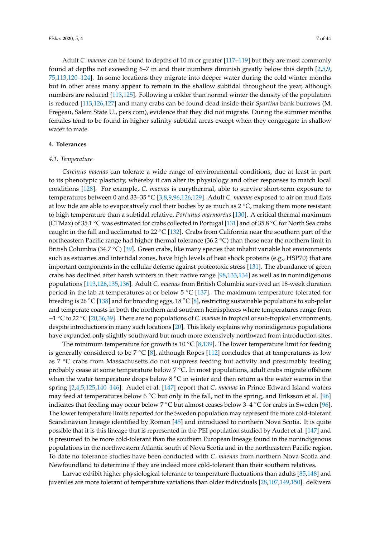Adult *C. maenas* can be found to depths of 10 m or greater [\[117–](#page-31-8)[119\]](#page-31-9) but they are most commonly found at depths not exceeding 6–7 m and their numbers diminish greatly below this depth [\[2](#page-26-1)[,5](#page-26-14)[,9,](#page-26-5) [75](#page-29-8)[,113,](#page-31-10)[120](#page-31-11)[–124\]](#page-31-12). In some locations they migrate into deeper water during the cold winter months but in other areas many appear to remain in the shallow subtidal throughout the year, although numbers are reduced [\[113](#page-31-10)[,125\]](#page-31-13). Following a colder than normal winter the density of the population is reduced [\[113](#page-31-10)[,126](#page-31-14)[,127\]](#page-31-15) and many crabs can be found dead inside their *Spartina* bank burrows (M. Fregeau, Salem State U., pers com), evidence that they did not migrate. During the summer months females tend to be found in higher salinity subtidal areas except when they congregate in shallow water to mate.

#### **4. Tolerances**

#### *4.1. Temperature*

*Carcinus maenas* can tolerate a wide range of environmental conditions, due at least in part to its phenotypic plasticity, whereby it can alter its physiology and other responses to match local conditions [\[128\]](#page-31-16). For example, *C. maenas* is eurythermal, able to survive short-term exposure to temperatures between 0 and 33–35 ◦C [\[3,](#page-26-2)[8,](#page-26-4)[9,](#page-26-5)[96,](#page-30-15)[126,](#page-31-14)[129\]](#page-31-17). Adult *C. maenas* exposed to air on mud flats at low tide are able to evaporatively cool their bodies by as much as  $2 °C$ , making them more resistant to high temperature than a subtidal relative, *Portunus marmoreus* [\[130\]](#page-31-18). A critical thermal maximum (CTMax) of 35.1 ◦C was estimated for crabs collected in Portugal [\[131\]](#page-31-19) and of 35.8 ◦C for North Sea crabs caught in the fall and acclimated to 22 ◦C [\[132\]](#page-32-0). Crabs from California near the southern part of the northeastern Pacific range had higher thermal tolerance (36.2 ◦C) than those near the northern limit in British Columbia (34.7 °C) [\[39\]](#page-27-13). Green crabs, like many species that inhabit variable hot environments such as estuaries and intertidal zones, have high levels of heat shock proteins (e.g., HSP70) that are important components in the cellular defense against proteotoxic stress [\[131\]](#page-31-19). The abundance of green crabs has declined after harsh winters in their native range [\[98](#page-30-16)[,133](#page-32-1)[,134\]](#page-32-2) as well as in nonindigenous populations [\[113,](#page-31-10)[126](#page-31-14)[,135](#page-32-3)[,136\]](#page-32-4). Adult *C. maenas* from British Columbia survived an 18-week duration period in the lab at temperatures at or below 5 °C [\[137\]](#page-32-5). The maximum temperature tolerated for breeding is 26 ◦C [\[138\]](#page-32-6) and for brooding eggs, 18 ◦C [\[8\]](#page-26-4), restricting sustainable populations to sub-polar and temperate coasts in both the northern and southern hemispheres where temperatures range from −1 ◦C to 22 ◦C [\[20,](#page-27-2)[36,](#page-27-16)[39\]](#page-27-13). There are no populations of *C. maenas* in tropical or sub-tropical environments, despite introductions in many such locations [\[20\]](#page-27-2). This likely explains why nonindigenous populations have expanded only slightly southward but much more extensively northward from introduction sites.

The minimum temperature for growth is 10 °C [\[8,](#page-26-4)[139\]](#page-32-7). The lower temperature limit for feeding is generally considered to be  $7 \text{ °C}$  [\[8\]](#page-26-4), although Ropes [\[112\]](#page-31-4) concludes that at temperatures as low as 7 ◦C crabs from Massachusetts do not suppress feeding but activity and presumably feeding probably cease at some temperature below 7 °C. In most populations, adult crabs migrate offshore when the water temperature drops below  $8\degree C$  in winter and then return as the water warms in the spring [\[2](#page-26-1)[,4](#page-26-15)[,5](#page-26-14)[,125](#page-31-13)[,140–](#page-32-8)[146\]](#page-32-9). Audet et al. [\[147\]](#page-32-10) report that *C. maenas* in Prince Edward Island waters may feed at temperatures below 6 °C but only in the fall, not in the spring, and Eriksson et al. [\[96\]](#page-30-15) indicates that feeding may occur below 7 ◦C but almost ceases below 3–4 ◦C for crabs in Sweden [\[96\]](#page-30-15). The lower temperature limits reported for the Sweden population may represent the more cold-tolerant Scandinavian lineage identified by Roman [\[45\]](#page-28-3) and introduced to northern Nova Scotia. It is quite possible that it is this lineage that is represented in the PEI population studied by Audet et al. [\[147\]](#page-32-10) and is presumed to be more cold-tolerant than the southern European lineage found in the nonindigenous populations in the northwestern Atlantic south of Nova Scotia and in the northeastern Pacific region. To date no tolerance studies have been conducted with *C. maenas* from northern Nova Scotia and Newfoundland to determine if they are indeed more cold-tolerant than their southern relatives.

Larvae exhibit higher physiological tolerance to temperature fluctuations than adults [\[85,](#page-30-2)[148\]](#page-32-11) and juveniles are more tolerant of temperature variations than older individuals [\[28](#page-27-6)[,107](#page-31-0)[,149,](#page-32-12)[150\]](#page-32-13). deRivera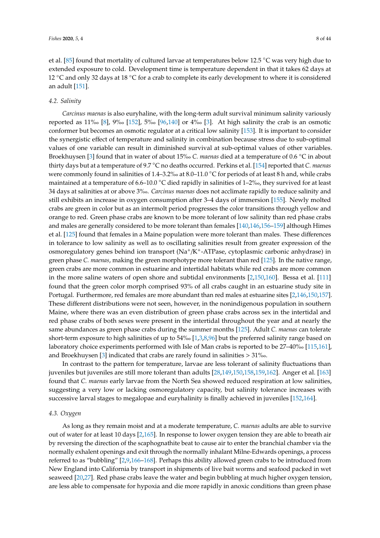et al. [\[85\]](#page-30-2) found that mortality of cultured larvae at temperatures below 12.5 ◦C was very high due to extended exposure to cold. Development time is temperature dependent in that it takes 62 days at 12 ◦C and only 32 days at 18 ◦C for a crab to complete its early development to where it is considered an adult [\[151\]](#page-32-14).

# *4.2. Salinity*

*Carcinus maenas* is also euryhaline, with the long-term adult survival minimum salinity variously reported as  $11\%$  [\[8\]](#page-26-4),  $9\%$  [\[152\]](#page-32-15),  $5\%$  [\[96](#page-30-15)[,140\]](#page-32-8) or  $4\%$  [\[3\]](#page-26-2). At high salinity the crab is an osmotic conformer but becomes an osmotic regulator at a critical low salinity [\[153\]](#page-32-16). It is important to consider the synergistic effect of temperature and salinity in combination because stress due to sub-optimal values of one variable can result in diminished survival at sub-optimal values of other variables. Broekhuysen [\[3\]](#page-26-2) found that in water of about 15% *C. maenas* died at a temperature of 0.6 ◦C in about thirty days but at a temperature of 9.7 ◦C no deaths occurred. Perkins et al. [\[154\]](#page-32-17) reported that *C. maenas* were commonly found in salinities of 1.4–3.2‰ at 8.0–11.0 °C for periods of at least 8 h and, while crabs maintained at a temperature of 6.6–10.0 ◦C died rapidly in salinities of 1–2%, they survived for at least 34 days at salinities at or above 3%. *Carcinus maenas* does not acclimate rapidly to reduce salinity and still exhibits an increase in oxygen consumption after 3–4 days of immersion [\[155\]](#page-32-18). Newly molted crabs are green in color but as an intermolt period progresses the color transitions through yellow and orange to red. Green phase crabs are known to be more tolerant of low salinity than red phase crabs and males are generally considered to be more tolerant than females [\[140,](#page-32-8)[146](#page-32-9)[,156–](#page-33-0)[159\]](#page-33-1) although Himes et al. [\[125\]](#page-31-13) found that females in a Maine population were more tolerant than males. These differences in tolerance to low salinity as well as to oscillating salinities result from greater expression of the osmoregulatory genes behind ion transport (Na<sup>+</sup>/K<sup>+</sup>-ATPase, cytoplasmic carbonic anhydrase) in green phase *C. maenas*, making the green morphotype more tolerant than red [\[125\]](#page-31-13). In the native range, green crabs are more common in estuarine and intertidal habitats while red crabs are more common in the more saline waters of open shore and subtidal environments [\[2](#page-26-1)[,150](#page-32-13)[,160\]](#page-33-2). Bessa et al. [\[111\]](#page-31-3) found that the green color morph comprised 93% of all crabs caught in an estuarine study site in Portugal. Furthermore, red females are more abundant than red males at estuarine sites [\[2,](#page-26-1)[146](#page-32-9)[,150](#page-32-13)[,157\]](#page-33-3). These different distributions were not seen, however, in the nonindigenous population in southern Maine, where there was an even distribution of green phase crabs across sex in the intertidal and red phase crabs of both sexes were present in the intertidal throughout the year and at nearly the same abundances as green phase crabs during the summer months [\[125\]](#page-31-13). Adult *C. maenas* can tolerate short-term exposure to high salinities of up to 54% [\[1,](#page-26-0)[3](#page-26-2)[,8](#page-26-4)[,96\]](#page-30-15) but the preferred salinity range based on laboratory choice experiments performed with Isle of Man crabs is reported to be 27–40% [\[115,](#page-31-6)[161\]](#page-33-4), and Broekhuysen [\[3\]](#page-26-2) indicated that crabs are rarely found in salinities  $> 31$ ‰.

In contrast to the pattern for temperature, larvae are less tolerant of salinity fluctuations than juveniles but juveniles are still more tolerant than adults [\[28,](#page-27-6)[149,](#page-32-12)[150,](#page-32-13)[158,](#page-33-5)[159,](#page-33-1)[162\]](#page-33-6). Anger et al. [\[163\]](#page-33-7) found that *C. maenas* early larvae from the North Sea showed reduced respiration at low salinities, suggesting a very low or lacking osmoregulatory capacity, but salinity tolerance increases with successive larval stages to megalopae and euryhalinity is finally achieved in juveniles [\[152](#page-32-15)[,164\]](#page-33-8).

#### *4.3. Oxygen*

As long as they remain moist and at a moderate temperature, *C. maenas* adults are able to survive out of water for at least 10 days [\[2,](#page-26-1)[165\]](#page-33-9). In response to lower oxygen tension they are able to breath air by reversing the direction of the scaphognathite beat to cause air to enter the branchial chamber via the normally exhalent openings and exit through the normally inhalant Milne-Edwards openings, a process referred to as "bubbling" [\[2,](#page-26-1)[9](#page-26-5)[,166](#page-33-10)[–168\]](#page-33-11). Perhaps this ability allowed green crabs to be introduced from New England into California by transport in shipments of live bait worms and seafood packed in wet seaweed [\[20](#page-27-2)[,27\]](#page-27-15). Red phase crabs leave the water and begin bubbling at much higher oxygen tension, are less able to compensate for hypoxia and die more rapidly in anoxic conditions than green phase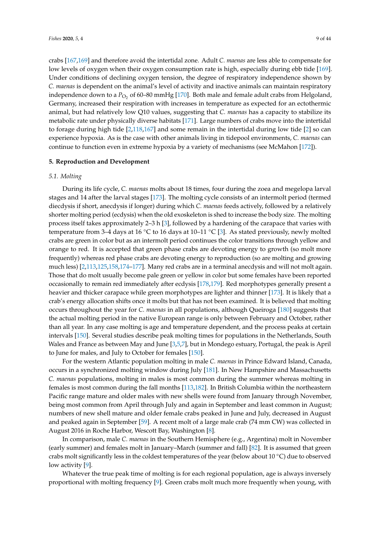crabs [\[167](#page-33-12)[,169\]](#page-33-13) and therefore avoid the intertidal zone. Adult *C. maenas* are less able to compensate for low levels of oxygen when their oxygen consumption rate is high, especially during ebb tide [\[169\]](#page-33-13). Under conditions of declining oxygen tension, the degree of respiratory independence shown by *C. maenas* is dependent on the animal's level of activity and inactive animals can maintain respiratory independence down to a  $P_{\mathrm{O}_2}$  of 60–80 mmHg [\[170\]](#page-33-14). Both male and female adult crabs from Helgoland, Germany, increased their respiration with increases in temperature as expected for an ectothermic animal, but had relatively low Q10 values, suggesting that *C. maenas* has a capacity to stabilize its metabolic rate under physically diverse habitats [\[171\]](#page-33-15). Large numbers of crabs move into the intertidal to forage during high tide [\[2,](#page-26-1)[118,](#page-31-20)[167\]](#page-33-12) and some remain in the intertidal during low tide [\[2\]](#page-26-1) so can experience hypoxia. As is the case with other animals living in tidepool environments, *C. maenas* can continue to function even in extreme hypoxia by a variety of mechanisms (see McMahon [\[172\]](#page-33-16)).

#### **5. Reproduction and Development**

#### *5.1. Molting*

During its life cycle, *C. maenas* molts about 18 times, four during the zoea and megelopa larval stages and 14 after the larval stages [\[173\]](#page-33-17). The molting cycle consists of an intermolt period (termed diecdysis if short, anecdysis if longer) during which *C. maenas* feeds actively, followed by a relatively shorter molting period (ecdysis) when the old exoskeleton is shed to increase the body size. The molting process itself takes approximately 2–3 h [\[3\]](#page-26-2), followed by a hardening of the carapace that varies with temperature from 3–4 days at 16 °C to 16 days at 10–11 °C [\[3\]](#page-26-2). As stated previously, newly molted crabs are green in color but as an intermolt period continues the color transitions through yellow and orange to red. It is accepted that green phase crabs are devoting energy to growth (so molt more frequently) whereas red phase crabs are devoting energy to reproduction (so are molting and growing much less) [\[2](#page-26-1)[,113](#page-31-10)[,125,](#page-31-13)[158,](#page-33-5)[174–](#page-33-18)[177\]](#page-33-19). Many red crabs are in a terminal anecdysis and will not molt again. Those that do molt usually become pale green or yellow in color but some females have been reported occasionally to remain red immediately after ecdysis [\[178,](#page-33-20)[179\]](#page-33-21). Red morphotypes generally present a heavier and thicker carapace while green morphotypes are lighter and thinner [\[173\]](#page-33-17). It is likely that a crab's energy allocation shifts once it molts but that has not been examined. It is believed that molting occurs throughout the year for *C. maenas* in all populations, although Queiroga [\[180\]](#page-34-0) suggests that the actual molting period in the native European range is only between February and October, rather than all year. In any case molting is age and temperature dependent, and the process peaks at certain intervals [\[150\]](#page-32-13). Several studies describe peak molting times for populations in the Netherlands, South Wales and France as between May and June [\[3](#page-26-2)[,5,](#page-26-14)[7\]](#page-26-3), but in Mondego estuary, Portugal, the peak is April to June for males, and July to October for females [\[150\]](#page-32-13).

For the western Atlantic population molting in male *C. maenas* in Prince Edward Island, Canada, occurs in a synchronized molting window during July [\[181\]](#page-34-1). In New Hampshire and Massachusetts *C. maenas* populations, molting in males is most common during the summer whereas molting in females is most common during the fall months [\[113,](#page-31-10)[182\]](#page-34-2). In British Columbia within the northeastern Pacific range mature and older males with new shells were found from January through November, being most common from April through July and again in September and least common in August; numbers of new shell mature and older female crabs peaked in June and July, decreased in August and peaked again in September [\[59\]](#page-28-17). A recent molt of a large male crab (74 mm CW) was collected in August 2016 in Roche Harbor, Wescott Bay, Washington [\[8\]](#page-26-4).

In comparison, male *C. maenas* in the Southern Hemisphere (e.g., Argentina) molt in November (early summer) and females molt in January–March (summer and fall) [\[82\]](#page-29-9). It is assumed that green crabs molt significantly less in the coldest temperatures of the year (below about 10 ◦C) due to observed low activity [\[9\]](#page-26-5).

Whatever the true peak time of molting is for each regional population, age is always inversely proportional with molting frequency [\[9\]](#page-26-5). Green crabs molt much more frequently when young, with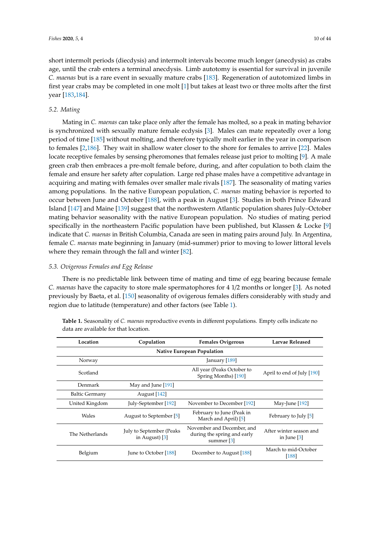short intermolt periods (diecdysis) and intermolt intervals become much longer (anecdysis) as crabs age, until the crab enters a terminal anecdysis. Limb autotomy is essential for survival in juvenile *C. maenas* but is a rare event in sexually mature crabs [\[183\]](#page-34-3). Regeneration of autotomized limbs in first year crabs may be completed in one molt [\[1\]](#page-26-0) but takes at least two or three molts after the first year [\[183,](#page-34-3)[184\]](#page-34-4).

# *5.2. Mating*

Mating in *C. maenas* can take place only after the female has molted, so a peak in mating behavior is synchronized with sexually mature female ecdysis [\[3\]](#page-26-2). Males can mate repeatedly over a long period of time [\[185\]](#page-34-5) without molting, and therefore typically molt earlier in the year in comparison to females [\[2](#page-26-1)[,186\]](#page-34-6). They wait in shallow water closer to the shore for females to arrive [\[22\]](#page-27-4). Males locate receptive females by sensing pheromones that females release just prior to molting [\[9\]](#page-26-5). A male green crab then embraces a pre-molt female before, during, and after copulation to both claim the female and ensure her safety after copulation. Large red phase males have a competitive advantage in acquiring and mating with females over smaller male rivals [\[187\]](#page-34-7). The seasonality of mating varies among populations. In the native European population, *C. maenas* mating behavior is reported to occur between June and October [\[188\]](#page-34-8), with a peak in August [\[3\]](#page-26-2). Studies in both Prince Edward Island [\[147\]](#page-32-10) and Maine [\[139\]](#page-32-7) suggest that the northwestern Atlantic population shares July–October mating behavior seasonality with the native European population. No studies of mating period specifically in the northeastern Pacific population have been published, but Klassen & Locke [\[9\]](#page-26-5) indicate that *C. maenas* in British Columbia, Canada are seen in mating pairs around July. In Argentina, female *C. maenas* mate beginning in January (mid-summer) prior to moving to lower littoral levels where they remain through the fall and winter [\[82\]](#page-29-9).

## *5.3. Ovigerous Females and Egg Release*

There is no predictable link between time of mating and time of egg bearing because female *C. maenas* have the capacity to store male spermatophores for 4 1/2 months or longer [\[3\]](#page-26-2). As noted previously by Baeta, et al. [\[150\]](#page-32-13) seasonality of ovigerous females differs considerably with study and region due to latitude (temperature) and other factors (see Table [1\)](#page-10-0).

| Location                   | Copulation<br><b>Females Ovigerous</b>       |                                                                         | <b>Larvae Released</b>                 |  |  |  |  |
|----------------------------|----------------------------------------------|-------------------------------------------------------------------------|----------------------------------------|--|--|--|--|
| Native European Population |                                              |                                                                         |                                        |  |  |  |  |
| Norway                     | January [189]                                |                                                                         |                                        |  |  |  |  |
| Scotland                   |                                              | All year (Peaks October to<br>Spring Months) [190]                      | April to end of July [190]             |  |  |  |  |
| Denmark                    | May and June [191]                           |                                                                         |                                        |  |  |  |  |
| <b>Baltic Germany</b>      | August [142]                                 |                                                                         |                                        |  |  |  |  |
| United Kingdom             | July-September [192]                         | November to December [192]                                              | May-June $[192]$                       |  |  |  |  |
| Wales                      | August to September [5]                      | February to June (Peak in<br>March and April) [5]                       | February to July [5]                   |  |  |  |  |
| The Netherlands            | July to September (Peaks)<br>in August $[3]$ | November and December, and<br>during the spring and early<br>summer [3] | After winter season and<br>in June [3] |  |  |  |  |
| Belgium                    | June to October [188]                        | December to August [188]                                                | March to mid-October<br>[188]          |  |  |  |  |

**Table 1.** Seasonality of *C. maenas* reproductive events in different populations. Empty cells indicate no data are available for that location.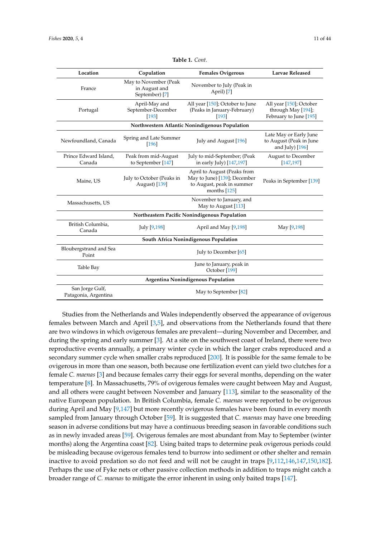<span id="page-10-0"></span>

| Location                                | Copulation                                               | <b>Females Ovigerous</b>                                                                                 | <b>Larvae Released</b>                                                  |
|-----------------------------------------|----------------------------------------------------------|----------------------------------------------------------------------------------------------------------|-------------------------------------------------------------------------|
| France                                  | May to November (Peak<br>in August and<br>September) [7] | November to July (Peak in<br>April) [7]                                                                  |                                                                         |
| Portugal                                | April-May and<br>September-December<br>[193]             | All year [150]; October to June<br>(Peaks in January-February)<br>$[193]$                                | All year [150]; October<br>through May [194];<br>February to June [195] |
|                                         |                                                          | Northwestern Atlantic Nonindigenous Population                                                           |                                                                         |
| Newfoundland, Canada                    | Spring and Late Summer<br>[196]                          | July and August [196]                                                                                    | Late May or Early June<br>to August (Peak in June<br>and July) $[196]$  |
| Prince Edward Island,<br>Canada         | Peak from mid-August<br>to September [147]               | July to mid-September; (Peak<br>in early July) [147,197]                                                 | August to December<br>[147, 197]                                        |
| Maine, US                               | July to October (Peaks in<br>August) [139]               | April to August (Peaks from<br>May to June) [139]; December<br>to August, peak in summer<br>months [125] | Peaks in September [139]                                                |
| Massachusetts, US                       |                                                          |                                                                                                          |                                                                         |
|                                         | Northeastern Pacific Nonindigenous Population            |                                                                                                          |                                                                         |
| British Columbia,<br>Canada             | July [9,198]<br>April and May [9,198]                    |                                                                                                          | May [9,198]                                                             |
|                                         |                                                          | South Africa Nonindigenous Population                                                                    |                                                                         |
| Bloubergstrand and Sea<br>Point         |                                                          | July to December [65]                                                                                    |                                                                         |
| Table Bay                               |                                                          | June to January, peak in<br>October [199]                                                                |                                                                         |
|                                         |                                                          | Argentina Nonindigenous Population                                                                       |                                                                         |
| San Jorge Gulf,<br>Patagonia, Argentina |                                                          | May to September [82]                                                                                    |                                                                         |

**Table 1.** *Cont.*

Studies from the Netherlands and Wales independently observed the appearance of ovigerous females between March and April [\[3](#page-26-2)[,5\]](#page-26-14), and observations from the Netherlands found that there are two windows in which ovigerous females are prevalent—during November and December, and during the spring and early summer [\[3\]](#page-26-2). At a site on the southwest coast of Ireland, there were two reproductive events annually, a primary winter cycle in which the larger crabs reproduced and a secondary summer cycle when smaller crabs reproduced [\[200\]](#page-34-20). It is possible for the same female to be ovigerous in more than one season, both because one fertilization event can yield two clutches for a female *C. maenas* [\[3\]](#page-26-2) and because females carry their eggs for several months, depending on the water temperature [\[8\]](#page-26-4). In Massachusetts, 79% of ovigerous females were caught between May and August, and all others were caught between November and January [\[113\]](#page-31-10), similar to the seasonality of the native European population. In British Columbia, female *C. maenas* were reported to be ovigerous during April and May [\[9](#page-26-5)[,147\]](#page-32-10) but more recently ovigerous females have been found in every month sampled from January through October [\[59\]](#page-28-17). It is suggested that *C. maenas* may have one breeding season in adverse conditions but may have a continuous breeding season in favorable conditions such as in newly invaded areas [\[59\]](#page-28-17). Ovigerous females are most abundant from May to September (winter months) along the Argentina coast [\[82\]](#page-29-9). Using baited traps to determine peak ovigerous periods could be misleading because ovigerous females tend to burrow into sediment or other shelter and remain inactive to avoid predation so do not feed and will not be caught in traps [\[9,](#page-26-5)[112,](#page-31-4)[146,](#page-32-9)[147,](#page-32-10)[150,](#page-32-13)[182\]](#page-34-2). Perhaps the use of Fyke nets or other passive collection methods in addition to traps might catch a broader range of *C. maenas* to mitigate the error inherent in using only baited traps [\[147\]](#page-32-10).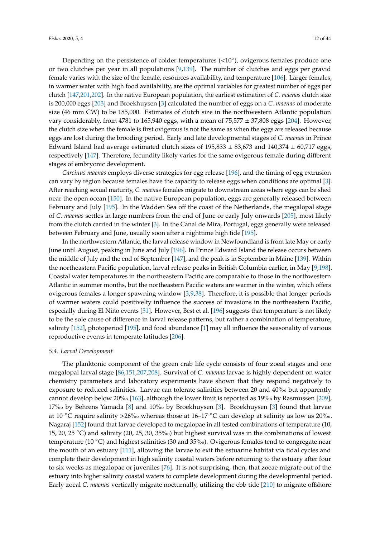Depending on the persistence of colder temperatures (<10°), ovigerous females produce one or two clutches per year in all populations  $[9,139]$  $[9,139]$ . The number of clutches and eggs per gravid female varies with the size of the female, resources availability, and temperature [\[106\]](#page-30-13). Larger females, in warmer water with high food availability, are the optimal variables for greatest number of eggs per clutch [\[147,](#page-32-10)[201](#page-34-21)[,202\]](#page-34-22). In the native European population, the earliest estimation of *C. maenas* clutch size is 200,000 eggs [\[203\]](#page-34-23) and Broekhuysen [\[3\]](#page-26-2) calculated the number of eggs on a *C. maenas* of moderate size (46 mm CW) to be 185,000. Estimates of clutch size in the northwestern Atlantic population vary considerably, from 4781 to 165,940 eggs, with a mean of 75,577 ± 37,808 eggs [\[204\]](#page-34-24). However, the clutch size when the female is first ovigerous is not the same as when the eggs are released because eggs are lost during the brooding period. Early and late developmental stages of *C. maenas* in Prince Edward Island had average estimated clutch sizes of  $195,833 \pm 83,673$  and  $140,374 \pm 60,717$  eggs, respectively [\[147\]](#page-32-10). Therefore, fecundity likely varies for the same ovigerous female during different stages of embryonic development.

*Carcinus maenas* employs diverse strategies for egg release [\[196\]](#page-34-16), and the timing of egg extrusion can vary by region because females have the capacity to release eggs when conditions are optimal [\[3\]](#page-26-2). After reaching sexual maturity, *C. maenas* females migrate to downstream areas where eggs can be shed near the open ocean [\[150\]](#page-32-13). In the native European population, eggs are generally released between February and July [\[195\]](#page-34-15). In the Wadden Sea off the coast of the Netherlands, the megalopal stage of *C. maenas* settles in large numbers from the end of June or early July onwards [\[205\]](#page-35-0), most likely from the clutch carried in the winter [\[3\]](#page-26-2). In the Canal de Mira, Portugal, eggs generally were released between February and June, usually soon after a nighttime high tide [\[195\]](#page-34-15).

In the northwestern Atlantic, the larval release window in Newfoundland is from late May or early June until August, peaking in June and July [\[196\]](#page-34-16). In Prince Edward Island the release occurs between the middle of July and the end of September [\[147\]](#page-32-10), and the peak is in September in Maine [\[139\]](#page-32-7). Within the northeastern Pacific population, larval release peaks in British Columbia earlier, in May [\[9,](#page-26-5)[198\]](#page-34-18). Coastal water temperatures in the northeastern Pacific are comparable to those in the northwestern Atlantic in summer months, but the northeastern Pacific waters are warmer in the winter, which offers ovigerous females a longer spawning window [\[3,](#page-26-2)[9,](#page-26-5)[38\]](#page-27-12). Therefore, it is possible that longer periods of warmer waters could positivelty influence the success of invasions in the northeastern Pacific, especially during El Niño events [\[51\]](#page-28-15). However, Best et al. [\[196\]](#page-34-16) suggests that temperature is not likely to be the sole cause of difference in larval release patterns, but rather a combination of temperature, salinity [\[152\]](#page-32-15), photoperiod [\[195\]](#page-34-15), and food abundance [\[1\]](#page-26-0) may all influence the seasonality of various reproductive events in temperate latitudes [\[206\]](#page-35-1).

# *5.4. Larval Development*

The planktonic component of the green crab life cycle consists of four zoeal stages and one megalopal larval stage [\[86,](#page-30-3)[151,](#page-32-14)[207,](#page-35-2)[208\]](#page-35-3). Survival of *C. maenas* larvae is highly dependent on water chemistry parameters and laboratory experiments have shown that they respond negatively to exposure to reduced salinities. Larvae can tolerate salinities between 20 and 40% but apparently cannot develop below 20‰ [\[163\]](#page-33-7), although the lower limit is reported as 19‰ by Rasmussen [\[209\]](#page-35-4), 17‰ by Behrens Yamada [\[8\]](#page-26-4) and 10‰ by Broekhuysen [\[3\]](#page-26-2). Broekhuysen [3] found that larvae at 10 °C require salinity >26‰ whereas those at 16–17 °C can develop at salinity as low as 20‰. Nagaraj [\[152\]](#page-32-15) found that larvae developed to megalopae in all tested combinations of temperature (10, 15, 20, 25 ◦C) and salinity (20, 25, 30, 35%) but highest survival was in the combinations of lowest temperature (10 ◦C) and highest salinities (30 and 35%). Ovigerous females tend to congregate near the mouth of an estuary [\[111\]](#page-31-3), allowing the larvae to exit the estuarine habitat via tidal cycles and complete their development in high salinity coastal waters before returning to the estuary after four to six weeks as megalopae or juveniles [\[76\]](#page-29-6). It is not surprising, then, that zoeae migrate out of the estuary into higher salinity coastal waters to complete development during the developmental period. Early zoeal *C. maenas* vertically migrate nocturnally, utilizing the ebb tide [\[210\]](#page-35-5) to migrate offshore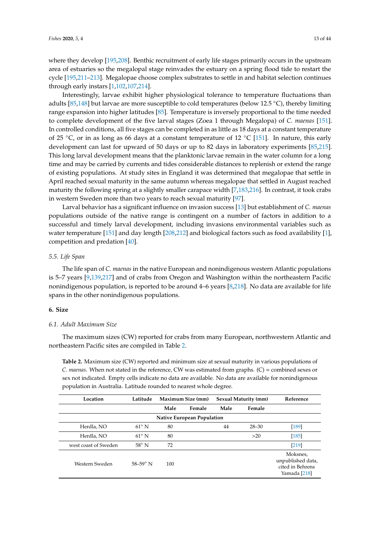where they develop [\[195](#page-34-15)[,208\]](#page-35-3). Benthic recruitment of early life stages primarily occurs in the upstream area of estuaries so the megalopal stage reinvades the estuary on a spring flood tide to restart the cycle [\[195,](#page-34-15)[211–](#page-35-6)[213\]](#page-35-7). Megalopae choose complex substrates to settle in and habitat selection continues through early instars [\[1](#page-26-0)[,102](#page-30-17)[,107,](#page-31-0)[214\]](#page-35-8).

Interestingly, larvae exhibit higher physiological tolerance to temperature fluctuations than adults [\[85,](#page-30-2)[148\]](#page-32-11) but larvae are more susceptible to cold temperatures (below 12.5 ◦C), thereby limiting range expansion into higher latitudes [\[85\]](#page-30-2). Temperature is inversely proportional to the time needed to complete development of the five larval stages (Zoea 1 through Megalopa) of *C. maenas* [\[151\]](#page-32-14). In controlled conditions, all five stages can be completed in as little as 18 days at a constant temperature of 25 °C, or in as long as 66 days at a constant temperature of 12 °C [\[151\]](#page-32-14). In nature, this early development can last for upward of 50 days or up to 82 days in laboratory experiments [\[85,](#page-30-2)[215\]](#page-35-9). This long larval development means that the planktonic larvae remain in the water column for a long time and may be carried by currents and tides considerable distances to replenish or extend the range of existing populations. At study sites in England it was determined that megalopae that settle in April reached sexual maturity in the same autumn whereas megalopae that settled in August reached maturity the following spring at a slightly smaller carapace width [\[7](#page-26-3)[,183](#page-34-3)[,216\]](#page-35-10). In contrast, it took crabs in western Sweden more than two years to reach sexual maturity [\[97\]](#page-30-18).

Larval behavior has a significant influence on invasion success [\[13\]](#page-26-9) but establishment of *C. maenas* populations outside of the native range is contingent on a number of factors in addition to a successful and timely larval development, including invasions environmental variables such as water temperature [\[151\]](#page-32-14) and day length [\[208](#page-35-3)[,212\]](#page-35-11) and biological factors such as food availability [\[1\]](#page-26-0), competition and predation [\[40\]](#page-28-0).

# *5.5. Life Span*

The life span of *C. maenas* in the native European and nonindigenous western Atlantic populations is 5–7 years [\[9](#page-26-5)[,139,](#page-32-7)[217\]](#page-35-12) and of crabs from Oregon and Washington within the northeastern Pacific nonindigenous population, is reported to be around 4–6 years [\[8,](#page-26-4)[218\]](#page-35-13). No data are available for life spans in the other nonindigenous populations.

#### **6. Size**

# *6.1. Adult Maximum Size*

The maximum sizes (CW) reported for crabs from many European, northwestern Atlantic and northeastern Pacific sites are compiled in Table [2.](#page-15-0)

**Table 2.** Maximum size (CW) reported and minimum size at sexual maturity in various populations of *C. maenas*. When not stated in the reference, CW was estimated from graphs. (C) = combined sexes or sex not indicated. Empty cells indicate no data are available. No data are available for nonindigenous population in Australia. Latitude rounded to nearest whole degree.

| Location             | Latitude            | Maximum Size (mm) |                                   | Sexual Maturity (mm) |           |                                                                   | Reference |
|----------------------|---------------------|-------------------|-----------------------------------|----------------------|-----------|-------------------------------------------------------------------|-----------|
|                      |                     | Male              | Female                            | Male                 | Female    |                                                                   |           |
|                      |                     |                   | <b>Native European Population</b> |                      |           |                                                                   |           |
| Herdla, NO           | $61^{\circ}$ N      | 80                |                                   | 44                   | $28 - 30$ | $[189]$                                                           |           |
| Herdla, NO           | $61^{\circ}$ N      | 80                |                                   |                      | >20       | $[185]$                                                           |           |
| west coast of Sweden | $58^{\circ}$ N      | 72                |                                   |                      |           | $[219]$                                                           |           |
| Western Sweden       | $58 - 59^{\circ}$ N | 100               |                                   |                      |           | Moksnes,<br>unpublished data,<br>cited in Behrens<br>Yamada [218] |           |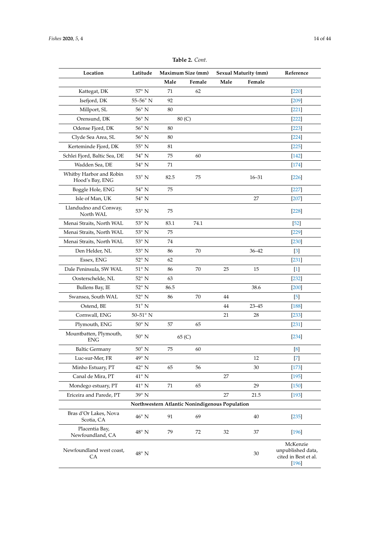| Location                                   | Latitude        | Maximum Size (mm) |                                                | Sexual Maturity (mm) |           | Reference                                                        |
|--------------------------------------------|-----------------|-------------------|------------------------------------------------|----------------------|-----------|------------------------------------------------------------------|
|                                            |                 | Male              | Female                                         | Male                 | Female    |                                                                  |
| Kattegat, DK                               | $57^\circ$ N    | 71                | 62                                             |                      |           | $[220]$                                                          |
| Isefjord, DK                               | $55-56^\circ$ N | 92                |                                                |                      |           | $[209]$                                                          |
| Millport, SL                               | $56^{\circ}$ N  | 80                |                                                |                      |           | $[221]$                                                          |
| Orensund, DK                               | $56^{\circ}$ N  |                   | 80 (C)                                         |                      |           | $[222]$                                                          |
| Odense Fjord, DK                           | $56^{\circ}$ N  | 80                |                                                |                      |           | $[223]$                                                          |
| Clyde Sea Area, SL                         | $56^{\circ}$ N  | 80                |                                                |                      |           | [224]                                                            |
| Kerteminde Fjord, DK                       | $55^{\circ}$ N  | 81                |                                                |                      |           | $[225]$                                                          |
| Schlei Fjord, Baltic Sea, DE               | $54^{\circ}$ N  | 75                | 60                                             |                      |           | $[142]$                                                          |
| Wadden Sea, DE                             | $54^{\circ}$ N  | 71                |                                                |                      |           | $[174]$                                                          |
| Whitby Harbor and Robin<br>Hood's Bay, ENG | $53^\circ$ N    | 82.5              | 75                                             |                      | $16 - 31$ | <b>226</b>                                                       |
| Boggle Hole, ENG                           | $54^{\circ}$ N  | 75                |                                                |                      |           | $[227]$                                                          |
| Isle of Man, UK                            | $54^{\circ}$ N  |                   |                                                |                      | 27        | [207]                                                            |
| Llandudno and Conway,<br>North WAL         | $53^\circ$ N    | 75                |                                                |                      |           | [228]                                                            |
| Menai Straits, North WAL                   | $53^\circ$ N    | 83.1              | 74.1                                           |                      |           | $[52]$                                                           |
| Menai Straits, North WAL                   | $53^\circ$ N    | 75                |                                                |                      |           | $[229]$                                                          |
| Menai Straits, North WAL                   | $53^\circ$ N    | 74                |                                                |                      |           | $[230]$                                                          |
| Den Helder, NL                             | $53^\circ$ N    | 86                | 70                                             |                      | $36 - 42$ | $[3]$                                                            |
| Essex, ENG                                 | $52^{\circ}$ N  | 62                |                                                |                      |           | $[231]$                                                          |
| Dale Peninsula, SW WAL                     | $51^\circ$ N    | 86                | 70                                             | 25                   | 15        | $[1]$                                                            |
| Oosterschelde, NL                          | $52^{\circ}$ N  | 63                |                                                |                      |           | $[232]$                                                          |
| Bullens Bay, IE                            | $52^{\circ}$ N  | 86.5              |                                                |                      | 38.6      | $[200]$                                                          |
| Swansea, South WAL                         | $52^{\circ}$ N  | 86                | 70                                             | 44                   |           | $[5]$                                                            |
| Ostend, BE                                 | $51^\circ$ N    |                   |                                                | 44                   | $23 - 45$ | $[188]$                                                          |
| Cornwall, ENG                              | $50-51^\circ$ N |                   |                                                | 21                   | 28        | $[233]$                                                          |
| Plymouth, ENG                              | $50^{\circ}$ N  | 57                | 65                                             |                      |           | $[231]$                                                          |
| Mountbatten, Plymouth,<br><b>ENG</b>       | $50^{\circ}$ N  |                   | 65(C)                                          |                      |           | $\left[234\right]$                                               |
| <b>Baltic Germany</b>                      | $50^{\circ}$ N  | 75                | 60                                             |                      |           | [8]                                                              |
| Luc-sur-Mer, FR                            | $49^\circ$ N    |                   |                                                |                      | 12        | $[7]$                                                            |
| Minho Estuary, PT                          | $42^{\circ}$ N  | 65                | 56                                             |                      | 30        | $[173]$                                                          |
| Canal de Mira, PT                          | $41^{\circ}$ N  |                   |                                                | 27                   |           | [195]                                                            |
| Mondego estuary, PT                        | $41^{\circ}$ N  | 71                | 65                                             |                      | 29        | $[150]$                                                          |
| Ericeira and Parede, PT                    | $39^{\circ}$ N  |                   |                                                | 27                   | 21.5      | $[193]$                                                          |
|                                            |                 |                   | Northwestern Atlantic Nonindigenous Population |                      |           |                                                                  |
| Bras d'Or Lakes, Nova<br>Scotia, CA        | $46^{\circ}$ N  | 91                | 69                                             |                      | 40        | $[235]$                                                          |
| Placentia Bay,<br>Newfoundland, CA         | $48^{\circ}$ N  | 79                | 72                                             | 32                   | 37        | $[196]$                                                          |
| Newfoundland west coast,<br>СA             | $48^\circ$ N    |                   |                                                |                      | 30        | McKenzie<br>unpublished data,<br>cited in Best et al.<br>$[196]$ |

**Table 2.** *Cont.*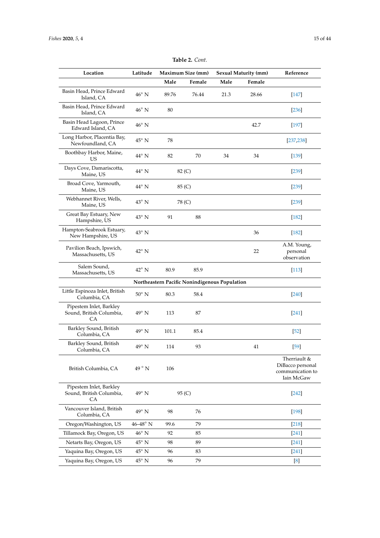| Location                                                         | Latitude        |       | Maximum Size (mm)                             |      | Sexual Maturity (mm) | Reference                                                          |
|------------------------------------------------------------------|-----------------|-------|-----------------------------------------------|------|----------------------|--------------------------------------------------------------------|
|                                                                  |                 | Male  | Female                                        | Male | Female               |                                                                    |
| Basin Head, Prince Edward<br>Island, CA                          | $46^\circ$ N    | 89.76 | 76.44                                         | 21.3 | 28.66                | $[147]$                                                            |
| Basin Head, Prince Edward<br>Island, CA                          | $46^\circ$ N    | 80    |                                               |      |                      | $[236]$                                                            |
| Basin Head Lagoon, Prince<br>Edward Island, CA                   | $46^{\circ}$ N  |       |                                               |      | 42.7                 | $[197]$                                                            |
| Long Harbor, Placentia Bay,<br>Newfoundland, CA                  | $45^{\circ}$ N  | 78    |                                               |      |                      | [237, 238]                                                         |
| Boothbay Harbor, Maine,<br>US                                    | $44^{\circ}$ N  | 82    | 70                                            | 34   | 34                   | $[139]$                                                            |
| Days Cove, Damariscotta,<br>Maine, US                            | 44° N           |       | 82 (C)                                        |      |                      | $[239]$                                                            |
| Broad Cove, Yarmouth,<br>Maine, US                               | $44^{\circ}$ N  |       | 85 (C)                                        |      |                      | $[239]$                                                            |
| Webhannet River, Wells,<br>Maine, US                             | $43^\circ$ N    |       | 78 (C)                                        |      |                      | [239]                                                              |
| Great Bay Estuary, New<br>Hampshire, US                          | $43^\circ$ N    | 91    | 88                                            |      |                      | $[182]$                                                            |
| Hampton-Seabrook Estuary,<br>New Hampshire, US                   | $43^\circ$ N    |       |                                               |      | 36                   | $[182]$                                                            |
| Pavilion Beach, Ipswich,<br>Massachusetts, US                    | $42^{\circ}$ N  |       |                                               |      | 22                   | A.M. Young,<br>personal<br>observation                             |
| Salem Sound,<br>Massachusetts, US                                | $42^\circ$ N    | 80.9  | 85.9                                          |      |                      | $[113]$                                                            |
|                                                                  |                 |       | Northeastern Pacific Nonindigenous Population |      |                      |                                                                    |
| Little Espinoza Inlet, British<br>Columbia, CA                   | $50^{\circ}$ N  | 80.3  | 58.4                                          |      |                      | $[240]$                                                            |
| Pipestem Inlet, Barkley<br>Sound, British Columbia,<br><b>CA</b> | $49^{\circ}$ N  | 113   | 87                                            |      |                      | [241]                                                              |
| Barkley Sound, British<br>Columbia, CA                           | $49^{\circ}$ N  | 101.1 | 85.4                                          |      |                      | $[52]$                                                             |
| Barkley Sound, British<br>Columbia, CA                           | $49^\circ$ N    | 114   | 93                                            |      | 41                   | $[59]$                                                             |
| British Columbia, CA                                             | 49 ° N          | 106   |                                               |      |                      | Therriault &<br>DiBacco personal<br>communication to<br>Iain McGaw |
| Pipestem Inlet, Barkley<br>Sound, British Columbia,<br><b>CA</b> | $49^{\circ}$ N  |       | 95 (C)                                        |      |                      | $[242]$                                                            |
| Vancouver Island, British<br>Columbia, CA                        | $49^\circ$ N    | 98    | 76                                            |      |                      | [198]                                                              |
| Oregon/Washington, US                                            | $46-48^\circ$ N | 99.6  | 79                                            |      |                      | $[218]$                                                            |
| Tillamock Bay, Oregon, US                                        | $46^{\circ}$ N  | 92    | 85                                            |      |                      | $[241]$                                                            |
| Netarts Bay, Oregon, US                                          | $45^\circ$ N    | 98    | 89                                            |      |                      | $[241]$                                                            |
| Yaquina Bay, Oregon, US                                          | $45^{\circ}$ N  | 96    | 83                                            |      |                      | $[241]$                                                            |
| Yaquina Bay, Oregon, US                                          | $45^{\circ}$ N  | 96    | 79                                            |      |                      | [8]                                                                |

# **Table 2.** *Cont.*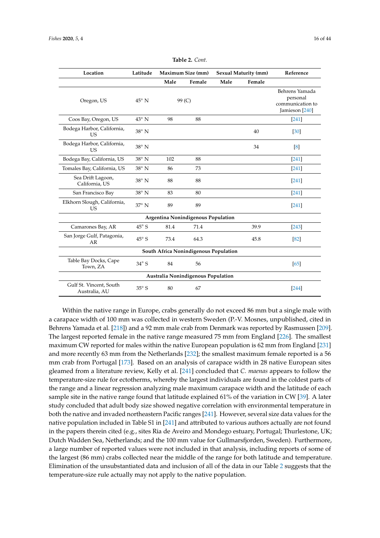<span id="page-15-0"></span>

| Location                                 | Latitude       |      | Maximum Size (mm)                  | Sexual Maturity (mm) |        | Reference                                                        |
|------------------------------------------|----------------|------|------------------------------------|----------------------|--------|------------------------------------------------------------------|
|                                          |                | Male | Female                             | Male                 | Female |                                                                  |
| Oregon, US                               | $45^{\circ}$ N |      | 99 (C)                             |                      |        | Behrens Yamada<br>personal<br>communication to<br>Jamieson [240] |
| Coos Bay, Oregon, US                     | $43^\circ$ N   | 98   | 88                                 |                      |        | $[241]$                                                          |
| Bodega Harbor, California,<br>US         | $38^\circ$ N   |      |                                    |                      | 40     | [30]                                                             |
| Bodega Harbor, California,<br>US         | $38^\circ$ N   |      |                                    |                      | 34     | [8]                                                              |
| Bodega Bay, California, US               | $38^\circ$ N   | 102  | 88                                 |                      |        | [241]                                                            |
| Tomales Bay, California, US              | 38° N          | 86   | 73                                 |                      |        | $[241]$                                                          |
| Sea Drift Lagoon,<br>California, US      | $38^\circ$ N   | 88   | 88                                 |                      |        | $[241]$                                                          |
| San Francisco Bay                        | $38^\circ$ N   | 83   | 80                                 |                      |        | [241]                                                            |
| Elkhorn Slough, California,<br>US        | $37^\circ$ N   | 89   | 89                                 |                      |        | $[241]$                                                          |
|                                          |                |      | Argentina Nonindigenous Population |                      |        |                                                                  |
| Camarones Bay, AR                        | $45^\circ$ S   | 81.4 | 71.4                               |                      | 39.9   | $[243]$                                                          |
| San Jorge Gulf, Patagonia,<br>AR         | $45^\circ$ S   | 73.4 | 64.3                               |                      | 45.8   | [82]                                                             |
| South Africa Nonindigenous Population    |                |      |                                    |                      |        |                                                                  |
| Table Bay Docks, Cape<br>Town, ZA        | $34^\circ$ S   | 84   | 56                                 |                      |        | [65]                                                             |
|                                          |                |      | Australia Nonindigenous Population |                      |        |                                                                  |
| Gulf St. Vincent, South<br>Australia, AU | $35^\circ$ S   | 80   | 67                                 |                      |        | [244]                                                            |

**Table 2.** *Cont.*

Within the native range in Europe, crabs generally do not exceed 86 mm but a single male with a carapace width of 100 mm was collected in western Sweden (P.-V. Mosnes, unpublished, cited in Behrens Yamada et al. [\[218\]](#page-35-13)) and a 92 mm male crab from Denmark was reported by Rasmussen [\[209\]](#page-35-4). The largest reported female in the native range measured 75 mm from England [\[226\]](#page-35-21). The smallest maximum CW reported for males within the native European population is 62 mm from England [\[231\]](#page-36-3) and more recently 63 mm from the Netherlands [\[232\]](#page-36-4); the smallest maximum female reported is a 56 mm crab from Portugal [\[173\]](#page-33-17). Based on an analysis of carapace width in 28 native European sites gleamed from a literature review, Kelly et al. [\[241\]](#page-36-13) concluded that *C. maenas* appears to follow the temperature-size rule for ectotherms, whereby the largest individuals are found in the coldest parts of the range and a linear regression analyzing male maximum carapace width and the latitude of each sample site in the native range found that latitude explained 61% of the variation in CW [\[39\]](#page-27-13). A later study concluded that adult body size showed negative correlation with environmental temperature in both the native and invaded northeastern Pacific ranges [\[241\]](#page-36-13). However, several size data values for the native population included in Table S1 in [\[241\]](#page-36-13) and attributed to various authors actually are not found in the papers therein cited (e.g., sites Ria de Aveiro and Mondego estuary, Portugal; Thurlestone, UK; Dutch Wadden Sea, Netherlands; and the 100 mm value for Gullmarsfjorden, Sweden). Furthermore, a large number of reported values were not included in that analysis, including reports of some of the largest (86 mm) crabs collected near the middle of the range for both latitude and temperature. Elimination of the unsubstantiated data and inclusion of all of the data in our Table [2](#page-15-0) suggests that the temperature-size rule actually may not apply to the native population.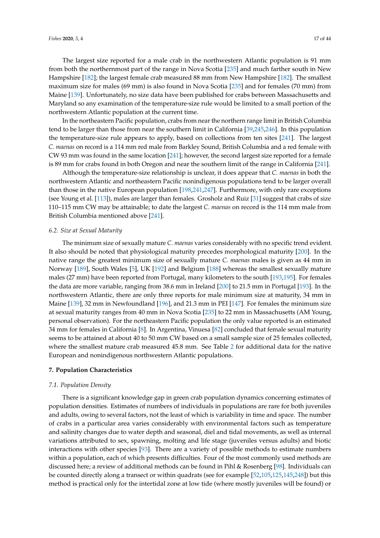The largest size reported for a male crab in the northwestern Atlantic population is 91 mm from both the northernmost part of the range in Nova Scotia [\[235\]](#page-36-7) and much farther south in New Hampshire [\[182\]](#page-34-2); the largest female crab measured 88 mm from New Hampshire [\[182\]](#page-34-2). The smallest maximum size for males (69 mm) is also found in Nova Scotia [\[235\]](#page-36-7) and for females (70 mm) from Maine [\[139\]](#page-32-7). Unfortunately, no size data have been published for crabs between Massachusetts and Maryland so any examination of the temperature-size rule would be limited to a small portion of the northwestern Atlantic population at the current time.

In the northeastern Pacific population, crabs from near the northern range limit in British Columbia tend to be larger than those from near the southern limit in California [\[39,](#page-27-13)[245,](#page-36-17)[246\]](#page-36-18). In this population the temperature-size rule appears to apply, based on collections from ten sites [\[241\]](#page-36-13). The largest *C. maenas* on record is a 114 mm red male from Barkley Sound, British Columbia and a red female with CW 93 mm was found in the same location [\[241\]](#page-36-13); however, the second largest size reported for a female is 89 mm for crabs found in both Oregon and near the southern limit of the range in California [\[241\]](#page-36-13).

Although the temperature-size relationship is unclear, it does appear that *C. maenas* in both the northwestern Atlantic and northeastern Pacific nonindigenous populations tend to be larger overall than those in the native European population [\[198,](#page-34-18)[241,](#page-36-13)[247\]](#page-36-19). Furthermore, with only rare exceptions (see Young et al. [\[113\]](#page-31-10)), males are larger than females. Grosholz and Ruiz [\[31\]](#page-27-14) suggest that crabs of size 110–115 mm CW may be attainable; to date the largest *C. maenas* on record is the 114 mm male from British Columbia mentioned above [\[241\]](#page-36-13).

#### *6.2. Size at Sexual Maturity*

The minimum size of sexually mature *C. maenas* varies considerably with no specific trend evident. It also should be noted that physiological maturity precedes morphological maturity [\[200\]](#page-34-20). In the native range the greatest minimum size of sexually mature *C. maenas* males is given as 44 mm in Norway [\[189\]](#page-34-9), South Wales [\[5\]](#page-26-14), UK [\[192\]](#page-34-12) and Belgium [\[188\]](#page-34-8) whereas the smallest sexually mature males (27 mm) have been reported from Portugal, many kilometers to the south [\[193](#page-34-13)[,195\]](#page-34-15). For females the data are more variable, ranging from 38.6 mm in Ireland [\[200\]](#page-34-20) to 21.5 mm in Portugal [\[193\]](#page-34-13). In the northwestern Atlantic, there are only three reports for male minimum size at maturity, 34 mm in Maine [\[139\]](#page-32-7), 32 mm in Newfoundland [\[196\]](#page-34-16), and 21.3 mm in PEI [\[147\]](#page-32-10). For females the minimum size at sexual maturity ranges from 40 mm in Nova Scotia [\[235\]](#page-36-7) to 22 mm in Massachusetts (AM Young, personal observation). For the northeastern Pacific population the only value reported is an estimated 34 mm for females in California [\[8\]](#page-26-4). In Argentina, Vinuesa [\[82\]](#page-29-9) concluded that female sexual maturity seems to be attained at about 40 to 50 mm CW based on a small sample size of 25 females collected, where the smallest mature crab measured 45.8 mm. See Table [2](#page-15-0) for additional data for the native European and nonindigenous northwestern Atlantic populations.

#### **7. Population Characteristics**

#### *7.1. Population Density*

There is a significant knowledge gap in green crab population dynamics concerning estimates of population densities. Estimates of numbers of individuals in populations are rare for both juveniles and adults, owing to several factors, not the least of which is variability in time and space. The number of crabs in a particular area varies considerably with environmental factors such as temperature and salinity changes due to water depth and seasonal, diel and tidal movements, as well as internal variations attributed to sex, spawning, molting and life stage (juveniles versus adults) and biotic interactions with other species [\[93\]](#page-30-10). There are a variety of possible methods to estimate numbers within a population, each of which presents difficulties. Four of the most commonly used methods are discussed here; a review of additional methods can be found in Pihl & Rosenberg [\[98\]](#page-30-16). Individuals can be counted directly along a transect or within quadrats (see for example [\[52,](#page-28-9)[105,](#page-30-19)[125,](#page-31-13)[145](#page-32-20)[,248\]](#page-36-20)) but this method is practical only for the intertidal zone at low tide (where mostly juveniles will be found) or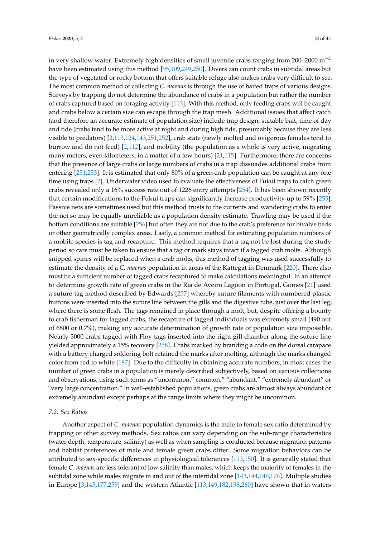in very shallow water. Extremely high densities of small juvenile crabs ranging from 200–2000 m−<sup>2</sup> have been estimated using this method [\[95](#page-30-12)[,109](#page-31-2)[,249](#page-36-21)[,250\]](#page-36-22). Divers can count crabs in subtidal areas but the type of vegetated or rocky bottom that offers suitable refuge also makes crabs very difficult to see. The most common method of collecting *C. maenas* is through the use of baited traps of various designs. Surveys by trapping do not determine the abundance of crabs in a population but rather the number of crabs captured based on foraging activity [\[113\]](#page-31-10). With this method, only feeding crabs will be caught and crabs below a certain size can escape through the trap mesh. Additional issues that affect catch (and therefore an accurate estimate of population size) include trap design, suitable bait, time of day and tide (crabs tend to be more active at night and during high tide, presumably because they are less visible to predators) [\[2](#page-26-1)[,113](#page-31-10)[,124](#page-31-12)[,143,](#page-32-21)[251,](#page-37-0)[252\]](#page-37-1), crab state (newly molted and ovigerous females tend to burrow and do not feed) [\[2](#page-26-1)[,112\]](#page-31-4), and mobility (the population as a whole is very active, migrating many meters, even kilometers, in a matter of a few hours) [\[21](#page-27-3)[,115\]](#page-31-6). Furthermore, there are concerns that the presence of large crabs or large numbers of crabs in a trap dissuades additional crabs from entering [\[251](#page-37-0)[,253\]](#page-37-2). It is estimated that only 80% of a green crab population can be caught at any one time using traps [\[2\]](#page-26-1). Underwater video used to evaluate the effectiveness of Fukui traps to catch green crabs revealed only a 16% success rate out of 1226 entry attempts [\[254\]](#page-37-3). It has been shown recently that certain modifications to the Fukui traps can significantly increase productivity up to 59% [\[255\]](#page-37-4). Passive nets are sometimes used but this method trusts to the currents and wandering crabs to enter the net so may be equally unreliable as a population density estimate. Trawling may be used if the bottom conditions are suitable [\[256\]](#page-37-5) but often they are not due to the crab's preference for bivalve beds or other geometrically complex areas. Lastly, a common method for estimating population numbers of a mobile species is tag and recapture. This method requires that a tag not be lost during the study period so care must be taken to ensure that a tag or mark stays intact if a tagged crab molts. Although snipped spines will be replaced when a crab molts, this method of tagging was used successfully to estimate the density of a *C. maenas* population in areas of the Kattegat in Denmark [\[220\]](#page-35-15). There also must be a sufficient number of tagged crabs recaptured to make calculations meaningful. In an attempt to determine growth rate of green crabs in the Ria de Aveiro Lagoon in Portugal, Gomes [\[21\]](#page-27-3) used a suture-tag method described by Edwards [\[257\]](#page-37-6) whereby suture filaments with numbered plastic buttons were inserted into the suture line between the gills and the digestive tube, just over the last leg, where there is some flesh. The tags remained in place through a molt, but, despite offering a bounty to crab fisherman for tagged crabs, the recapture of tagged individuals was extremely small (490 out of 6800 or 0.7%), making any accurate determination of growth rate or population size impossible. Nearly 3000 crabs tagged with Floy tags inserted into the right gill chamber along the suture line yielded approximately a 15% recovery [\[258\]](#page-37-7). Crabs marked by branding a code on the dorsal carapace with a battery charged soldering bolt retained the marks after molting, although the marks changed color from red to white [\[187\]](#page-34-7). Due to the difficulty in obtaining accurate numbers, in most cases the number of green crabs in a population is merely described subjectively, based on various collections and observations, using such terms as "uncommon," common," "abundant," "extremely abundant" or "very large concentration." In well-established populations, green crabs are almost always abundant or extremely abundant except perhaps at the range limits where they might be uncommon.

#### *7.2. Sex Ratios*

Another aspect of *C. maenas* population dynamics is the male to female sex ratio determined by trapping or other survey methods. Sex ratios can vary depending on the sub-range characteristics (water depth, temperature, salinity) as well as when sampling is conducted because migration patterns and habitat preferences of male and female green crabs differ. Some migration behaviors can be attributed to sex-specific differences in physiological tolerances [\[113,](#page-31-10)[150\]](#page-32-13). It is generally stated that female *C. maenas* are less tolerant of low salinity than males, which keeps the majority of females in the subtidal zone while males migrate in and out of the intertidal zone [\[143](#page-32-21)[,144,](#page-32-22)[146,](#page-32-9)[176\]](#page-33-22). Multiple studies in Europe [\[3,](#page-26-2)[145,](#page-32-20)[177,](#page-33-19)[259\]](#page-37-8) and the western Atlantic [\[113,](#page-31-10)[149,](#page-32-12)[182,](#page-34-2)[198,](#page-34-18)[260\]](#page-37-9) have shown that in waters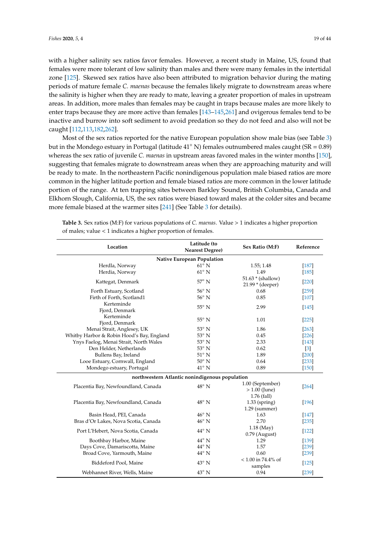with a higher salinity sex ratios favor females. However, a recent study in Maine, US, found that females were more tolerant of low salinity than males and there were many females in the intertidal zone [\[125\]](#page-31-13). Skewed sex ratios have also been attributed to migration behavior during the mating

periods of mature female *C. maenas* because the females likely migrate to downstream areas where the salinity is higher when they are ready to mate, leaving a greater proportion of males in upstream areas. In addition, more males than females may be caught in traps because males are more likely to enter traps because they are more active than females [\[143–](#page-32-21)[145,](#page-32-20)[261\]](#page-37-10) and ovigerous females tend to be inactive and burrow into soft sediment to avoid predation so they do not feed and also will not be caught [\[112](#page-31-4)[,113,](#page-31-10)[182,](#page-34-2)[262\]](#page-37-11).

Most of the sex ratios reported for the native European population show male bias (see Table [3\)](#page-19-0) but in the Mondego estuary in Portugal (latitude 41◦ N) females outnumbered males caught (SR <sup>=</sup> 0.89) whereas the sex ratio of juvenile *C. maenas* in upstream areas favored males in the winter months [\[150\]](#page-32-13), suggesting that females migrate to downstream areas when they are approaching maturity and will be ready to mate. In the northeastern Pacific nonindigenous population male biased ratios are more common in the higher latitude portion and female biased ratios are more common in the lower latitude portion of the range. At ten trapping sites between Barkley Sound, British Columbia, Canada and Elkhorn Slough, California, US, the sex ratios were biased toward males at the colder sites and became more female biased at the warmer sites [\[241\]](#page-36-13) (See Table [3](#page-19-0) for details).

| <b>Table 3.</b> Sex ratios (M:F) for various populations of C. <i>maenas</i> . Value $> 1$ indicates a higher proportion |  |
|--------------------------------------------------------------------------------------------------------------------------|--|
| of males; value < 1 indicates a higher proportion of females.                                                            |  |

| Location                                  | Latitude (to<br><b>Nearest Degree)</b>         | Sex Ratio (M:F)                                      | Reference        |
|-------------------------------------------|------------------------------------------------|------------------------------------------------------|------------------|
|                                           | Native European Population                     |                                                      |                  |
| Herdla, Norway                            | $61^\circ$ N                                   | 1.55; 1.48                                           | $[187]$          |
| Herdia, Norway                            | $61^\circ$ N                                   | 1.49                                                 | $[185]$          |
| Kattegat, Denmark                         | $57^\circ$ N                                   | $51.63 * (shallow)$<br>21.99 * (deeper)              | $[220]$          |
| Forth Estuary, Scotland                   | $56^{\circ}$ N                                 | 0.68                                                 | [259]            |
| Firth of Forth, Scotland1                 | $56^{\circ}$ N                                 | 0.85                                                 | $[107]$          |
| Kerteminde<br>Fjord, Denmark              | $55^{\circ}$ N                                 | 2.99                                                 | $[145]$          |
| Kerteminde<br>Fjord, Denmark              | $55^{\circ}$ N                                 | 1.01                                                 | $[225]$          |
| Menai Strait, Anglesey, UK                | $53^\circ$ N                                   | 1.86                                                 | $[263]$          |
| Whitby Harbor & Robin Hood's Bay, England | $53^\circ$ N                                   | 0.45                                                 | $[226]$          |
| Ynys Faelog, Menai Strait, North Wales    | $53^\circ$ N                                   | 2.33                                                 | $[143]$          |
| Den Helder, Netherlands                   | $53^\circ$ N                                   | 0.62                                                 | $\left[3\right]$ |
| Bullens Bay, Ireland                      | $51^\circ$ N                                   | 1.89                                                 | $[200]$          |
| Looe Estuary, Cornwall, England           | $50^{\circ}$ N                                 | 0.64                                                 | $[233]$          |
| Mondego estuary, Portugal                 | $41^{\circ}$ N                                 | 0.89                                                 | $[150]$          |
|                                           | northwestern Atlantic nonindigenous population |                                                      |                  |
| Placentia Bay, Newfoundland, Canada       | $48^\circ$ N                                   | 1.00 (September)<br>$> 1.00$ (June)<br>$1.76$ (fall) | $[264]$          |
| Placentia Bay, Newfoundland, Canada       | $48^\circ$ N                                   | $1.33$ (spring)<br>$1.29$ (summer)                   | $[196]$          |
| Basin Head, PEI, Canada                   | $46^{\circ}$ N                                 | 1.63                                                 | $[147]$          |
| Bras d'Or Lakes, Nova Scotia, Canada      | $46^{\circ}$ N                                 | 2.70                                                 | $[235]$          |
| Port L'Hebert, Nova Scotia, Canada        | $44^{\circ}$ N                                 | $1.18$ (May)<br>$0.79$ (August)                      | $[122]$          |
| Boothbay Harbor, Maine                    | $44^{\circ}$ N                                 | 1.29                                                 | [139]            |
| Days Cove, Damariscotta, Maine            | $44^{\circ}$ N                                 | 1.57                                                 | $[239]$          |
| Broad Cove, Yarmouth, Maine               | $44^{\circ}$ N                                 | 0.60                                                 | $[239]$          |
| Biddeford Pool, Maine                     | $43^\circ$ N                                   | $< 1.00$ in 74.4% of<br>samples                      | $[125]$          |
| Webhannet River, Wells, Maine             | $43^\circ$ N                                   | 0.94                                                 | $[239]$          |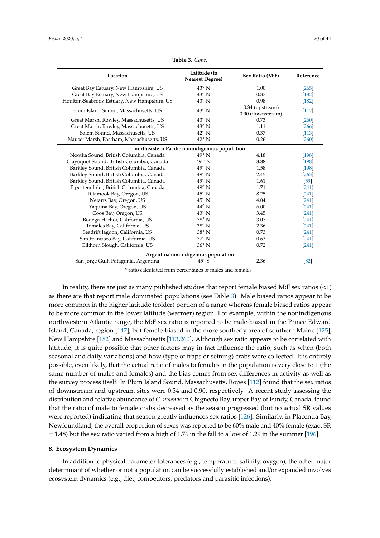<span id="page-19-0"></span>

| Location                                    | Latitude (to<br><b>Nearest Degree)</b>        | Sex Ratio (M:F)                        | Reference |
|---------------------------------------------|-----------------------------------------------|----------------------------------------|-----------|
| Great Bay Estuary, New Hampshire, US        | $43^\circ$ N                                  | 1.00                                   | $[265]$   |
| Great Bay Estuary, New Hampshire, US        | $43^\circ$ N                                  | 0.37                                   | $[182]$   |
| Houlton-Seabrook Estuary, New Hampshire, US | $43^\circ$ N                                  | 0.98                                   | $[182]$   |
| Plum Island Sound, Massachusetts, US        | $43^\circ$ N                                  | $0.34$ (upstream)<br>0.90 (downstream) | $[112]$   |
| Great Marsh, Rowley, Massachusetts, US      | $43^\circ$ N                                  | 0.73                                   | $[260]$   |
| Great Marsh, Rowley, Massachusetts, US      | $43^\circ$ N                                  | 1.11                                   | $[266]$   |
| Salem Sound, Massachusetts, US              | $42^{\circ}$ N                                | 0.37                                   | $[113]$   |
| Nauset Marsh, Eastham, Massachusetts, US    | $42^{\circ}$ N                                | 0.26                                   | $[260]$   |
|                                             | northeastern Pacific nonindigenous population |                                        |           |
| Nootka Sound, British Columbia, Canada      | $49^\circ$ N                                  | 4.18                                   | $[198]$   |
| Clayoquot Sound, British Columbia, Canada   | $49°$ N                                       | 3.88                                   | $[198]$   |
| Barkley Sound, British Columbia, Canada     | $49^\circ$ N                                  | 1.58                                   | $[198]$   |
| Barkley Sound, British Columbia, Canada     | $49^{\circ}$ N                                | 2.45                                   | $[263]$   |
| Barkley Sound, British Columbia, Canada     | $49^\circ$ N                                  | 1.61                                   | [59]      |
| Pipestem Inlet, British Columbia, Canada    | $49^{\circ}$ N                                | 1.71                                   | $[241]$   |
| Tillamook Bay, Oregon, US                   | $45^{\circ}$ N                                | 8.25                                   | $[241]$   |
| Netarts Bay, Oregon, US                     | $45^{\circ}$ N                                | 4.04                                   | $[241]$   |
| Yaquina Bay, Oregon, US                     | $44^{\circ}$ N                                | 6.00                                   | $[241]$   |
| Coos Bay, Oregon, US                        | $43^\circ$ N                                  | 3.45                                   | $[241]$   |
| Bodega Harbor, California, US               | $38^{\circ}$ N                                | 3.07                                   | $[241]$   |
| Tomales Bay, California, US                 | $38^{\circ}$ N                                | 2.36                                   | $[241]$   |
| Seadrift lagoon, California, US             | $38^\circ$ N                                  | 0.73                                   | $[241]$   |
| San Francisco Bay, California, US           | $37^\circ$ N                                  | 0.63                                   | $[241]$   |
| Elkhorn Slough, California, US              | $36^{\circ}$ N                                | 0.72                                   | $[241]$   |
|                                             | Argentina nonindigenous population            |                                        |           |
| San Jorge Gulf, Patagonia, Argentina        | $45^{\circ}$ S                                | 2.36                                   | [82]      |

**Table 3.** *Cont.*

\* ratio calculated from percentages of males and females.

In reality, there are just as many published studies that report female biased M:F sex ratios (<1) as there are that report male dominated populations (see Table [3\)](#page-19-0). Male biased ratios appear to be more common in the higher latitude (colder) portion of a range whereas female biased ratios appear to be more common in the lower latitude (warmer) region. For example, within the nonindigenous northwestern Atlantic range, the M:F sex ratio is reported to be male-biased in the Prince Edward Island, Canada, region [\[147\]](#page-32-10), but female-biased in the more southerly area of southern Maine [\[125\]](#page-31-13), New Hampshire [\[182\]](#page-34-2) and Massachusetts [\[113,](#page-31-10)[260\]](#page-37-9). Although sex ratio appears to be correlated with latitude, it is quite possible that other factors may in fact influence the ratio, such as when (both seasonal and daily variations) and how (type of traps or seining) crabs were collected. It is entirely possible, even likely, that the actual ratio of males to females in the population is very close to 1 (the same number of males and females) and the bias comes from sex differences in activity as well as the survey process itself. In Plum Island Sound, Massachusetts, Ropes [\[112\]](#page-31-4) found that the sex ratios of downstream and upstream sites were 0.34 and 0.90, respectively. A recent study assessing the distribution and relative abundance of *C. maenas* in Chignecto Bay, upper Bay of Fundy, Canada, found that the ratio of male to female crabs decreased as the season progressed (but no actual SR values were reported) indicating that season greatly influences sex ratios [\[126\]](#page-31-14). Similarly, in Placentia Bay, Newfoundland, the overall proportion of sexes was reported to be 60% male and 40% female (exact SR  $= 1.48$ ) but the sex ratio varied from a high of 1.76 in the fall to a low of 1.29 in the summer [\[196\]](#page-34-16).

#### **8. Ecosystem Dynamics**

In addition to physical parameter tolerances (e.g., temperature, salinity, oxygen), the other major determinant of whether or not a population can be successfully established and/or expanded involves ecosystem dynamics (e.g., diet, competitors, predators and parasitic infections).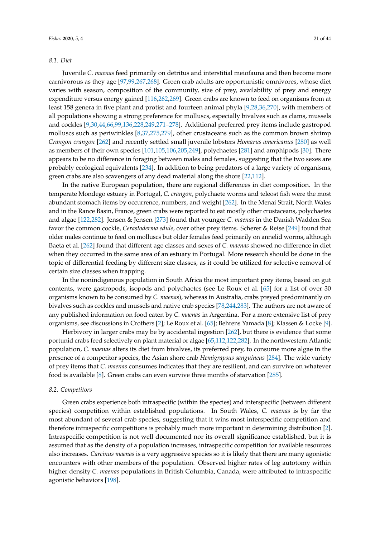#### *8.1. Diet*

Juvenile *C. maenas* feed primarily on detritus and interstitial meiofauna and then become more carnivorous as they age [\[97](#page-30-18)[,99](#page-30-20)[,267](#page-37-16)[,268\]](#page-37-17). Green crab adults are opportunistic omnivores, whose diet varies with season, composition of the community, size of prey, availability of prey and energy expenditure versus energy gained [\[116](#page-31-7)[,262,](#page-37-11)[269\]](#page-37-18). Green crabs are known to feed on organisms from at least 158 genera in five plant and protist and fourteen animal phyla [\[9,](#page-26-5)[28](#page-27-6)[,36,](#page-27-16)[270\]](#page-37-19), with members of all populations showing a strong preference for molluscs, especially bivalves such as clams, mussels and cockles [\[9](#page-26-5)[,30](#page-27-8)[,44](#page-28-2)[,66](#page-29-11)[,99](#page-30-20)[,136](#page-32-4)[,228](#page-36-0)[,249](#page-36-21)[,271–](#page-37-20)[278\]](#page-38-0). Additional preferred prey items include gastropod molluscs such as periwinkles [\[8,](#page-26-4)[37,](#page-27-11)[275,](#page-38-1)[279\]](#page-38-2), other crustaceans such as the common brown shrimp *Crangon crangon* [\[262\]](#page-37-11) and recently settled small juvenile lobsters *Homarus americanus* [\[280\]](#page-38-3) as well as members of their own species [\[101](#page-30-14)[,105](#page-30-19)[,106](#page-30-13)[,205](#page-35-0)[,249\]](#page-36-21), polychaetes [\[281\]](#page-38-4) and amphipods [\[30\]](#page-27-8). There appears to be no difference in foraging between males and females, suggesting that the two sexes are probably ecological equivalents [\[234\]](#page-36-6). In addition to being predators of a large variety of organisms, green crabs are also scavengers of any dead material along the shore [\[22,](#page-27-4)[112\]](#page-31-4).

In the native European population, there are regional differences in diet composition. In the temperate Mondego estuary in Portugal, *C. crangon*, polychaete worms and teleost fish were the most abundant stomach items by occurrence, numbers, and weight [\[262\]](#page-37-11). In the Menai Strait, North Wales and in the Rance Basin, France, green crabs were reported to eat mostly other crustaceans, polychaetes and algae [\[122](#page-31-21)[,282\]](#page-38-5). Jensen & Jensen [\[273\]](#page-37-21) found that younger *C. maenas* in the Danish Wadden Sea favor the common cockle, *Cerastoderma edule*, over other prey items. Scherer & Reise [\[249\]](#page-36-21) found that older males continue to feed on molluscs but older females feed primarily on annelid worms, although Baeta et al. [\[262\]](#page-37-11) found that different age classes and sexes of *C. maenas* showed no difference in diet when they occurred in the same area of an estuary in Portugal. More research should be done in the topic of differential feeding by different size classes, as it could be utilized for selective removal of certain size classes when trapping.

In the nonindigenous population in South Africa the most important prey items, based on gut contents, were gastropods, isopods and polychaetes (see Le Roux et al. [\[65\]](#page-29-10) for a list of over 30 organisms known to be consumed by *C. maenas*), whereas in Australia, crabs preyed predominantly on bivalves such as cockles and mussels and native crab species [\[78](#page-29-12)[,244](#page-36-16)[,283\]](#page-38-6). The authors are not aware of any published information on food eaten by *C. maenas* in Argentina. For a more extensive list of prey organisms, see discussions in Crothers [\[2\]](#page-26-1); Le Roux et al. [\[65\]](#page-29-10); Behrens Yamada [\[8\]](#page-26-4); Klassen & Locke [\[9\]](#page-26-5).

Herbivory in larger crabs may be by accidental ingestion [\[262\]](#page-37-11), but there is evidence that some portunid crabs feed selectively on plant material or algae [\[65,](#page-29-10)[112](#page-31-4)[,122](#page-31-21)[,282\]](#page-38-5). In the northwestern Atlantic population, *C. maenas* alters its diet from bivalves, its preferred prey, to consume more algae in the presence of a competitor species, the Asian shore crab *Hemigrapsus sanguineus* [\[284\]](#page-38-7). The wide variety of prey items that *C. maenas* consumes indicates that they are resilient, and can survive on whatever food is available [\[8\]](#page-26-4). Green crabs can even survive three months of starvation [\[285\]](#page-38-8).

## *8.2. Competitors*

Green crabs experience both intraspecific (within the species) and interspecific (between different species) competition within established populations. In South Wales, *C. maenas* is by far the most abundant of several crab species, suggesting that it wins most interspecific competition and therefore intraspecific competitions is probably much more important in determining distribution [\[2\]](#page-26-1). Intraspecific competition is not well documented nor its overall significance established, but it is assumed that as the density of a population increases, intraspecific competition for available resources also increases. *Carcinus maenas* is a very aggressive species so it is likely that there are many agonistic encounters with other members of the population. Observed higher rates of leg autotomy within higher density *C. maenas* populations in British Columbia, Canada, were attributed to intraspecific agonistic behaviors [\[198\]](#page-34-18).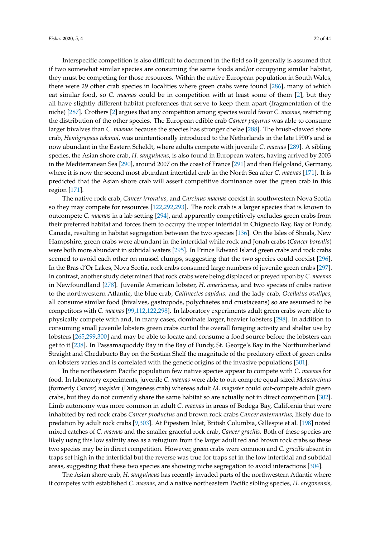Interspecific competition is also difficult to document in the field so it generally is assumed that if two somewhat similar species are consuming the same foods and/or occupying similar habitat, they must be competing for those resources. Within the native European population in South Wales, there were 29 other crab species in localities where green crabs were found [\[286\]](#page-38-9), many of which eat similar food, so *C. maenas* could be in competition with at least some of them [\[2\]](#page-26-1), but they all have slightly different habitat preferences that serve to keep them apart (fragmentation of the niche) [\[287\]](#page-38-10). Crothers [\[2\]](#page-26-1) argues that any competition among species would favor *C. maenas*, restricting the distribution of the other species. The European edible crab *Cancer pagurus* was able to consume larger bivalves than *C. maenas* because the species has stronger chelae [\[288\]](#page-38-11). The brush-clawed shore crab, *Hemigrapsus takanoi*, was unintentionally introduced to the Netherlands in the late 1990's and is now abundant in the Eastern Scheldt, where adults compete with juvenile *C. maenas* [\[289\]](#page-38-12). A sibling species, the Asian shore crab, *H. sanguineus*, is also found in European waters, having arrived by 2003 in the Mediterranean Sea [\[290\]](#page-38-13), around 2007 on the coast of France [\[291\]](#page-38-14) and then Helgoland, Germany, where it is now the second most abundant intertidal crab in the North Sea after *C. maenas* [\[171\]](#page-33-15). It is predicted that the Asian shore crab will assert competitive dominance over the green crab in this region [\[171\]](#page-33-15).

The native rock crab, *Cancer irroratus,* and *Carcinus maenas* coexist in southwestern Nova Scotia so they may compete for resources [\[122,](#page-31-21)[292,](#page-38-15)[293\]](#page-38-16). The rock crab is a larger species that is known to outcompete *C. maenas* in a lab setting [\[294\]](#page-38-17), and apparently competitively excludes green crabs from their preferred habitat and forces them to occupy the upper intertidal in Chignecto Bay, Bay of Fundy, Canada, resulting in habitat segregation between the two species [\[136\]](#page-32-4). On the Isles of Shoals, New Hampshire, green crabs were abundant in the intertidal while rock and Jonah crabs (*Cancer borealis*) were both more abundant in subtidal waters [\[295\]](#page-39-0). In Prince Edward Island green crabs and rock crabs seemed to avoid each other on mussel clumps, suggesting that the two species could coexist [\[296\]](#page-39-1). In the Bras d'Or Lakes, Nova Scotia, rock crabs consumed large numbers of juvenile green crabs [\[297\]](#page-39-2). In contrast, another study determined that rock crabs were being displaced or preyed upon by *C. maenas* in Newfoundland [\[278\]](#page-38-0). Juvenile American lobster, *H. americanus,* and two species of crabs native to the northwestern Atlantic, the blue crab, *Callinectes sapidus,* and the lady crab, *Ocellatus ovalipes*, all consume similar food (bivalves, gastropods, polychaetes and crustaceans) so are assumed to be competitors with *C. maenas* [\[99](#page-30-20)[,112](#page-31-4)[,122](#page-31-21)[,298\]](#page-39-3). In laboratory experiments adult green crabs were able to physically compete with and, in many cases, dominate larger, heavier lobsters [\[298\]](#page-39-3). In addition to consuming small juvenile lobsters green crabs curtail the overall foraging activity and shelter use by lobsters [\[265,](#page-37-14)[299,](#page-39-4)[300\]](#page-39-5) and may be able to locate and consume a food source before the lobsters can get to it [\[238\]](#page-36-10). In Passamaquoddy Bay in the Bay of Fundy, St. George's Bay in the Northumberland Straight and Chedabucto Bay on the Scotian Shelf the magnitude of the predatory effect of green crabs on lobsters varies and is correlated with the genetic origins of the invasive populations [\[301\]](#page-39-6).

In the northeastern Pacific population few native species appear to compete with *C. maenas* for food. In laboratory experiments, juvenile *C. maenas* were able to out-compete equal-sized *Metacarcinus* (formerly *Cancer*) *magister* (Dungeness crab) whereas adult *M. magister* could out-compete adult green crabs, but they do not currently share the same habitat so are actually not in direct competition [\[302\]](#page-39-7). Limb autonomy was more common in adult *C. maenas* in areas of Bodega Bay, California that were inhabited by red rock crabs *Cancer productus* and brown rock crabs *Cancer antennarius*, likely due to predation by adult rock crabs [\[9,](#page-26-5)[303\]](#page-39-8). At Pipestem Inlet, British Columbia, Gillespie et al. [\[198\]](#page-34-18) noted mixed catches of *C. maenas* and the smaller graceful rock crab, *Cancer gracilis*. Both of these species are likely using this low salinity area as a refugium from the larger adult red and brown rock crabs so these two species may be in direct competition. However, green crabs were common and *C. gracilis* absent in traps set high in the intertidal but the reverse was true for traps set in the low intertidal and subtidal areas, suggesting that these two species are showing niche segregation to avoid interactions [\[304\]](#page-39-9).

The Asian shore crab, *H. sanguineus* has recently invaded parts of the northwestern Atlantic where it competes with established *C. maenas*, and a native northeastern Pacific sibling species, *H. oregonensis,*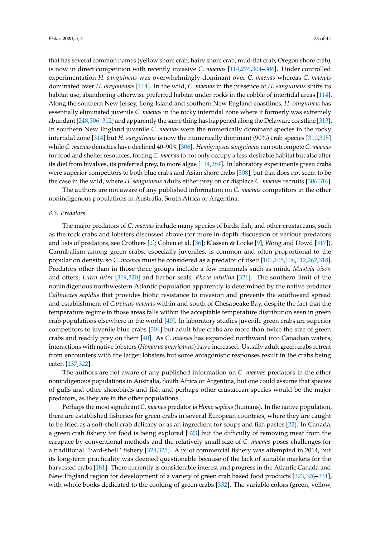that has several common names (yellow shore crab, hairy shore crab, mud-flat crab, Oregon shore crab), is now in direct competition with recently invasive *C. maenas* [\[114,](#page-31-5)[276,](#page-38-18)[304](#page-39-9)[–306\]](#page-39-10). Under controlled experimentation *H. sanguineus* was overwhelmingly dominant over *C. maenas* whereas *C. maenas* dominated over *H. oregonensis* [\[114\]](#page-31-5). In the wild, *C. maenas* in the presence of *H. sanguineus* shifts its habitat use, abandoning otherwise preferred habitat under rocks in the cobble of intertidal areas [\[114\]](#page-31-5). Along the southern New Jersey, Long Island and southern New England coastlines, *H. sanguineis* has essentially eliminated juvenile *C. maenas* in the rocky intertidal zone where it formerly was extremely abundant [\[248](#page-36-20)[,306](#page-39-10)[–312\]](#page-39-11) and apparently the same thing has happened along the Delaware coastline [\[313\]](#page-39-12). In southern New England juvenile *C. maenas* were the numerically dominant species in the rocky intertidal zone [\[314\]](#page-39-13) but *H. sanguineus* is now the numerically dominant (90%) crab species [\[310](#page-39-14)[,315\]](#page-40-0) while *C. maenas* densities have declined 40–90% [\[306\]](#page-39-10). *Hemigrapsus sanguineus* can outcompete *C. maenas* for food and shelter resources, forcing *C. maenas* to not only occupy a less-desirable habitat but also alter its diet from bivalves, its preferred prey, to more algae [\[114](#page-31-5)[,284\]](#page-38-7). In laboratory experiments green crabs were superior competitors to both blue crabs and Asian shore crabs [\[308\]](#page-39-15), but that does not seem to be the case in the wild, where *H. sanguineus* adults either prey on or displace *C. maenas* recruits [\[306,](#page-39-10)[316\]](#page-40-1).

The authors are not aware of any published information on *C. maenas* competitors in the other nonindigenous populations in Australia, South Africa or Argentina.

## *8.3. Predators*

The major predators of *C. maenas* include many species of birds, fish, and other crustaceans, such as the rock crabs and lobsters discussed above (for more in-depth discussion of various predators and lists of predators, see Crothers [\[2\]](#page-26-1); Cohen et al. [\[36\]](#page-27-16); Klassen & Locke [\[9\]](#page-26-5); Wong and Dowd [\[317\]](#page-40-2)). Cannibalism among green crabs, especially juveniles, is common and often proportional to the population density, so *C. maenas* must be considered as a predator of itself [\[101,](#page-30-14)[105,](#page-30-19)[106,](#page-30-13)[112,](#page-31-4)[262,](#page-37-11)[318\]](#page-40-3). Predators other than in those three groups include a few mammals such as mink, *Mustela vison* and otters, *Lutra lutra* [\[319](#page-40-4)[,320\]](#page-40-5) and harbor seals, *Phoca vitulina* [\[321\]](#page-40-6). The southern limit of the nonindigenous northwestern Atlantic population apparently is determined by the native predator *Callinectes sapidus* that provides biotic resistance to invasion and prevents the southward spread and establishment of *Carcinus maenas* within and south of Chesapeake Bay, despite the fact that the temperature regime in those areas falls within the acceptable temperature distribution seen in green crab populations elsewhere in the world [\[40\]](#page-28-0). In laboratory studies juvenile green crabs are superior competitors to juvenile blue crabs [\[304\]](#page-39-9) but adult blue crabs are more than twice the size of green crabs and readily prey on them [\[40\]](#page-28-0). As *C. maenas* has expanded northward into Canadian waters, interactions with native lobsters (*Homarus americanus*) have increased. Usually adult green crabs retreat from encounters with the larger lobsters but some antagonistic responses result in the crabs being eaten [\[237](#page-36-9)[,322\]](#page-40-7).

The authors are not aware of any published information on *C. maenas* predators in the other nonindigenous populations in Australia, South Africa or Argentina, but one could assume that species of gulls and other shorebirds and fish and perhaps other crustacean species would be the major predators, as they are in the other populations.

Perhaps the most significant *C. maenas* predator is *Homo sapiens* (humans). In the native population, there are established fisheries for green crabs in several European countries, where they are caught to be fried as a soft-shell crab delicacy or as an ingredient for soups and fish pastes [\[22\]](#page-27-4). In Canada, a green crab fishery for food is being explored [\[323\]](#page-40-8) but the difficulty of removing meat from the carapace by conventional methods and the relatively small size of *C. maenas* poses challenges for a traditional "hard-shell" fishery [\[324,](#page-40-9)[325\]](#page-40-10). A pilot commercial fishery was attempted in 2014, but its long-term practicality was deemed questionable because of the lack of suitable markets for the harvested crabs [\[181\]](#page-34-1). There currently is considerable interest and progress in the Atlantic Canada and New England region for development of a variety of green crab based food products [\[323,](#page-40-8)[326](#page-40-11)[–331\]](#page-40-12), with whole books dedicated to the cooking of green crabs [\[332\]](#page-40-13). The variable colors (green, yellow,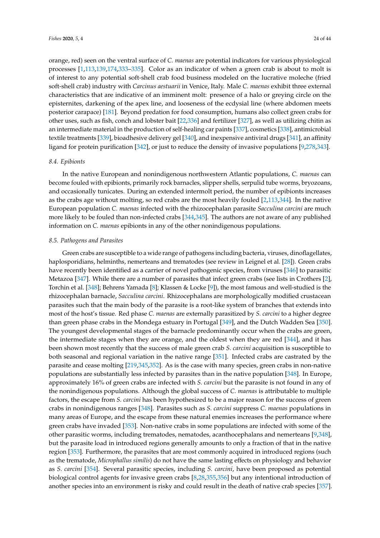orange, red) seen on the ventral surface of *C. maenas* are potential indicators for various physiological processes [\[1](#page-26-0)[,113](#page-31-10)[,139,](#page-32-7)[174](#page-33-18)[,333–](#page-40-14)[335\]](#page-40-15). Color as an indicator of when a green crab is about to molt is of interest to any potential soft-shell crab food business modeled on the lucrative moleche (fried soft-shell crab) industry with *Carcinus aestuarii* in Venice, Italy. Male *C. maenas* exhibit three external characteristics that are indicative of an imminent molt: presence of a halo or greying circle on the episternites, darkening of the apex line, and looseness of the ecdysial line (where abdomen meets posterior carapace) [\[181\]](#page-34-1). Beyond predation for food consumption, humans also collect green crabs for other uses, such as fish, conch and lobster bait [\[22](#page-27-4)[,336\]](#page-40-16) and fertilizer [\[327\]](#page-40-17), as well as utilizing chitin as an intermediate material in the production of self-healing car paints [\[337\]](#page-40-18), cosmetics [\[338\]](#page-40-19), antimicrobial textile treatments [\[339\]](#page-41-0), bioadhesive delivery gel [\[340\]](#page-41-1), and inexpensive antiviral drugs [\[341\]](#page-41-2), an affinity ligand for protein purification [\[342\]](#page-41-3), or just to reduce the density of invasive populations [\[9](#page-26-5)[,278,](#page-38-0)[343\]](#page-41-4).

## *8.4. Epibionts*

In the native European and nonindigenous northwestern Atlantic populations, *C. maenas* can become fouled with epibionts, primarily rock barnacles, slipper shells, serpulid tube worms, bryozoans, and occasionally tunicates. During an extended intermolt period, the number of epibionts increases as the crabs age without molting, so red crabs are the most heavily fouled [\[2,](#page-26-1)[113,](#page-31-10)[344\]](#page-41-5). In the native European population *C. maenas* infected with the rhizocephalan parasite *Sacculina carcini* are much more likely to be fouled than non-infected crabs [\[344](#page-41-5)[,345\]](#page-41-6). The authors are not aware of any published information on *C. maenas* epibionts in any of the other nonindigenous populations.

## *8.5. Pathogens and Parasites*

Green crabs are susceptible to a wide range of pathogens including bacteria, viruses, dinoflagellates, haplosporidians, helminths, nemerteans and trematodes (see review in Leignel et al. [\[28\]](#page-27-6)). Green crabs have recently been identified as a carrier of novel pathogenic species, from viruses [\[346\]](#page-41-7) to parasitic Metazoa [\[347\]](#page-41-8). While there are a number of parasites that infect green crabs (see lists in Crothers [\[2\]](#page-26-1), Torchin et al. [\[348\]](#page-41-9); Behrens Yamada [\[8\]](#page-26-4); Klassen & Locke [\[9\]](#page-26-5)), the most famous and well-studied is the rhizocephalan barnacle, *Sacculina carcini*. Rhizocephalans are morphologically modified crustacean parasites such that the main body of the parasite is a root-like system of branches that extends into most of the host's tissue. Red phase *C. maenas* are externally parasitized by *S. carcini* to a higher degree than green phase crabs in the Mondega estuary in Portugal [\[349\]](#page-41-10), and the Dutch Wadden Sea [\[350\]](#page-41-11). The youngest developmental stages of the barnacle predominantly occur when the crabs are green, the intermediate stages when they are orange, and the oldest when they are red [\[344\]](#page-41-5), and it has been shown most recently that the success of male green crab *S. carcini* acquisition is susceptible to both seasonal and regional variation in the native range [\[351\]](#page-41-12). Infected crabs are castrated by the parasite and cease molting [\[219](#page-35-14)[,345](#page-41-6)[,352\]](#page-41-13). As is the case with many species, green crabs in non-native populations are substantially less infected by parasites than in the native population [\[348\]](#page-41-9). In Europe, approximately 16% of green crabs are infected with *S. carcini* but the parasite is not found in any of the nonindigenous populations. Although the global success of *C. maenas* is attributable to multiple factors, the escape from *S. carcini* has been hypothesized to be a major reason for the success of green crabs in nonindigenous ranges [\[348\]](#page-41-9). Parasites such as *S. carcini* suppress *C. maenas* populations in many areas of Europe, and the escape from these natural enemies increases the performance where green crabs have invaded [\[353\]](#page-41-14). Non-native crabs in some populations are infected with some of the other parasitic worms, including trematodes, nematodes, acanthocephalans and nemerteans [\[9,](#page-26-5)[348\]](#page-41-9), but the parasite load in introduced regions generally amounts to only a fraction of that in the native region [\[353\]](#page-41-14). Furthermore, the parasites that are most commonly acquired in introduced regions (such as the trematode, *Microphallus similis*) do not have the same lasting effects on physiology and behavior as *S. carcini* [\[354\]](#page-41-15). Several parasitic species, including *S. carcini*, have been proposed as potential biological control agents for invasive green crabs [\[8](#page-26-4)[,28](#page-27-6)[,355](#page-41-16)[,356\]](#page-41-17) but any intentional introduction of another species into an environment is risky and could result in the death of native crab species [\[357\]](#page-41-18).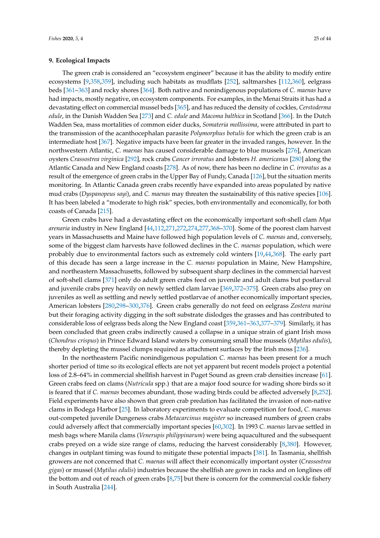## **9. Ecological Impacts**

The green crab is considered an "ecosystem engineer" because it has the ability to modify entire ecosystems [\[9](#page-26-5)[,358](#page-41-19)[,359\]](#page-42-0), including such habitats as mudflats [\[252\]](#page-37-1), saltmarshes [\[112](#page-31-4)[,360\]](#page-42-1), eelgrass beds [\[361–](#page-42-2)[363\]](#page-42-3) and rocky shores [\[364\]](#page-42-4). Both native and nonindigenous populations of *C. maenas* have had impacts, mostly negative, on ecosystem components. For examples, in the Menai Straits it has had a devastating effect on commercial mussel beds [\[365\]](#page-42-5), and has reduced the density of cockles, *Cerstoderma edule*, in the Danish Wadden Sea [\[273\]](#page-37-21) and *C. edule* and *Macoma balthica* in Scotland [\[366\]](#page-42-6). In the Dutch Wadden Sea, mass mortalities of common eider ducks, *Somateria mollissima*, were attributed in part to the transmission of the acanthocephalan parasite *Polymorphus botulis* for which the green crab is an intermediate host [\[367\]](#page-42-7). Negative impacts have been far greater in the invaded ranges, however. In the northwestern Atlantic, *C. maenas* has caused considerable damage to blue mussels [\[276\]](#page-38-18), American oysters *Crassostrea virginica* [\[292\]](#page-38-15), rock crabs *Cancer irroratus* and lobsters *H. americanus* [\[280\]](#page-38-3) along the Atlantic Canada and New England coasts [\[278\]](#page-38-0). As of now, there has been no decline in *C. irroratus* as a result of the emergence of green crabs in the Upper Bay of Fundy, Canada [\[126\]](#page-31-14), but the situation merits monitoring. In Atlantic Canada green crabs recently have expanded into areas populated by native mud crabs (*Dyspanopeus sayi*), and *C. maenas* may threaten the sustainability of this native species [\[106\]](#page-30-13). It has been labeled a "moderate to high risk" species, both environmentally and economically, for both coasts of Canada [\[215\]](#page-35-9).

Green crabs have had a devastating effect on the economically important soft-shell clam *Mya arenaria* industry in New England [\[44,](#page-28-2)[112,](#page-31-4)[271,](#page-37-20)[272](#page-37-22)[,274](#page-38-19)[,277](#page-38-20)[,368](#page-42-8)[–370\]](#page-42-9). Some of the poorest clam harvest years in Massachusetts and Maine have followed high population levels of *C. maenas* and, conversely, some of the biggest clam harvests have followed declines in the *C. maenas* population, which were probably due to environmental factors such as extremely cold winters [\[19](#page-27-1)[,44,](#page-28-2)[368\]](#page-42-8). The early part of this decade has seen a large increase in the *C. maenas* population in Maine, New Hampshire, and northeastern Massachusetts, followed by subsequent sharp declines in the commercial harvest of soft-shell clams [\[371\]](#page-42-10) only do adult green crabs feed on juvenile and adult clams but postlarval and juvenile crabs prey heavily on newly settled clam larvae [\[369](#page-42-11)[,372–](#page-42-12)[375\]](#page-42-13). Green crabs also prey on juveniles as well as settling and newly settled postlarvae of another economically important species, American lobsters [\[280,](#page-38-3)[298](#page-39-3)[–300,](#page-39-5)[376\]](#page-42-14). Green crabs generally do not feed on eelgrass *Zostera marina* but their foraging activity digging in the soft substrate dislodges the grasses and has contributed to considerable loss of eelgrass beds along the New England coast [\[359,](#page-42-0)[361](#page-42-2)[–363](#page-42-3)[,377–](#page-42-15)[379\]](#page-42-16). Similarly, it has been concluded that green crabs indirectly caused a collapse in a unique strain of giant Irish moss (*Chondrus crispus*) in Prince Edward Island waters by consuming small blue mussels (*Mytilus edulis*), thereby depleting the mussel clumps required as attachment surfaces by the Irish moss [\[236\]](#page-36-8).

In the northeastern Pacific nonindigenous population *C. maenas* has been present for a much shorter period of time so its ecological effects are not yet apparent but recent models project a potential loss of 2.8–64% in commercial shellfish harvest in Puget Sound as green crab densities increase [\[61\]](#page-29-13). Green crabs feed on clams (*Nutricula* spp.) that are a major food source for wading shore birds so it is feared that if *C. maenas* becomes abundant, those wading birds could be affected adversely [\[8,](#page-26-4)[252\]](#page-37-1). Field experiments have also shown that green crab predation has facilitated the invasion of non-native clams in Bodega Harbor [\[25\]](#page-27-17). In laboratory experiments to evaluate competition for food, *C. maenas* out-competed juvenile Dungeness crabs *Metacarcinus magister* so increased numbers of green crabs could adversely affect that commercially important species [\[60](#page-28-18)[,302\]](#page-39-7). In 1993 *C. maenas* larvae settled in mesh bags where Manila clams (*Venerupis philippinarum*) were being aquacultured and the subsequent crabs preyed on a wide size range of clams, reducing the harvest considerably [\[8](#page-26-4)[,380\]](#page-43-0). However, changes in outplant timing was found to mitigate these potential impacts [\[381\]](#page-43-1). In Tasmania, shellfish growers are not concerned that *C. maenas* will affect their economically important oyster (*Crassostrea gigas*) or mussel (*Mytilus edulis*) industries because the shellfish are gown in racks and on longlines off the bottom and out of reach of green crabs [\[8](#page-26-4)[,75\]](#page-29-8) but there is concern for the commercial cockle fishery in South Australia [\[244\]](#page-36-16).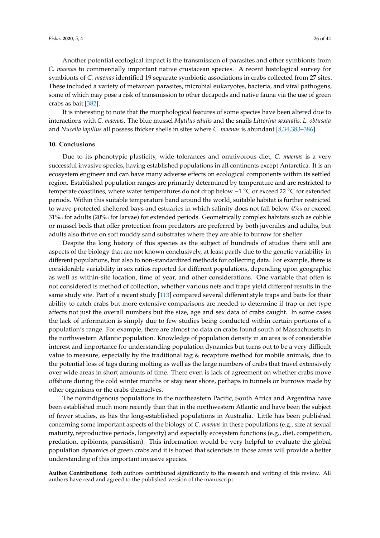Another potential ecological impact is the transmission of parasites and other symbionts from *C. maenas* to commercially important native crustacean species. A recent histological survey for symbionts of *C. maenas* identified 19 separate symbiotic associations in crabs collected from 27 sites. These included a variety of metazoan parasites, microbial eukaryotes, bacteria, and viral pathogens, some of which may pose a risk of transmission to other decapods and native fauna via the use of green crabs as bait [\[382\]](#page-43-2).

It is interesting to note that the morphological features of some species have been altered due to interactions with *C. maenas*. The blue mussel *Mytilus edulis* and the snails *Littorina saxatalis, L. obtusata* and *Nucella lapillus* all possess thicker shells in sites where *C. maenas* is abundant [\[8](#page-26-4)[,34](#page-27-18)[,383–](#page-43-3)[386\]](#page-43-4).

#### **10. Conclusions**

Due to its phenotypic plasticity, wide tolerances and omnivorous diet, *C. maenas* is a very successful invasive species, having established populations in all continents except Antarctica. It is an ecosystem engineer and can have many adverse effects on ecological components within its settled region. Established population ranges are primarily determined by temperature and are restricted to temperate coastlines, where water temperatures do not drop below −1 ◦C or exceed 22 ◦C for extended periods. Within this suitable temperature band around the world, suitable habitat is further restricted to wave-protected sheltered bays and estuaries in which salinity does not fall below 4‰ or exceed 31% for adults (20% for larvae) for extended periods. Geometrically complex habitats such as cobble or mussel beds that offer protection from predators are preferred by both juveniles and adults, but adults also thrive on soft muddy sand substrates where they are able to burrow for shelter.

Despite the long history of this species as the subject of hundreds of studies there still are aspects of the biology that are not known conclusively, at least partly due to the genetic variability in different populations, but also to non-standardized methods for collecting data. For example, there is considerable variability in sex ratios reported for different populations, depending upon geographic as well as within-site location, time of year, and other considerations. One variable that often is not considered is method of collection, whether various nets and traps yield different results in the same study site. Part of a recent study [\[113\]](#page-31-10) compared several different style traps and baits for their ability to catch crabs but more extensive comparisons are needed to determine if trap or net type affects not just the overall numbers but the size, age and sex data of crabs caught. In some cases the lack of information is simply due to few studies being conducted within certain portions of a population's range. For example, there are almost no data on crabs found south of Massachusetts in the northwestern Atlantic population. Knowledge of population density in an area is of considerable interest and importance for understanding population dynamics but turns out to be a very difficult value to measure, especially by the traditional tag & recapture method for mobile animals, due to the potential loss of tags during molting as well as the large numbers of crabs that travel extensively over wide areas in short amounts of time. There even is lack of agreement on whether crabs move offshore during the cold winter months or stay near shore, perhaps in tunnels or burrows made by other organisms or the crabs themselves.

The nonindigenous populations in the northeastern Pacific, South Africa and Argentina have been established much more recently than that in the northwestern Atlantic and have been the subject of fewer studies, as has the long-established populations in Australia. Little has been published concerning some important aspects of the biology of *C. maenas* in these populations (e.g., size at sexual maturity, reproductive periods, longevity) and especially ecosystem functions (e.g., diet, competition, predation, epibionts, parasitism). This information would be very helpful to evaluate the global population dynamics of green crabs and it is hoped that scientists in those areas will provide a better understanding of this important invasive species.

**Author Contributions:** Both authors contributed significantly to the research and writing of this review. All authors have read and agreed to the published version of the manuscript.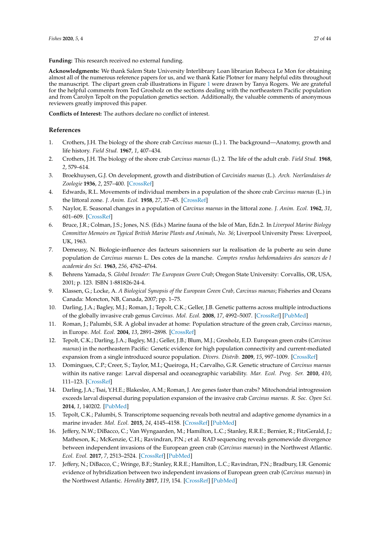**Funding:** This research received no external funding.

**Acknowledgments:** We thank Salem State University Interlibrary Loan librarian Rebecca Le Mon for obtaining almost all of the numerous reference papers for us, and we thank Katie Plotner for many helpful edits throughout the manuscript. The clipart green crab illustrations in Figure [1](#page-3-0) were drawn by Tanya Rogers. We are grateful for the helpful comments from Ted Grosholz on the sections dealing with the northeastern Pacific population and from Carolyn Tepolt on the population genetics section. Additionally, the valuable comments of anonymous reviewers greatly improved this paper.

**Conflicts of Interest:** The authors declare no conflict of interest.

# **References**

- <span id="page-26-0"></span>1. Crothers, J.H. The biology of the shore crab *Carcinus maenas* (L.) 1. The background—Anatomy, growth and life history. *Field Stud.* **1967**, *1*, 407–434.
- <span id="page-26-1"></span>2. Crothers, J.H. The biology of the shore crab *Carcinus maenas* (L.) 2. The life of the adult crab. *Field Stud.* **1968**, *2*, 579–614.
- <span id="page-26-2"></span>3. Broekhuysen, G.J. On development, growth and distribution of *Carcinides maenas* (L.). *Arch. Neerlandaises de Zoologie* **1936**, *2*, 257–400. [\[CrossRef\]](http://dx.doi.org/10.1163/187530137X00104)
- <span id="page-26-15"></span>4. Edwards, R.L. Movements of individual members in a population of the shore crab *Carcinus maenas* (L.) in the littoral zone. *J. Anim. Ecol.* **1958**, *27*, 37–45. [\[CrossRef\]](http://dx.doi.org/10.2307/2172)
- <span id="page-26-14"></span>5. Naylor, E. Seasonal changes in a population of *Carcinus maenas* in the littoral zone. *J. Anim. Ecol.* **1962**, *31*, 601–609. [\[CrossRef\]](http://dx.doi.org/10.2307/2055)
- 6. Bruce, J.R.; Colman, J.S.; Jones, N.S. (Eds.) Marine fauna of the Isle of Man, Edn.2. In *Liverpool Marine Biology Committee Memoirs on Typical British Marine Plants and Animals, No. 36*; Liverpool University Press: Liverpool, UK, 1963.
- <span id="page-26-3"></span>7. Demeusy, N. Biologie-influence des facteurs saisonniers sur la realisation de la puberte au sein dune population de *Carcinus maenas* L. Des cotes de la manche. *Comptes rendus hebdomadaires des seances de l academie des Sci.* **1963**, *256*, 4762–4764.
- <span id="page-26-4"></span>8. Behrens Yamada, S. *Global Invader: The European Green Crab*; Oregon State University: Corvallis, OR, USA, 2001; p. 123. ISBN 1-881826-24-4.
- <span id="page-26-5"></span>9. Klassen, G.; Locke, A. *A Biological Synopsis of the European Green Crab, Carcinus maenas*; Fisheries and Oceans Canada: Moncton, NB, Canada, 2007; pp. 1–75.
- <span id="page-26-6"></span>10. Darling, J.A.; Bagley, M.J.; Roman, J.; Tepolt, C.K.; Geller, J.B. Genetic patterns across multiple introductions of the globally invasive crab genus *Carcinus*. *Mol. Ecol.* **2008**, *17*, 4992–5007. [\[CrossRef\]](http://dx.doi.org/10.1111/j.1365-294X.2008.03978.x) [\[PubMed\]](http://www.ncbi.nlm.nih.gov/pubmed/19120987)
- <span id="page-26-7"></span>11. Roman, J.; Palumbi, S.R. A global invader at home: Population structure of the green crab, *Carcinus maenas*, in Europe. *Mol. Ecol.* **2004**, *13*, 2891–2898. [\[CrossRef\]](http://dx.doi.org/10.1111/j.1365-294X.2004.02255.x)
- <span id="page-26-8"></span>12. Tepolt, C.K.; Darling, J.A.; Bagley, M.J.; Geller, J.B.; Blum, M.J.; Grosholz, E.D. European green crabs (*Carcinus maenas*) in the northeastern Pacific: Genetic evidence for high population connectivity and current-mediated expansion from a single introduced source population. *Divers. Distrib.* **2009**, *15*, 997–1009. [\[CrossRef\]](http://dx.doi.org/10.1111/j.1472-4642.2009.00605.x)
- <span id="page-26-9"></span>13. Domingues, C.P.; Creer, S.; Taylor, M.I.; Queiroga, H.; Carvalho, G.R. Genetic structure of *Carcinus maenas* within its native range: Larval dispersal and oceanographic variability. *Mar. Ecol. Prog. Ser.* **2010**, *410*, 111–123. [\[CrossRef\]](http://dx.doi.org/10.3354/meps08610)
- <span id="page-26-11"></span>14. Darling, J.A.; Tsai, Y.H.E.; Blakeslee, A.M.; Roman, J. Are genes faster than crabs? Mitochondrial introgression exceeds larval dispersal during population expansion of the invasive crab *Carcinus maenas*. *R. Soc. Open Sci.* **2014**, *1*, 140202. [\[PubMed\]](http://www.ncbi.nlm.nih.gov/pubmed/26064543)
- <span id="page-26-12"></span>15. Tepolt, C.K.; Palumbi, S. Transcriptome sequencing reveals both neutral and adaptive genome dynamics in a marine invader. *Mol. Ecol.* **2015**, *24*, 4145–4158. [\[CrossRef\]](http://dx.doi.org/10.1111/mec.13294) [\[PubMed\]](http://www.ncbi.nlm.nih.gov/pubmed/26118396)
- <span id="page-26-13"></span>16. Jeffery, N.W.; DiBacco, C.; Van Wyngaarden, M.; Hamilton, L.C.; Stanley, R.R.E.; Bernier, R.; FitzGerald, J.; Matheson, K.; McKenzie, C.H.; Ravindran, P.N.; et al. RAD sequencing reveals genomewide divergence between independent invasions of the European green crab (*Carcinus maenas*) in the Northwest Atlantic. *Ecol. Evol.* **2017**, *7*, 2513–2524. [\[CrossRef\]](http://dx.doi.org/10.1002/ece3.2872) [\[PubMed\]](http://www.ncbi.nlm.nih.gov/pubmed/28428843)
- <span id="page-26-10"></span>17. Jeffery, N.; DiBacco, C.; Wringe, B.F.; Stanley, R.R.E.; Hamilton, L.C.; Ravindran, P.N.; Bradbury, I.R. Genomic evidence of hybridization between two independent invasions of European green crab (*Carcinus maenas*) in the Northwest Atlantic. *Heredity* **2017**, *119*, 154. [\[CrossRef\]](http://dx.doi.org/10.1038/hdy.2017.22) [\[PubMed\]](http://www.ncbi.nlm.nih.gov/pubmed/28422135)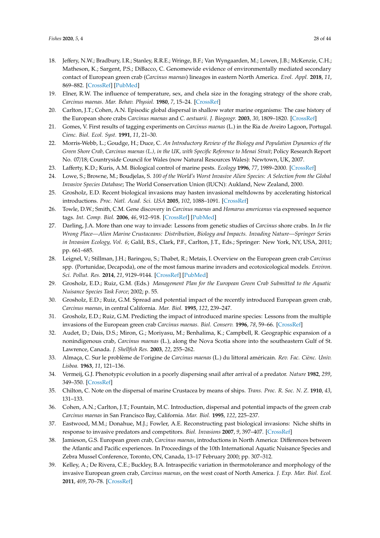- <span id="page-27-0"></span>18. Jeffery, N.W.; Bradbury, I.R.; Stanley, R.R.E.; Wringe, B.F.; Van Wyngaarden, M.; Lowen, J.B.; McKenzie, C.H.; Matheson, K.; Sargent, P.S.; DiBacco, C. Genomewide evidence of environmentally mediated secondary contact of European green crab (*Carcinus maenas*) lineages in eastern North America. *Evol. Appl.* **2018**, *11*, 869–882. [\[CrossRef\]](http://dx.doi.org/10.1111/eva.12601) [\[PubMed\]](http://www.ncbi.nlm.nih.gov/pubmed/29928296)
- <span id="page-27-1"></span>19. Elner, R.W. The influence of temperature, sex, and chela size in the foraging strategy of the shore crab, *Carcinus maenas*. *Mar. Behav. Physiol.* **1980**, *7*, 15–24. [\[CrossRef\]](http://dx.doi.org/10.1080/10236248009386968)
- <span id="page-27-2"></span>20. Carlton, J.T.; Cohen, A.N. Episodic global dispersal in shallow water marine organisms: The case history of the European shore crabs *Carcinus maenas* and *C. aestuarii*. *J. Biogeogr.* **2003**, *30*, 1809–1820. [\[CrossRef\]](http://dx.doi.org/10.1111/j.1365-2699.2003.00962.x)
- <span id="page-27-3"></span>21. Gomes, V. First results of tagging experiments on *Carcinus maenas* (L.) in the Ria de Aveiro Lagoon, Portugal. *Cienc. Biol. Ecol. Syst.* **1991**, *11*, 21–30.
- <span id="page-27-4"></span>22. Morris-Webb, L.; Goudge, H.; Duce, C. *An Introductory Review of the Biology and Population Dynamics of the Green Shore Crab, Carcinus maenas (L.), in the UK, with Specific Reference to Menai Strait*; Policy Research Report No. 07/18; Countryside Council for Wales (now Natural Resources Wales): Newtown, UK, 2007.
- <span id="page-27-5"></span>23. Lafferty, K.D.; Kuris, A.M. Biological control of marine pests. *Ecology* **1996**, *77*, 1989–2000. [\[CrossRef\]](http://dx.doi.org/10.2307/2265695)
- 24. Lowe, S.; Browne, M.; Boudjelas, S. *100 of the World's Worst Invasive Alien Species: A Selection from the Global Invasive Species Database*; The World Conservation Union (IUCN): Aukland, New Zealand, 2000.
- <span id="page-27-17"></span>25. Grosholz, E.D. Recent biological invasions may hasten invasional meltdowns by accelerating historical introductions. *Proc. Natl. Acad. Sci. USA* **2005**, *102*, 1088–1091. [\[CrossRef\]](http://dx.doi.org/10.1073/pnas.0308547102)
- 26. Towle, D.W.; Smith, C.M. Gene discovery in *Carcinus maenas* and *Homarus americanus* via expressed sequence tags. *Int. Comp. Biol.* **2006**, *46*, 912–918. [\[CrossRef\]](http://dx.doi.org/10.1093/icb/icl002) [\[PubMed\]](http://www.ncbi.nlm.nih.gov/pubmed/21672795)
- <span id="page-27-15"></span>27. Darling, J.A. More than one way to invade: Lessons from genetic studies of *Carcinus* shore crabs. In *In the Wrong Place—Alien Marine Crustaceans: Distribution, Biology and Impacts. Invading Nature—Springer Series in Invasion Ecology, Vol. 6*; Galil, B.S., Clark, P.F., Carlton, J.T., Eds.; Springer: New York, NY, USA, 2011; pp. 661–685.
- <span id="page-27-6"></span>28. Leignel, V.; Stillman, J.H.; Baringou, S.; Thabet, R.; Metais, I. Overview on the European green crab *Carcinus* spp. (Portunidae, Decapoda), one of the most famous marine invaders and ecotoxicological models. *Environ. Sci. Pollut. Res.* **2014**, *21*, 9129–9144. [\[CrossRef\]](http://dx.doi.org/10.1007/s11356-014-2979-4) [\[PubMed\]](http://www.ncbi.nlm.nih.gov/pubmed/24793074)
- <span id="page-27-7"></span>29. Grosholz, E.D.; Ruiz, G.M. (Eds.) *Management Plan for the European Green Crab Submitted to the Aquatic Nuisance Species Task Force*; 2002; p. 55.
- <span id="page-27-8"></span>30. Grosholz, E.D.; Ruiz, G.M. Spread and potential impact of the recently introduced European green crab, *Carcinus maenas*, in central California. *Mar. Biol.* **1995**, *122*, 239–247.
- <span id="page-27-14"></span>31. Grosholz, E.D.; Ruiz, G.M. Predicting the impact of introduced marine species: Lessons from the multiple invasions of the European green crab *Carcinus maenas*. *Biol. Conserv.* **1996**, *78*, 59–66. [\[CrossRef\]](http://dx.doi.org/10.1016/0006-3207(94)00018-2)
- <span id="page-27-9"></span>32. Audet, D.; Dais, D.S.; Miron, G.; Moriyasu, M.; Benhalima, K.; Campbell, R. Geographic expansion of a nonindigenous crab, *Carcinus maenas* (L.), along the Nova Scotia shore into the southeastern Gulf of St. Lawrence, Canada. *J. Shellfish Res.* **2003**, *22*, 255–262.
- <span id="page-27-10"></span>33. Almaça, C. Sur le problème de l'origine de *Carcinus maenas* (L.) du littoral américain. *Rev. Fac. Ciènc. Univ. Lisboa.* **1963**, *11*, 121–136.
- <span id="page-27-18"></span>34. Vermeij, G.J. Phenotypic evolution in a poorly dispersing snail after arrival of a predator. *Nature* **1982**, *299*, 349–350. [\[CrossRef\]](http://dx.doi.org/10.1038/299349a0)
- 35. Chilton, C. Note on the dispersal of marine Crustacea by means of ships. *Trans. Proc. R. Soc. N. Z.* **1910**, *43*, 131–133.
- <span id="page-27-16"></span>36. Cohen, A.N.; Carlton, J.T.; Fountain, M.C. Introduction, dispersal and potential impacts of the green crab *Carcinus maenas* in San Francisco Bay, California. *Mar. Biol.* **1995**, *122*, 225–237.
- <span id="page-27-11"></span>37. Eastwood, M.M.; Donahue, M.J.; Fowler, A.E. Reconstructing past biological invasions: Niche shifts in response to invasive predators and competitors. *Biol. Invasions* **2007**, *9*, 397–407. [\[CrossRef\]](http://dx.doi.org/10.1007/s10530-006-9041-5)
- <span id="page-27-12"></span>38. Jamieson, G.S. European green crab, *Carcinus maenas*, introductions in North America: Differences between the Atlantic and Pacific experiences. In Proceedings of the 10th International Aquatic Nuisance Species and Zebra Mussel Conference, Toronto, ON, Canada, 13–17 February 2000; pp. 307–312.
- <span id="page-27-13"></span>39. Kelley, A.; De Rivera, C.E.; Buckley, B.A. Intraspecific variation in thermotolerance and morphology of the invasive European green crab, *Carcinus maenas*, on the west coast of North America. *J. Exp. Mar. Biol. Ecol.* **2011**, *409*, 70–78. [\[CrossRef\]](http://dx.doi.org/10.1016/j.jembe.2011.08.005)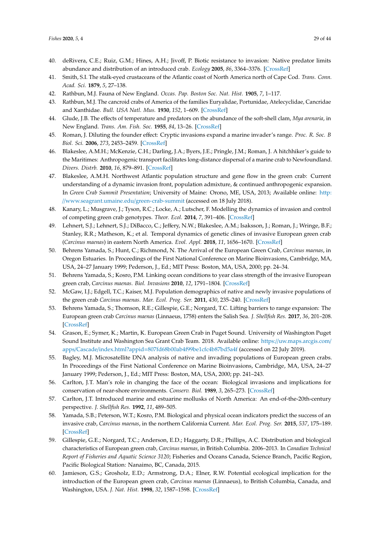- <span id="page-28-0"></span>40. deRivera, C.E.; Ruiz, G.M.; Hines, A.H.; Jivoff, P. Biotic resistance to invasion: Native predator limits abundance and distribution of an introduced crab. *Ecology* **2005**, *86*, 3364–3376. [\[CrossRef\]](http://dx.doi.org/10.1890/05-0479)
- <span id="page-28-1"></span>41. Smith, S.I. The stalk-eyed crustaceans of the Atlantic coast of North America north of Cape Cod. *Trans. Conn. Acad. Sci.* **1879**, *5*, 27–138.
- 42. Rathbun, M.J. Fauna of New England. *Occas. Pap. Boston Soc. Nat. Hist.* **1905**, *7*, 1–117.
- 43. Rathbun, M.J. The cancroid crabs of America of the families Euryalidae, Portunidae, Atelecyclidae, Cancridae and Xanthidae. *Bull. USA Natl. Mus.* **1930**, *152*, 1–609. [\[CrossRef\]](http://dx.doi.org/10.5479/si.03629236.152.i)
- <span id="page-28-2"></span>44. Glude, J.B. The effects of temperature and predators on the abundance of the soft-shell clam, *Mya arenaria*, in New England. *Trans. Am. Fish. Soc.* **1955**, *84*, 13–26. [\[CrossRef\]](http://dx.doi.org/10.1577/1548-8659(1954)84[13:TEOTAP]2.0.CO;2)
- <span id="page-28-3"></span>45. Roman, J. Diluting the founder effect: Cryptic invasions expand a marine invader's range. *Proc. R. Soc. B Biol. Sci.* **2006**, *273*, 2453–2459. [\[CrossRef\]](http://dx.doi.org/10.1098/rspb.2006.3597)
- <span id="page-28-6"></span>46. Blakeslee, A.M.H.; McKenzie, C.H.; Darling, J.A.; Byers, J.E.; Pringle, J.M.; Roman, J. A hitchhiker's guide to the Maritimes: Anthropogenic transport facilitates long-distance dispersal of a marine crab to Newfoundland. *Divers. Distrb.* **2010**, *16*, 879–891. [\[CrossRef\]](http://dx.doi.org/10.1111/j.1472-4642.2010.00703.x)
- <span id="page-28-4"></span>47. Blakeslee, A.M.H. Northwest Atlantic population structure and gene flow in the green crab: Current understanding of a dynamic invasion front, population admixture, & continued anthropogenic expansion. In *Green Crab Summit Presentation*; University of Maine: Orono, ME, USA, 2013; Available online: [http:](http://www.seagrant.umaine.edu/green-crab-summit) //[www.seagrant.umaine.edu](http://www.seagrant.umaine.edu/green-crab-summit)/green-crab-summit (accessed on 18 July 2018).
- <span id="page-28-5"></span>48. Kanary, L.; Musgrave, J.; Tyson, R.C.; Locke, A.; Lutscher, F. Modelling the dynamics of invasion and control of competing green crab genotypes. *Theor. Ecol.* **2014**, *7*, 391–406. [\[CrossRef\]](http://dx.doi.org/10.1007/s12080-014-0226-8)
- <span id="page-28-7"></span>49. Lehnert, S.J.; Lehnert, S.J.; DiBacco, C.; Jeffery, N.W.; Blakeslee, A.M.; Isaksson, J.; Roman, J.; Wringe, B.F.; Stanley, R.R.; Matheson, K.; et al. Temporal dynamics of genetic clines of invasive European green crab (*Carcinus maenas*) in eastern North America. *Evol. Appl.* **2018**, *11*, 1656–1670. [\[CrossRef\]](http://dx.doi.org/10.1111/eva.12657)
- <span id="page-28-8"></span>50. Behrens Yamada, S.; Hunt, C.; Richmond, N. The Arrival of the European Green Crab, *Carcinus maenas*, in Oregon Estuaries. In Proceedings of the First National Conference on Marine Bioinvasions, Cambridge, MA, USA, 24–27 January 1999; Pederson, J., Ed.; MIT Press: Boston, MA, USA, 2000; pp. 24–34.
- <span id="page-28-15"></span>51. Behrens Yamada, S.; Kosro, P.M. Linking ocean conditions to year class strength of the invasive European green crab, *Carcinus maenas*. *Biol. Invasions* **2010**, *12*, 1791–1804. [\[CrossRef\]](http://dx.doi.org/10.1007/s10530-009-9589-y)
- <span id="page-28-9"></span>52. McGaw, I.J.; Edgell, T.C.; Kaiser, M.J. Population demographics of native and newly invasive populations of the green crab *Carcinus maenas*. *Mar. Ecol. Prog. Ser.* **2011**, *430*, 235–240. [\[CrossRef\]](http://dx.doi.org/10.3354/meps09037)
- <span id="page-28-10"></span>53. Behrens Yamada, S.; Thomson, R.E.; Gillespie, G.E.; Norgard, T.C. Lifting barriers to range expansion: The European green crab *Carcinus maenas* (Linnaeus, 1758) enters the Salish Sea. *J. Shellfish Res.* **2017**, *36*, 201–208. [\[CrossRef\]](http://dx.doi.org/10.2983/035.036.0121)
- <span id="page-28-11"></span>54. Grason, E.; Symer, K.; Martin, K. European Green Crab in Puget Sound. University of Washington Puget Sound Institute and Washington Sea Grant Crab Team. 2018. Available online: https://[uw.maps.arcgis.com](https://uw.maps.arcgis.com/apps/Cascade/index.html?appid=807fd68b00ab4f99be1cfc4b87bd5a4f)/ apps/Cascade/index.html?appid=[807fd68b00ab4f99be1cfc4b87bd5a4f](https://uw.maps.arcgis.com/apps/Cascade/index.html?appid=807fd68b00ab4f99be1cfc4b87bd5a4f) (accessed on 22 July 2019).
- <span id="page-28-12"></span>55. Bagley, M.J. Microsatellite DNA analysis of native and invading populations of European green crabs. In Proceedings of the First National Conference on Marine Bioinvasions, Cambridge, MA, USA, 24–27 January 1999; Pederson, J., Ed.; MIT Press: Boston, MA, USA, 2000; pp. 241–243.
- <span id="page-28-13"></span>56. Carlton, J.T. Man's role in changing the face of the ocean: Biological invasions and implications for conservation of near-shore environments. *Conserv. Biol.* **1989**, *3*, 265–273. [\[CrossRef\]](http://dx.doi.org/10.1111/j.1523-1739.1989.tb00086.x)
- <span id="page-28-14"></span>57. Carlton, J.T. Introduced marine and estuarine mollusks of North America: An end-of-the-20th-century perspective. *J. Shellfish Res.* **1992**, *11*, 489–505.
- <span id="page-28-16"></span>58. Yamada, S.B.; Peterson, W.T.; Kosro, P.M. Biological and physical ocean indicators predict the success of an invasive crab, *Carcinus maenas*, in the northern California Current. *Mar. Ecol. Prog. Ser.* **2015**, *537*, 175–189. [\[CrossRef\]](http://dx.doi.org/10.3354/meps11431)
- <span id="page-28-17"></span>59. Gillespie, G.E.; Norgard, T.C.; Anderson, E.D.; Haggarty, D.R.; Phillips, A.C. Distribution and biological characteristics of European green crab, *Carcinus maenas*, in British Columbia. 2006–2013. In *Canadian Technical Report of Fisheries and Aquatic Science 3120*; Fisheries and Oceans Canada, Science Branch, Pacific Region, Pacific Biological Station: Nanaimo, BC, Canada, 2015.
- <span id="page-28-18"></span>60. Jamieson, G.S.; Grosholz, E.D.; Armstrong, D.A.; Elner, R.W. Potential ecological implication for the introduction of the European green crab, *Carcinus maenas* (Linnaeus), to British Columbia, Canada, and Washington, USA. *J. Nat. Hist.* **1998**, *32*, 1587–1598. [\[CrossRef\]](http://dx.doi.org/10.1080/00222939800771121)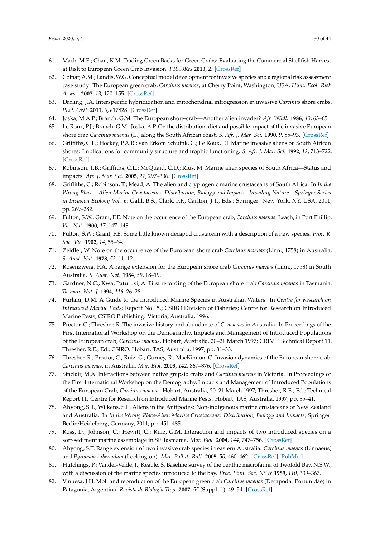- <span id="page-29-13"></span>61. Mach, M.E.; Chan, K.M. Trading Green Backs for Green Crabs: Evaluating the Commercial Shellfish Harvest at Risk to European Green Crab Invasion. *F1000Res* **2013**, *2*. [\[CrossRef\]](http://dx.doi.org/10.12688/f1000research.2-66.v1)
- <span id="page-29-0"></span>62. Colnar, A.M.; Landis, W.G. Conceptual model development for invasive species and a regional risk assessment case study: The European green crab, *Carcinus maenas*, at Cherry Point, Washington, USA. *Hum. Ecol. Risk Assess.* **2007**, *13*, 120–155. [\[CrossRef\]](http://dx.doi.org/10.1080/10807030601105076)
- <span id="page-29-1"></span>63. Darling, J.A. Interspecific hybridization and mitochondrial introgression in invasive *Carcinus* shore crabs. *PLoS ONE* **2011**, *6*, e17828. [\[CrossRef\]](http://dx.doi.org/10.1371/journal.pone.0017828)
- <span id="page-29-2"></span>64. Joska, M.A.P.; Branch, G.M. The European shore-crab—Another alien invader? *Afr. Wildl.* **1986**, *40*, 63–65.
- <span id="page-29-10"></span>65. Le Roux, P.J.; Branch, G.M.; Joska, A.P. On the distribution, diet and possible impact of the invasive European shore crab *Carcinus maenas* (L.) along the South African coast. *S. Afr. J. Mar. Sci.* **1990**, *9*, 85–93. [\[CrossRef\]](http://dx.doi.org/10.2989/025776190784378835)
- <span id="page-29-11"></span>66. Griffiths, C.L.; Hockey, P.A.R.; van Erkom Schuink, C.; Le Roux, P.J. Marine invasive aliens on South African shores: Implications for community structure and trophic functioning. *S. Afr. J. Mar. Sci.* **1992**, *12*, 713–722. [\[CrossRef\]](http://dx.doi.org/10.2989/02577619209504736)
- 67. Robinson, T.B.; Griffiths, C.L.; McQuaid, C.D.; Rius, M. Marine alien species of South Africa—Status and impacts. *Afr. J. Mar. Sci.* **2005**, *27*, 297–306. [\[CrossRef\]](http://dx.doi.org/10.2989/18142320509504088)
- <span id="page-29-3"></span>68. Griffiths, C.; Robinson, T.; Mead, A. The alien and cryptogenic marine crustaceans of South Africa. In *In the Wrong Place—Alien Marine Crustaceans: Distribution, Biology and Impacts. Invading Nature—Springer Series in Invasion Ecology Vol. 6*; Galil, B.S., Clark, P.F., Carlton, J.T., Eds.; Springer: New York, NY, USA, 2011; pp. 269–282.
- <span id="page-29-4"></span>69. Fulton, S.W.; Grant, F.E. Note on the occurrence of the European crab, *Carcinus maenas*, Leach, in Port Phillip. *Vic. Nat.* **1900**, *17*, 147–148.
- 70. Fulton, S.W.; Grant, F.E. Some little known decapod crustacean with a description of a new species. *Proc. R. Soc. Vic.* **1902**, *14*, 55–64.
- 71. Zeidler, W. Note on the occurrence of the European shore crab *Carcinus maenas* (Linn., 1758) in Australia. *S. Aust. Nat.* **1978**, *53*, 11–12.
- 72. Rosenzweig, P.A. A range extension for the European shore crab *Carcinus maenas* (Linn., 1758) in South Australia. *S. Aust. Nat.* **1984**, *59*, 18–19.
- 73. Gardner, N.C.; Kwa; Paturusi, A. First recording of the European shore crab *Carcinus maenas* in Tasmania. *Tasman. Nat. J.* **1994**, *116*, 26–28.
- 74. Furlani, D.M. A Guide to the Introduced Marine Species in Australian Waters. In *Centre for Research on Introduced Marine Pests*; Report No. 5.; CSIRO Division of Fisheries; Centre for Research on Introduced Marine Pests, CSIRO Publishing: Victoria, Australia, 1996.
- <span id="page-29-8"></span>75. Proctor, C.; Thresher, R. The invasive history and abundance of *C. maenas* in Australia. In Proceedings of the First International Workshop on the Demography, Impacts and Management of Introduced Populations of the European crab, *Carcinus maenas*, Hobart, Australia, 20–21 March 1997; CRIMP Technical Report 11. Thresher, R.E., Ed.; CSIRO: Hobart, TAS, Australia, 1997; pp. 31–33.
- <span id="page-29-6"></span>76. Thresher, R.; Proctor, C.; Ruiz, G.; Gurney, R.; MacKinnon, C. Invasion dynamics of the European shore crab, *Carcinus maenas*, in Australia. *Mar. Biol.* **2003**, *142*, 867–876. [\[CrossRef\]](http://dx.doi.org/10.1007/s00227-003-1011-1)
- 77. Sinclair, M.A. Interactions between native grapsid crabs and *Carcinus maenas* in Victoria. In Proceedings of the First International Workshop on the Demography, Impacts and Management of Introduced Populations of the European Crab, *Carcinus maenas*, Hobart, Australia, 20–21 March 1997; Thresher, R.E., Ed.; Technical Report 11. Centre for Research on Introduced Marine Pests: Hobart, TAS, Australia, 1997; pp. 35–41.
- <span id="page-29-12"></span>78. Ahyong, S.T.; Wilkens, S.L. Aliens in the Antipodes: Non-indigenous marine crustaceans of New Zealand and Australia. In *In the Wrong Place-Alien Marine Crustaceans: Distribution, Biology and Impacts*; Springer: Berlin/Heidelberg, Germany, 2011; pp. 451–485.
- 79. Ross, D.; Johnson, C.; Hewitt, C.; Ruiz, G.M. Interaction and impacts of two introduced species on a soft-sediment marine assemblage in SE Tasmania. *Mar. Biol.* **2004**, *144*, 747–756. [\[CrossRef\]](http://dx.doi.org/10.1007/s00227-003-1223-4)
- <span id="page-29-5"></span>80. Ahyong, S.T. Range extension of two invasive crab species in eastern Australia: *Carcinus maenas* (Linnaeus) and *Pyromaia tuberculata* (Lockington). *Mar. Pollut. Bull.* **2005**, *50*, 460–462. [\[CrossRef\]](http://dx.doi.org/10.1016/j.marpolbul.2005.02.003) [\[PubMed\]](http://www.ncbi.nlm.nih.gov/pubmed/15823308)
- <span id="page-29-7"></span>81. Hutchings, P.; Vander-Velde, J.; Keable, S. Baseline survey of the benthic macrofauna of Twofold Bay, N.S.W., with a discussion of the marine species introduced to the bay. *Proc. Linn. Soc. NSW* **1989**, *110*, 339–367.
- <span id="page-29-9"></span>82. Vinuesa, J.H. Molt and reproduction of the European green crab *Carcinus maenas* (Decapoda: Portunidae) in Patagonia, Argentina. *Revista de Biología Trop.* **2007**, *55* (Suppl. 1), 49–54. [\[CrossRef\]](http://dx.doi.org/10.15517/rbt.v55i0.5805)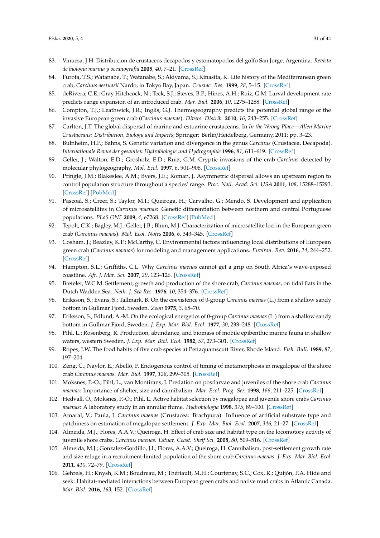- <span id="page-30-0"></span>83. Vinuesa, J.H. Distribucion de crustaceos decapodos y estomatopodos del golfo San Jorge, Argentina. *Revista de biología marina y oceanografía* **2005**, *40*, 7–21. [\[CrossRef\]](http://dx.doi.org/10.4067/S0718-19572005000100002)
- <span id="page-30-1"></span>84. Furota, T.S.; Watanabe, T.; Watanabe, S.; Akiyama, S.; Kinasita, K. Life history of the Mediterranean green crab, *Carcinus aestuarii* Nardo, in Tokyo Bay, Japan. *Crustac. Res.* **1999**, *28*, 5–15. [\[CrossRef\]](http://dx.doi.org/10.18353/crustacea.28.0_5)
- <span id="page-30-2"></span>85. deRivera, C.E.; Gray Hitchcock, N.; Teck, S.J.; Steves, B.P.; Hines, A.H.; Ruiz, G.M. Larval development rate predicts range expansion of an introduced crab. *Mar. Biol.* **2006**, *10*, 1275–1288. [\[CrossRef\]](http://dx.doi.org/10.1007/s00227-006-0451-9)
- <span id="page-30-3"></span>86. Compton, T.J.; Leathwick, J.R.; Inglis, G.J. Thermogeography predicts the potential global range of the invasive European green crab (*Carcinus maenas*). *Divers. Distrib.* **2010**, *16*, 243–255. [\[CrossRef\]](http://dx.doi.org/10.1111/j.1472-4642.2010.00644.x)
- <span id="page-30-4"></span>87. Carlton, J.T. The global dispersal of marine and estuarine crustaceans. In *In the Wrong Place—Alien Marine Crustaceans: Distribution, Biology and Impacts*; Springer: Berlin/Heidelberg, Germany, 2011; pp. 3–23.
- <span id="page-30-5"></span>88. Bulnheim, H.P.; Bahns, S. Genetic variation and divergence in the genus *Carcinus* (Crustacea, Decapoda). *Internationale Revue der gesamten Hydrobiologie und Hydrographie* **1996**, *81*, 611–619. [\[CrossRef\]](http://dx.doi.org/10.1002/iroh.19960810417)
- <span id="page-30-6"></span>89. Geller, J.; Walton, E.D.; Grosholz, E.D.; Ruiz, G.M. Cryptic invasions of the crab *Carcinus* detected by molecular phylogeography. *Mol. Ecol.* **1997**, *6*, 901–906. [\[CrossRef\]](http://dx.doi.org/10.1046/j.1365-294X.1997.00256.x)
- <span id="page-30-7"></span>90. Pringle, J.M.; Blakeslee, A.M.; Byers, J.E.; Roman, J. Asymmetric dispersal allows an upstream region to control population structure throughout a species' range. *Proc. Natl. Acad. Sci. USA* **2011**, *108*, 15288–15293. [\[CrossRef\]](http://dx.doi.org/10.1073/pnas.1100473108) [\[PubMed\]](http://www.ncbi.nlm.nih.gov/pubmed/21876126)
- <span id="page-30-8"></span>91. Pascoal, S.; Creer, S.; Taylor, M.I.; Queiroga, H.; Carvalho, G.; Mendo, S. Development and application of microsatellites in *Carcinus maenas*: Genetic differentiation between northern and central Portuguese populations. *PLoS ONE* **2009**, *4*, e7268. [\[CrossRef\]](http://dx.doi.org/10.1371/journal.pone.0007268) [\[PubMed\]](http://www.ncbi.nlm.nih.gov/pubmed/19789651)
- <span id="page-30-9"></span>92. Tepolt, C.K.; Bagley, M.J.; Geller, J.B.; Blum, M.J. Characterization of microsatellite loci in the European green crab (*Carcinus maenas*). *Mol. Ecol. Notes* **2006**, *6*, 343–345. [\[CrossRef\]](http://dx.doi.org/10.1111/j.1471-8286.2006.01226.x)
- <span id="page-30-10"></span>93. Cosham, J.; Beazley, K.F.; McCarthy, C. Environmental factors influencing local distributions of European green crab (*Carcinus maenas*) for modeling and management applications. *Environ. Rev.* **2016**, *24*, 244–252. [\[CrossRef\]](http://dx.doi.org/10.1139/er-2015-0053)
- <span id="page-30-11"></span>94. Hampton, S.L.; Griffiths, C.L. Why *Carcinus maenas* cannot get a grip on South Africa's wave-exposed coastline. *Afr. J. Mar. Sci.* **2007**, *29*, 123–126. [\[CrossRef\]](http://dx.doi.org/10.2989/AJMS.2007.29.1.11.76)
- <span id="page-30-12"></span>95. Breteler, W.C.M. Settlement, growth and production of the shore crab, *Carcinus maenas*, on tidal flats in the Dutch Wadden Sea. *Neth. J. Sea Res.* **1976**, *10*, 354–376. [\[CrossRef\]](http://dx.doi.org/10.1016/0077-7579(76)90011-9)
- <span id="page-30-15"></span>96. Eriksson, S.; Evans, S.; Tallmark, B. On the coexistence of 0-group *Carcinus maenas* (L.) from a shallow sandy bottom in Gullmar Fjord, Sweden. *Zoon* **1975**, *3*, 65–70.
- <span id="page-30-18"></span>97. Eriksson, S.; Edlund, A.-M. On the ecological energetics of 0-group *Carcinus maenas* (L.) from a shallow sandy bottom in Gullmar Fjord, Sweden. *J. Exp. Mar. Biol. Ecol.* **1977**, *30*, 233–248. [\[CrossRef\]](http://dx.doi.org/10.1016/0022-0981(77)90033-8)
- <span id="page-30-16"></span>98. Pihl, L.; Rosenberg, R. Production, abundance, and biomass of mobile epibenthic marine fauna in shallow waters, western Sweden. *J. Exp. Mar. Biol. Ecol.* **1982**, *57*, 273–301. [\[CrossRef\]](http://dx.doi.org/10.1016/0022-0981(82)90197-6)
- <span id="page-30-20"></span>99. Ropes, J.W. The food habits of five crab species at Pettaquamscutt River, Rhode Island. *Fish. Bull.* **1989**, *87*, 197–204.
- 100. Zeng, C.; Naylor, E.; Abelló, P. Endogenous control of timing of metamorphosis in megalopae of the shore crab *Carcinus maenas*. *Mar. Biol.* **1997**, *128*, 299–305. [\[CrossRef\]](http://dx.doi.org/10.1007/s002270050095)
- <span id="page-30-14"></span>101. Moksnes, P.-O.; Pihl, L.; van Montirans, J. Predation on postlarvae and juveniles of the shore crab *Carcinus maenas*: Importance of shelter, size and cannibalism. *Mar. Ecol. Prog. Ser.* **1998**, *166*, 211–225. [\[CrossRef\]](http://dx.doi.org/10.3354/meps166211)
- <span id="page-30-17"></span>102. Hedvall, O.; Moksnes, P.-O.; Pihl, L. Active habitat selection by megalopae and juvenile shore crabs *Carcinus maenas*: A laboratory study in an annular flume. *Hydrobiologia* **1998**, *375*, 89–100. [\[CrossRef\]](http://dx.doi.org/10.1023/A:1017081611077)
- 103. Amaral, V.; Paula, J. *Carcinus maenas* (Crustacea: Brachyura): Influence of artificial substrate type and patchiness on estimation of megalopae settlement. *J. Exp. Mar. Biol. Ecol.* **2007**, *346*, 21–27. [\[CrossRef\]](http://dx.doi.org/10.1016/j.jembe.2007.01.012)
- 104. Almeida, M.J.; Flores, A.A.V.; Queiroga, H. Effect of crab size and habitat type on the locomotory activity of juvenile shore crabs, *Carcinus maenas*. *Estuar. Coast. Shelf Sci.* **2008**, *80*, 509–516. [\[CrossRef\]](http://dx.doi.org/10.1016/j.ecss.2008.09.006)
- <span id="page-30-19"></span>105. Almeida, M.J.; Gonzalez-Gordillo, J.I.; Flores, A.A.V.; Queiroga, H. Cannibalism, post-settlement growth rate and size refuge in a recruitment-limited population of the shore crab *Carcinus maenas*. *J. Exp. Mar. Biol. Ecol.* **2011**, *410*, 72–79. [\[CrossRef\]](http://dx.doi.org/10.1016/j.jembe.2011.10.011)
- <span id="page-30-13"></span>106. Gehrels, H.; Knysh, K.M.; Boudreau, M.; Thériault, M.H.; Courtenay, S.C.; Cox, R.; Quijón, P.A. Hide and seek: Habitat-mediated interactions between European green crabs and native mud crabs in Atlantic Canada. *Mar. Biol.* **2016**, *163*, 152. [\[CrossRef\]](http://dx.doi.org/10.1007/s00227-016-2927-6)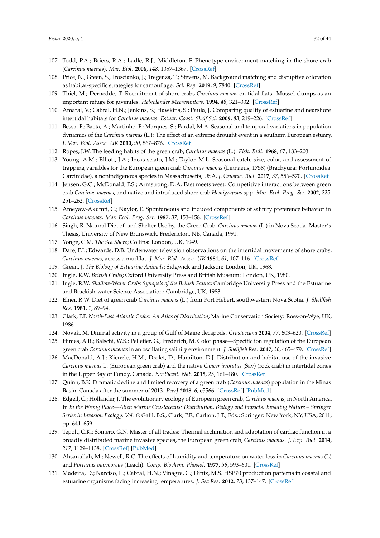- <span id="page-31-0"></span>107. Todd, P.A.; Briers, R.A.; Ladle, R.J.; Middleton, F. Phenotype-environment matching in the shore crab (*Carcinus maenas*). *Mar. Biol.* **2006**, *148*, 1357–1367. [\[CrossRef\]](http://dx.doi.org/10.1007/s00227-005-0159-2)
- <span id="page-31-1"></span>108. Price, N.; Green, S.; Troscianko, J.; Tregenza, T.; Stevens, M. Background matching and disruptive coloration as habitat-specific strategies for camouflage. *Sci. Rep.* **2019**, *9*, 7840. [\[CrossRef\]](http://dx.doi.org/10.1038/s41598-019-44349-2)
- <span id="page-31-2"></span>109. Thiel, M.; Dernedde, T. Recruitment of shore crabs *Carcinus maenas* on tidal flats: Mussel clumps as an important refuge for juveniles. *Helgoländer Meeresunters.* **1994**, *48*, 321–332. [\[CrossRef\]](http://dx.doi.org/10.1007/BF02367044)
- 110. Amaral, V.; Cabral, H.N.; Jenkins, S.; Hawkins, S.; Paula, J. Comparing quality of estuarine and nearshore intertidal habitats for *Carcinus maenas*. *Estuar. Coast. Shelf Sci.* **2009**, *83*, 219–226. [\[CrossRef\]](http://dx.doi.org/10.1016/j.ecss.2009.03.029)
- <span id="page-31-3"></span>111. Bessa, F.; Baeta, A.; Martinho, F.; Marques, S.; Pardal, M.A. Seasonal and temporal variations in population dynamics of the *Carcinus maenas* (L.): The effect of an extreme drought event in a southern European estuary. *J. Mar. Biol. Assoc. UK* **2010**, *90*, 867–876. [\[CrossRef\]](http://dx.doi.org/10.1017/S0025315409991421)
- <span id="page-31-4"></span>112. Ropes, J.W. The feeding habits of the green crab, *Carcinus maenas* (L.). *Fish. Bull.* **1968**, *67*, 183–203.
- <span id="page-31-10"></span>113. Young, A.M.; Elliott, J.A.; Incatasciato, J.M.; Taylor, M.L. Seasonal catch, size, color, and assessment of trapping variables for the European green crab *Carcinus maenas* (Linnaeus, 1758) (Brachyura: Portunoidea: Carcinidae), a nonindigenous species in Massachusetts, USA. *J. Crustac. Biol.* **2017**, *37*, 556–570. [\[CrossRef\]](http://dx.doi.org/10.1093/jcbiol/rux068)
- <span id="page-31-5"></span>114. Jensen, G.C.; McDonald, P.S.; Armstrong, D.A. East meets west: Competitive interactions between green crab *Carcinus maenas*, and native and introduced shore crab *Hemigrapsus* spp. *Mar. Ecol. Prog. Ser.* **2002**, *225*, 251–262. [\[CrossRef\]](http://dx.doi.org/10.3354/meps225251)
- <span id="page-31-6"></span>115. Ameyaw-Akumfi, C.; Naylor, E. Spontaneous and induced components of salinity preference behavior in *Carcinus maenas*. *Mar. Ecol. Prog. Ser.* **1987**, *37*, 153–158. [\[CrossRef\]](http://dx.doi.org/10.3354/meps037153)
- <span id="page-31-7"></span>116. Singh, R. Natural Diet of, and Shelter-Use by, the Green Crab, *Carcinus maenas* (L.) in Nova Scotia. Master's Thesis, University of New Brunswick, Fredericton, NB, Canada, 1991.
- <span id="page-31-8"></span>117. Yonge, C.M. *The Sea Shore*; Collins: London, UK, 1949.
- <span id="page-31-20"></span>118. Dare, P.J.; Edwards, D.B. Underwater television observations on the intertidal movements of shore crabs, *Carcinus maenas*, across a mudflat. *J. Mar. Biol. Assoc. UK* **1981**, *61*, 107–116. [\[CrossRef\]](http://dx.doi.org/10.1017/S002531540004594X)
- <span id="page-31-9"></span>119. Green, J. *The Biology of Estuarine Animals*; Sidgwick and Jackson: London, UK, 1968.
- <span id="page-31-11"></span>120. Ingle, R.W. *British Crabs*; Oxford University Press and British Museum: London, UK, 1980.
- 121. Ingle, R.W. *Shallow-Water Crabs Synopsis of the British Fauna*; Cambridge University Press and the Estuarine and Brackish-water Science Association: Cambridge, UK, 1983.
- <span id="page-31-21"></span>122. Elner, R.W. Diet of green crab *Carcinus maenas* (L.) from Port Hebert, southwestern Nova Scotia. *J. Shellfish Res.* **1981**, *1*, 89–94.
- 123. Clark, P.F. *North-East Atlantic Crabs: An Atlas of Distribution*; Marine Conservation Society: Ross-on-Wye, UK, 1986.
- <span id="page-31-12"></span>124. Novak, M. Diurnal activity in a group of Gulf of Maine decapods. *Crustaceana* **2004**, *77*, 603–620. [\[CrossRef\]](http://dx.doi.org/10.1163/1568540041717975)
- <span id="page-31-13"></span>125. Himes, A.R.; Balschi, W.S.; Pelletier, G.; Frederich, M. Color phase—Specific ion regulation of the European green crab *Carcinus maenas* in an oscillating salinity environment. *J. Shellfish Res.* **2017**, *36*, 465–479. [\[CrossRef\]](http://dx.doi.org/10.2983/035.036.0218)
- <span id="page-31-14"></span>126. MacDonald, A.J.; Kienzle, H.M.; Drolet, D.; Hamilton, D.J. Distribution and habitat use of the invasive *Carcinus maenas* L. (European green crab) and the native *Cancer irroratus* (Say) (rock crab) in intertidal zones in the Upper Bay of Fundy, Canada. *Northeast. Nat.* **2018**, *25*, 161–180. [\[CrossRef\]](http://dx.doi.org/10.1656/045.025.0112)
- <span id="page-31-15"></span>127. Quinn, B.K. Dramatic decline and limited recovery of a green crab (*Carcinus maenas*) population in the Minas Basin, Canada after the summer of 2013. *PeerJ* **2018**, *6*, e5566. [\[CrossRef\]](http://dx.doi.org/10.7717/peerj.5566) [\[PubMed\]](http://www.ncbi.nlm.nih.gov/pubmed/30245928)
- <span id="page-31-16"></span>128. Edgell, C.; Hollander, J. The evolutionary ecology of European green crab, *Carcinus maenas*, in North America. In *In the Wrong Place—Alien Marine Crustaceans: Distribution, Biology and Impacts. Invading Nature – Springer Series in Invasion Ecology, Vol. 6*; Galil, B.S., Clark, P.F., Carlton, J.T., Eds.; Springer: New York, NY, USA, 2011; pp. 641–659.
- <span id="page-31-17"></span>129. Tepolt, C.K.; Somero, G.N. Master of all trades: Thermal acclimation and adaptation of cardiac function in a broadly distributed marine invasive species, the European green crab, *Carcinus maenas*. *J. Exp. Biol.* **2014**, *217*, 1129–1138. [\[CrossRef\]](http://dx.doi.org/10.1242/jeb.093849) [\[PubMed\]](http://www.ncbi.nlm.nih.gov/pubmed/24671964)
- <span id="page-31-18"></span>130. Ahsanullah, M.; Newell, R.C. The effects of humidity and temperature on water loss in *Carcinus maenas* (L) and *Portunus marmoreus* (Leach). *Comp. Biochem. Physiol.* **1977**, *56*, 593–601. [\[CrossRef\]](http://dx.doi.org/10.1016/0300-9629(77)90292-4)
- <span id="page-31-19"></span>131. Madeira, D.; Narciso, L.; Cabral, H.N.; Vinagre, C.; Diniz, M.S. HSP70 production patterns in coastal and estuarine organisms facing increasing temperatures. *J. Sea Res.* **2012**, *73*, 137–147. [\[CrossRef\]](http://dx.doi.org/10.1016/j.seares.2012.07.003)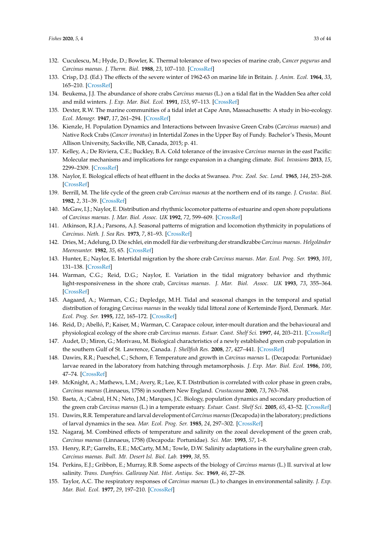- <span id="page-32-0"></span>132. Cuculescu, M.; Hyde, D.; Bowler, K. Thermal tolerance of two species of marine crab, *Cancer pagurus* and *Carcinus maenas*. *J. Therm. Biol.* **1988**, *23*, 107–110. [\[CrossRef\]](http://dx.doi.org/10.1016/S0306-4565(98)00008-4)
- <span id="page-32-1"></span>133. Crisp, D.J. (Ed.) The effects of the severe winter of 1962-63 on marine life in Britain. *J. Anim. Ecol.* **1964**, *33*, 165–210. [\[CrossRef\]](http://dx.doi.org/10.2307/2355)
- <span id="page-32-2"></span>134. Beukema, J.J. The abundance of shore crabs *Carcinus maenas* (L.) on a tidal flat in the Wadden Sea after cold and mild winters. *J. Exp. Mar. Biol. Ecol.* **1991**, *153*, 97–113. [\[CrossRef\]](http://dx.doi.org/10.1016/S0022-0981(05)80009-7)
- <span id="page-32-3"></span>135. Dexter, R.W. The marine communities of a tidal inlet at Cape Ann, Massachusetts: A study in bio-ecology. *Ecol. Monogr.* **1947**, *17*, 261–294. [\[CrossRef\]](http://dx.doi.org/10.2307/1948658)
- <span id="page-32-4"></span>136. Kienzle, H. Population Dynamics and Interactions between Invasive Green Crabs (*Carcinus maenas*) and Native Rock Crabs (*Cancer irroratus*) in Intertidal Zones in the Upper Bay of Fundy. Bachelor's Thesis, Mount Allison University, Sackville, NB, Canada, 2015; p. 41.
- <span id="page-32-5"></span>137. Kelley, A.; De Riviera, C.E.; Buckley, B.A. Cold tolerance of the invasive *Carcinus maenas* in the east Pacific: Molecular mechanisms and implications for range expansion in a changing climate. *Biol. Invasions* **2013**, *15*, 2299–2309. [\[CrossRef\]](http://dx.doi.org/10.1007/s10530-013-0454-7)
- <span id="page-32-6"></span>138. Naylor, E. Biological effects of heat effluent in the docks at Swansea. *Proc. Zool. Soc. Lond.* **1965**, *144*, 253–268. [\[CrossRef\]](http://dx.doi.org/10.1111/j.1469-7998.1965.tb05177.x)
- <span id="page-32-7"></span>139. Berrill, M. The life cycle of the green crab *Carcinus maenas* at the northern end of its range. *J. Crustac. Biol.* **1982**, *2*, 31–39. [\[CrossRef\]](http://dx.doi.org/10.2307/1548108)
- <span id="page-32-8"></span>140. McGaw, I.J.; Naylor, E. Distribution and rhythmic locomotor patterns of estuarine and open shore populations of *Carcinus maenas*. *J. Mar. Biol. Assoc. UK* **1992**, *72*, 599–609. [\[CrossRef\]](http://dx.doi.org/10.1017/S0025315400059373)
- 141. Atkinson, R.J.A.; Parsons, A.J. Seasonal patterns of migration and locomotion rhythmicity in populations of *Carcinus*. *Neth. J. Sea Res.* **1973**, *7*, 81–93. [\[CrossRef\]](http://dx.doi.org/10.1016/0077-7579(73)90034-3)
- <span id="page-32-19"></span>142. Dries, M.; Adelung, D. Die schlei, ein modell für die verbreitung der strandkrabbe *Carcinus maenas*. *Helgoländer Meeresunter.* **1982**, *35*, 65. [\[CrossRef\]](http://dx.doi.org/10.1007/BF02289835)
- <span id="page-32-21"></span>143. Hunter, E.; Naylor, E. Intertidal migration by the shore crab *Carcinus maenas*. *Mar. Ecol. Prog. Ser.* **1993**, *101*, 131–138. [\[CrossRef\]](http://dx.doi.org/10.3354/meps101131)
- <span id="page-32-22"></span>144. Warman, C.G.; Reid, D.G.; Naylor, E. Variation in the tidal migratory behavior and rhythmic light-responsiveness in the shore crab, *Carcinus maenas*. *J. Mar. Biol. Assoc. UK* **1993**, *73*, 355–364. [\[CrossRef\]](http://dx.doi.org/10.1017/S0025315400032914)
- <span id="page-32-20"></span>145. Aagaard, A.; Warman, C.G.; Depledge, M.H. Tidal and seasonal changes in the temporal and spatial distribution of foraging *Carcinus maenas* in the weakly tidal littoral zone of Kerteminde Fjord, Denmark. *Mar. Ecol. Prog. Ser.* **1995**, *122*, 165–172. [\[CrossRef\]](http://dx.doi.org/10.3354/meps122165)
- <span id="page-32-9"></span>146. Reid, D.; Abelló, P.; Kaiser, M.; Warman, C. Carapace colour, inter-moult duration and the behavioural and physiological ecology of the shore crab *Carcinus maenas*. *Estuar. Coast. Shelf Sci.* **1997**, *44*, 203–211. [\[CrossRef\]](http://dx.doi.org/10.1006/ecss.1996.0212)
- <span id="page-32-10"></span>147. Audet, D.; Miron, G.; Morivasu, M. Biological characteristics of a newly established green crab population in the southern Gulf of St. Lawrence, Canada. *J. Shellfish Res.* **2008**, *27*, 427–441. [\[CrossRef\]](http://dx.doi.org/10.2983/0730-8000(2008)27[427:BCOANE]2.0.CO;2)
- <span id="page-32-11"></span>148. Dawirs, R.R.; Pueschel, C.; Schorn, F. Temperature and growth in *Carcinus maenas* L. (Decapoda: Portunidae) larvae reared in the laboratory from hatching through metamorphosis. *J. Exp. Mar. Biol. Ecol.* **1986**, *100*, 47–74. [\[CrossRef\]](http://dx.doi.org/10.1016/0022-0981(86)90155-3)
- <span id="page-32-12"></span>149. McKnight, A.; Mathews, L.M.; Avery, R.; Lee, K.T. Distribution is correlated with color phase in green crabs, *Carcinus maenas* (Linnaeus, 1758) in southern New England. *Crustaceana* **2000**, *73*, 763–768.
- <span id="page-32-13"></span>150. Baeta, A.; Cabral, H.N.; Neto, J.M.; Marques, J.C. Biology, population dynamics and secondary production of the green crab *Carcinus maenas* (L.) in a temperate estuary. *Estuar. Coast. Shelf Sci.* **2005**, *65*, 43–52. [\[CrossRef\]](http://dx.doi.org/10.1016/j.ecss.2005.05.004)
- <span id="page-32-14"></span>151. Dawirs, R.R. Temperature and larval development of*Carcinus maenas*(Decapoda) in the laboratory; predictions of larval dynamics in the sea. *Mar. Ecol. Prog. Ser.* **1985**, *24*, 297–302. [\[CrossRef\]](http://dx.doi.org/10.3354/meps024297)
- <span id="page-32-15"></span>152. Nagaraj, M. Combined effects of temperature and salinity on the zoeal development of the green crab, *Carcinus maenas* (Linnaeus, 1758) (Decapoda: Portunidae). *Sci. Mar.* **1993**, *57*, 1–8.
- <span id="page-32-16"></span>153. Henry, R.P.; Garrelts, E.E.; McCarty, M.M.; Towle, D.W. Salinity adaptations in the euryhaline green crab, *Carcinus maenas*. *Bull. Mt. Desert Isl. Biol. Lab.* **1999**, *38*, 55.
- <span id="page-32-17"></span>154. Perkins, E.J.; Gribbon, E.; Murray, R.B. Some aspects of the biology of *Carcinus maenas* (L.) II. survival at low salinity. *Trans. Dumfries. Galloway Nat. Hist. Antiqu. Soc.* **1969**, *46*, 27–28.
- <span id="page-32-18"></span>155. Taylor, A.C. The respiratory responses of *Carcinus maenas* (L.) to changes in environmental salinity. *J. Exp. Mar. Biol. Ecol.* **1977**, *29*, 197–210. [\[CrossRef\]](http://dx.doi.org/10.1016/0022-0981(77)90048-X)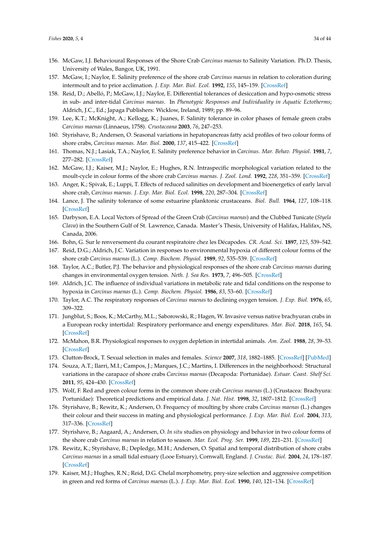- <span id="page-33-0"></span>156. McGaw, I.J. Behavioural Responses of the Shore Crab *Carcinus maenas* to Salinity Variation. Ph.D. Thesis, University of Wales, Bangor, UK, 1991.
- <span id="page-33-3"></span>157. McGaw, I.; Naylor, E. Salinity preference of the shore crab *Carcinus maenas* in relation to coloration during intermoult and to prior acclimation. *J. Exp. Mar. Biol. Ecol.* **1992**, *155*, 145–159. [\[CrossRef\]](http://dx.doi.org/10.1016/0022-0981(92)90059-J)
- <span id="page-33-5"></span>158. Reid, D.; Abelló, P.; McGaw, I.J.; Naylor, E. Differential tolerances of desiccation and hypo-osmotic stress in sub- and inter-tidal *Carcinus maenas*. In *Phenotypic Responses and Individuality in Aquatic Ectotherms*; Aldrich, J.C., Ed.; Japaga Publishers: Wicklow, Ireland, 1989; pp. 89–96.
- <span id="page-33-1"></span>159. Lee, K.T.; McKnight, A.; Kellogg, K.; Juanes, F. Salinity tolerance in color phases of female green crabs *Carcinus maenas* (Linnaeus, 1758). *Crustaceana* **2003**, *76*, 247–253.
- <span id="page-33-2"></span>160. Styrishave, B.; Andersen, O. Seasonal variations in hepatopancreas fatty acid profiles of two colour forms of shore crabs, *Carcinus maenas*. *Mar. Biol.* **2000**, *137*, 415–422. [\[CrossRef\]](http://dx.doi.org/10.1007/s002270000345)
- <span id="page-33-4"></span>161. Thomas, N.J.; Lasiak, T.A.; Naylor, E. Salinity preference behavior in *Carcinus*. *Mar. Behav. Physiol.* **1981**, *7*, 277–282. [\[CrossRef\]](http://dx.doi.org/10.1080/10236248109386988)
- <span id="page-33-6"></span>162. McGaw, I.J.; Kaiser, M.J.; Naylor, E.; Hughes, R.N. Intraspecific morphological variation related to the moult-cycle in colour forms of the shore crab *Carcinus maenas*. *J. Zool. Lond.* **1992**, *228*, 351–359. [\[CrossRef\]](http://dx.doi.org/10.1111/j.1469-7998.1992.tb04614.x)
- <span id="page-33-7"></span>163. Anger, K.; Spivak, E.; Luppi, T. Effects of reduced salinities on development and bioenergetics of early larval shore crab, *Carcinus maenas*. *J. Exp. Mar. Biol. Ecol.* **1998**, *220*, 287–304. [\[CrossRef\]](http://dx.doi.org/10.1016/S0022-0981(97)00110-X)
- <span id="page-33-8"></span>164. Lance, J. The salinity tolerance of some estuarine planktonic crustaceans. *Biol. Bull.* **1964**, *127*, 108–118. [\[CrossRef\]](http://dx.doi.org/10.2307/1539348)
- <span id="page-33-9"></span>165. Darbyson, E.A. Local Vectors of Spread of the Green Crab (*Carcinus maenas*) and the Clubbed Tunicate (*Styela Clava*) in the Southern Gulf of St. Lawrence, Canada. Master's Thesis, University of Halifax, Halifax, NS, Canada, 2006.
- <span id="page-33-10"></span>166. Bohn, G. Sur le renversement du courant respiratoire chez les Décapodes. *CR. Acad. Sci.* **1897**, *125*, 539–542.
- <span id="page-33-12"></span>167. Reid, D.G.; Aldrich, J.C. Variation in responses to environmental hypoxia of different colour forms of the shore crab *Carcinus maenas* (L.). *Comp. Biochem. Physiol.* **1989**, *92*, 535–539. [\[CrossRef\]](http://dx.doi.org/10.1016/0300-9629(89)90361-7)
- <span id="page-33-11"></span>168. Taylor, A.C.; Butler, P.J. The behavior and physiological responses of the shore crab *Carcinus maenas* during changes in environmental oxygen tension. *Neth. J. Sea Res.* **1973**, *7*, 496–505. [\[CrossRef\]](http://dx.doi.org/10.1016/0077-7579(73)90069-0)
- <span id="page-33-13"></span>169. Aldrich, J.C. The influence of individual variations in metabolic rate and tidal conditions on the response to hypoxia in *Carcinus maenas* (L.). *Comp. Biochem. Physiol.* **1986**, *83*, 53–60. [\[CrossRef\]](http://dx.doi.org/10.1016/0300-9629(86)90087-3)
- <span id="page-33-14"></span>170. Taylor, A.C. The respiratory responses of *Carcinus maenas* to declining oxygen tension. *J. Exp. Biol.* **1976**, *65*, 309–322.
- <span id="page-33-15"></span>171. Jungblut, S.; Boos, K.; McCarthy, M.L.; Saborowski, R.; Hagen, W. Invasive versus native brachyuran crabs in a European rocky intertidal: Respiratory performance and energy expenditures. *Mar. Biol.* **2018**, *165*, 54. [\[CrossRef\]](http://dx.doi.org/10.1007/s00227-018-3313-3)
- <span id="page-33-16"></span>172. McMahon, B.R. Physiological responses to oxygen depletion in intertidal animals. *Am. Zool.* **1988**, *28*, 39–53. [\[CrossRef\]](http://dx.doi.org/10.1093/icb/28.1.39)
- <span id="page-33-17"></span>173. Clutton-Brock, T. Sexual selection in males and females. *Science* **2007**, *318*, 1882–1885. [\[CrossRef\]](http://dx.doi.org/10.1126/science.1133311) [\[PubMed\]](http://www.ncbi.nlm.nih.gov/pubmed/18096798)
- <span id="page-33-18"></span>174. Souza, A.T.; Ilarri, M.I.; Campos, J.; Marques, J.C.; Martins, I. Differences in the neighborhood: Structural variations in the carapace of shore crabs *Carcinus maenas* (Decapoda: Portunidae). *Estuar. Coast. Shelf Sci.* **2011**, *95*, 424–430. [\[CrossRef\]](http://dx.doi.org/10.1016/j.ecss.2011.06.021)
- 175. Wolf, F. Red and green colour forms in the common shore crab *Carcinus maenas* (L.) (Crustacea: Brachyura: Portunidae): Theoretical predictions and empirical data. *J. Nat. Hist.* **1998**, *32*, 1807–1812. [\[CrossRef\]](http://dx.doi.org/10.1080/00222939800771311)
- <span id="page-33-22"></span>176. Styrishave, B.; Rewitz, K.; Andersen, O. Frequency of moulting by shore crabs *Carcinus maenas* (L.) changes their colour and their success in mating and physiological performance. *J. Exp. Mar. Biol. Ecol.* **2004**, *313*, 317–336. [\[CrossRef\]](http://dx.doi.org/10.1016/j.jembe.2004.08.013)
- <span id="page-33-19"></span>177. Styrishave, B.; Aagaard, A.; Andersen, O. *In situ* studies on physiology and behavior in two colour forms of the shore crab *Carcinus maenas* in relation to season. *Mar. Ecol. Prog. Ser.* **1999**, *189*, 221–231. [\[CrossRef\]](http://dx.doi.org/10.3354/meps189221)
- <span id="page-33-20"></span>178. Rewitz, K.; Styrishave, B.; Depledge, M.H.; Andersen, O. Spatial and temporal distribution of shore crabs *Carcinus maenas* in a small tidal estuary (Looe Estuary), Cornwall, England. *J. Crustac. Biol.* **2004**, *24*, 178–187. [\[CrossRef\]](http://dx.doi.org/10.1651/C-2417)
- <span id="page-33-21"></span>179. Kaiser, M.J.; Hughes, R.N.; Reid, D.G. Chelal morphometry, prey-size selection and aggressive competition in green and red forms of *Carcinus maenas* (L.). *J. Exp. Mar. Biol. Ecol.* **1990**, *140*, 121–134. [\[CrossRef\]](http://dx.doi.org/10.1016/0022-0981(90)90086-R)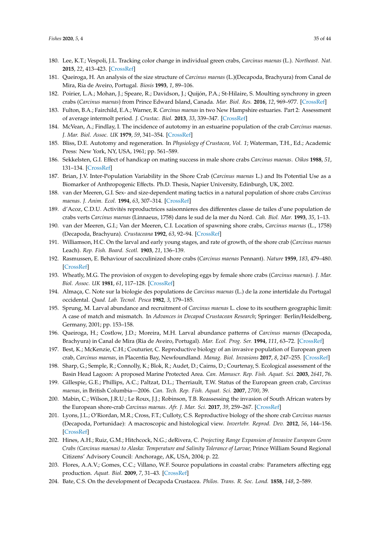- <span id="page-34-0"></span>180. Lee, K.T.; Vespoli, J.L. Tracking color change in individual green crabs, *Carcinus maenas* (L.). *Northeast. Nat.* **2015**, *22*, 413–423. [\[CrossRef\]](http://dx.doi.org/10.1656/045.022.0214)
- <span id="page-34-1"></span>181. Queiroga, H. An analysis of the size structure of *Carcinus maenas* (L.)(Decapoda, Brachyura) from Canal de Mira, Ria de Aveiro, Portugal. *Biosis* **1993**, *1*, 89–106.
- <span id="page-34-2"></span>182. Poirier, L.A.; Mohan, J.; Speare, R.; Davidson, J.; Quijón, P.A.; St-Hilaire, S. Moulting synchrony in green crabs (*Carcinus maenas*) from Prince Edward Island, Canada. *Mar. Biol. Res.* **2016**, *12*, 969–977. [\[CrossRef\]](http://dx.doi.org/10.1080/17451000.2016.1210810)
- <span id="page-34-3"></span>183. Fulton, B.A.; Fairchild, E.A.; Warner, R. *Carcinus maenas* in two New Hampshire estuaries. Part 2: Assessment of average intermolt period. *J. Crustac. Biol.* **2013**, *33*, 339–347. [\[CrossRef\]](http://dx.doi.org/10.1163/1937240X-00002145)
- <span id="page-34-4"></span>184. McVean, A.; Findlay, I. The incidence of autotomy in an estuarine population of the crab *Carcinus maenas*. *J. Mar. Biol. Assoc. UK* **1979**, *59*, 341–354. [\[CrossRef\]](http://dx.doi.org/10.1017/S0025315400042648)
- <span id="page-34-5"></span>185. Bliss, D.E. Autotomy and regeneration. In *Physiology of Crustacea, Vol. 1*; Waterman, T.H., Ed.; Academic Press: New York, NY, USA, 1961; pp. 561–589.
- <span id="page-34-6"></span>186. Sekkelsten, G.I. Effect of handicap on mating success in male shore crabs *Carcinus maenas*. *Oikos* **1988**, *51*, 131–134. [\[CrossRef\]](http://dx.doi.org/10.2307/3565635)
- <span id="page-34-7"></span>187. Brian, J.V. Inter-Population Variability in the Shore Crab (*Carcinus maenas* L.) and Its Potential Use as a Biomarker of Anthropogenic Effects. Ph.D. Thesis, Napier University, Edinburgh, UK, 2002.
- <span id="page-34-8"></span>188. van der Meeren, G.I. Sex- and size-dependent mating tactics in a natural population of shore crabs *Carcinus maenas*. *J. Anim. Ecol.* **1994**, *63*, 307–314. [\[CrossRef\]](http://dx.doi.org/10.2307/5549)
- <span id="page-34-9"></span>189. d'Acoz, C.D.U. Activités reproductrices saisonnieres des differentes classe de tailes d'une population de crabs verts *Carcinus maenas* (Linnaeus, 1758) dans le sud de la mer du Nord. *Cah. Biol. Mar.* **1993**, *35*, 1–13.
- <span id="page-34-10"></span>190. van der Meeren, G.I.; Van der Meeren, C.I. Location of spawning shore crabs, *Carcinus maenas* (L., 1758) (Decapoda, Brachyura). *Crustaceana* **1992**, *63*, 92–94. [\[CrossRef\]](http://dx.doi.org/10.1163/156854092X00325)
- <span id="page-34-11"></span>191. Williamson, H.C. On the larval and early young stages, and rate of growth, of the shore crab (*Carcinus maenas* Leach). *Rep. Fish. Board. Scotl.* **1903**, *21*, 136–139.
- <span id="page-34-12"></span>192. Rasmussen, E. Behaviour of sacculinized shore crabs (*Carcinus maenas* Pennant). *Nature* **1959**, *183*, 479–480. [\[CrossRef\]](http://dx.doi.org/10.1038/183479c0)
- <span id="page-34-13"></span>193. Wheatly, M.G. The provision of oxygen to developing eggs by female shore crabs (*Carcinus maenas*). *J. Mar. Biol. Assoc. UK* **1981**, *61*, 117–128. [\[CrossRef\]](http://dx.doi.org/10.1017/S0025315400045951)
- <span id="page-34-14"></span>194. Almaça, C. Note sur la biologie des populations de *Carcinus maenas* (L.) de la zone intertidale du Portugal occidental. *Quad. Lab. Tecnol. Pesca* **1982**, *3*, 179–185.
- <span id="page-34-15"></span>195. Sprung, M. Larval abundance and recruitment of *Carcinus maenas* L. close to its southern geographic limit: A case of match and mismatch. In *Advances in Decapod Crustacean Research*; Springer: Berlin/Heidelberg, Germany, 2001; pp. 153–158.
- <span id="page-34-16"></span>196. Queiroga, H.; Costlow, J.D.; Moreira, M.H. Larval abundance patterns of *Carcinus maenas* (Decapoda, Brachyura) in Canal de Mira (Ria de Aveiro, Portugal). *Mar. Ecol. Prog. Ser.* **1994**, *111*, 63–72. [\[CrossRef\]](http://dx.doi.org/10.3354/meps111063)
- <span id="page-34-17"></span>197. Best, K.; McKenzie, C.H.; Couturier, C. Reproductive biology of an invasive population of European green crab, *Carcinus maenas*, in Placentia Bay, Newfoundland. *Manag. Biol. Invasions* **2017**, *8*, 247–255. [\[CrossRef\]](http://dx.doi.org/10.3391/mbi.2017.8.2.12)
- <span id="page-34-18"></span>198. Sharp, G.; Semple, R.; Connolly, K.; Blok, R.; Audet, D.; Cairns, D.; Courtenay, S. Ecological assessment of the Basin Head Lagoon: A proposed Marine Protected Area. *Can. Manuscr. Rep. Fish. Aquat. Sci.* **2003**, *2641*, 76.
- <span id="page-34-19"></span>199. Gillespie, G.E.; Phillips, A.C.; Paltzat, D.L.; Therriault, T.W. Status of the European green crab, *Carcinus maenas*, in British Columbia—2006. *Can. Tech. Rep. Fish. Aquat. Sci.* **2007**, *2700*, 39.
- <span id="page-34-20"></span>200. Mabin, C.; Wilson, J.R.U.; Le Roux, J.J.; Robinson, T.B. Reassessing the invasion of South African waters by the European shore-crab *Carcinus maenas*. *Afr. J. Mar. Sci.* **2017**, *39*, 259–267. [\[CrossRef\]](http://dx.doi.org/10.2989/1814232X.2017.1363818)
- <span id="page-34-21"></span>201. Lyons, J.L.; O'Riordan, M.R.; Cross, F.T.; Culloty, C.S. Reproductive biology of the shore crab *Carcinus maenas* (Decapoda, Portunidae): A macroscopic and histological view. *Invertebr. Reprod. Dev.* **2012**, *56*, 144–156. [\[CrossRef\]](http://dx.doi.org/10.1080/07924259.2011.582693)
- <span id="page-34-22"></span>202. Hines, A.H.; Ruiz, G.M.; Hitchcock, N.G.; deRivera, C. *Projecting Range Expansion of Invasive European Green Crabs (Carcinus maenas) to Alaska: Temperature and Salinity Tolerance of Larvae*; Prince William Sound Regional Citizens' Advisory Council: Anchorage, AK, USA, 2004; p. 22.
- <span id="page-34-23"></span>203. Flores, A.A.V.; Gomes, C.C.; Villano, W.F. Source populations in coastal crabs: Parameters affecting egg production. *Aquat. Biol.* **2009**, *7*, 31–43. [\[CrossRef\]](http://dx.doi.org/10.3354/ab00179)
- <span id="page-34-24"></span>204. Bate, C.S. On the development of Decapoda Crustacea. *Philos. Trans. R. Soc. Lond.* **1858**, *148*, 2–589.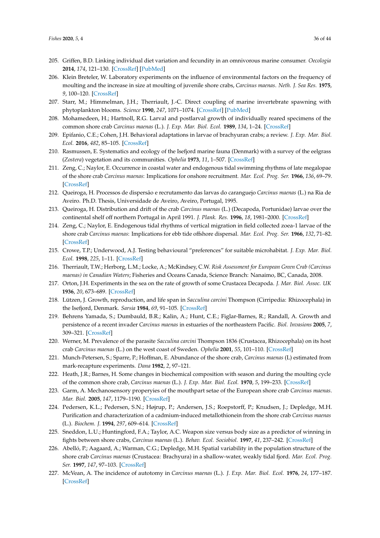- <span id="page-35-0"></span>205. Griffen, B.D. Linking individual diet variation and fecundity in an omnivorous marine consumer. *Oecologia* **2014**, *174*, 121–130. [\[CrossRef\]](http://dx.doi.org/10.1007/s00442-013-2751-3) [\[PubMed\]](http://www.ncbi.nlm.nih.gov/pubmed/23996228)
- <span id="page-35-1"></span>206. Klein Breteler, W. Laboratory experiments on the influence of environmental factors on the frequency of moulting and the increase in size at moulting of juvenile shore crabs, *Carcinus maenas*. *Neth. J. Sea Res.* **1975**, *9*, 100–120. [\[CrossRef\]](http://dx.doi.org/10.1016/0077-7579(75)90025-3)
- <span id="page-35-2"></span>207. Starr, M.; Himmelman, J.H.; Therriault, J.-C. Direct coupling of marine invertebrate spawning with phytoplankton blooms. *Science* **1990**, *247*, 1071–1074. [\[CrossRef\]](http://dx.doi.org/10.1126/science.247.4946.1071) [\[PubMed\]](http://www.ncbi.nlm.nih.gov/pubmed/17800066)
- <span id="page-35-3"></span>208. Mohamedeen, H.; Hartnoll, R.G. Larval and postlarval growth of individually reared specimens of the common shore crab *Carcinus maenas* (L.). *J. Exp. Mar. Biol. Ecol.* **1989**, *134*, 1–24. [\[CrossRef\]](http://dx.doi.org/10.1016/0022-0981(90)90053-F)
- <span id="page-35-4"></span>209. Epifanio, C.E.; Cohen, J.H. Behavioral adaptations in larvae of brachyuran crabs; a review. *J. Exp. Mar. Biol. Ecol.* **2016**, *482*, 85–105. [\[CrossRef\]](http://dx.doi.org/10.1016/j.jembe.2016.05.006)
- <span id="page-35-5"></span>210. Rasmussen, E. Systematics and ecology of the Isefjord marine fauna (Denmark) with a survey of the eelgrass (*Zostera*) vegetation and its communities. *Ophelia* **1973**, *11*, 1–507. [\[CrossRef\]](http://dx.doi.org/10.1080/00785326.1973.10430115)
- <span id="page-35-6"></span>211. Zeng, C.; Naylor, E. Occurrence in coastal water and endogenous tidal swimming rhythms of late megalopae of the shore crab *Carcinus maenas*: Implications for onshore recruitment. *Mar. Ecol. Prog. Ser.* **1966**, *136*, 69–79. [\[CrossRef\]](http://dx.doi.org/10.3354/meps136069)
- <span id="page-35-11"></span>212. Queiroga, H. Processos de dispersão e recrutamento das larvas do caranguejo *Carcinus maenas* (L.) na Ria de Aveiro. Ph.D. Thesis, Universidade de Aveiro, Aveiro, Portugal, 1995.
- <span id="page-35-7"></span>213. Queiroga, H. Distribution and drift of the crab *Carcinus maenas* (L.) (Decapoda, Portunidae) larvae over the continental shelf off northern Portugal in April 1991. *J. Plank. Res.* **1996**, *18*, 1981–2000. [\[CrossRef\]](http://dx.doi.org/10.1093/plankt/18.11.1981)
- <span id="page-35-8"></span>214. Zeng, C.; Naylor, E. Endogenous tidal rhythms of vertical migration in field collected zoea-1 larvae of the shore crab *Carcinus maenas*: Implications for ebb tide offshore dispersal. *Mar. Ecol. Prog. Ser.* **1966**, *132*, 71–82. [\[CrossRef\]](http://dx.doi.org/10.3354/meps132071)
- <span id="page-35-9"></span>215. Crowe, T.P.; Underwood, A.J. Testing behavioural "preferences" for suitable microhabitat. *J. Exp. Mar. Biol. Ecol.* **1998**, *225*, 1–11. [\[CrossRef\]](http://dx.doi.org/10.1016/S0022-0981(97)00187-1)
- <span id="page-35-10"></span>216. Therriault, T.W.; Herborg, L.M.; Locke, A.; McKindsey, C.W. *Risk Assessment for European Green Crab (Carcinus maenas) in Canadian Waters*; Fisheries and Oceans Canada, Science Branch: Nanaimo, BC, Canada, 2008.
- <span id="page-35-12"></span>217. Orton, J.H. Experiments in the sea on the rate of growth of some Crustacea Decapoda. *J. Mar. Biol. Assoc. UK* **1936**, *20*, 673–689. [\[CrossRef\]](http://dx.doi.org/10.1017/S0025315400058240)
- <span id="page-35-13"></span>218. Lützen, J. Growth, reproduction, and life span in *Sacculina carcini* Thompson (Cirripedia: Rhizocephala) in the Isefjord, Denmark. *Sarsia* **1984**, *69*, 91–105. [\[CrossRef\]](http://dx.doi.org/10.1080/00364827.1984.10420595)
- <span id="page-35-14"></span>219. Behrens Yamada, S.; Dumbauld, B.R.; Kalin, A.; Hunt, C.E.; Figlar-Barnes, R.; Randall, A. Growth and persistence of a recent invader *Carcinus maenas* in estuaries of the northeastern Pacific. *Biol. Invasions* **2005**, *7*, 309–321. [\[CrossRef\]](http://dx.doi.org/10.1007/s10530-004-0877-2)
- <span id="page-35-15"></span>220. Werner, M. Prevalence of the parasite *Sacculina carcini* Thompson 1836 (Crustacea, Rhizocephala) on its host crab *Carcinus maenas* (L.) on the west coast of Sweden. *Ophelia* **2001**, *55*, 101–110. [\[CrossRef\]](http://dx.doi.org/10.1080/00785236.2001.10409477)
- <span id="page-35-16"></span>221. Munch-Petersen, S.; Sparre, P.; Hoffman, E. Abundance of the shore crab, *Carcinus maenas* (L) estimated from mark-recapture experiments. *Dana* **1982**, *2*, 97–121.
- <span id="page-35-17"></span>222. Heath, J.R.; Barnes, H. Some changes in biochemical composition with season and during the moulting cycle of the common shore crab, *Carcinus maenas* (L.). *J. Exp. Mar. Biol. Ecol.* **1970**, *5*, 199–233. [\[CrossRef\]](http://dx.doi.org/10.1016/0022-0981(70)90001-8)
- <span id="page-35-18"></span>223. Garm, A. Mechanosensory properyies of the mouthpart setae of the European shore crab *Carcinus maenas*. *Mar. Biol.* **2005**, *147*, 1179–1190. [\[CrossRef\]](http://dx.doi.org/10.1007/s00227-005-0020-7)
- <span id="page-35-19"></span>224. Pedersen, K.L.; Pedersen, S.N.; Højrup, P.; Andersen, J.S.; Roepstorff, P.; Knudsen, J.; Depledge, M.H. Purification and characterization of a cadmium-induced metallothionein from the shore crab *Carcinus maenas* (L.). *Biochem. J.* **1994**, *297*, 609–614. [\[CrossRef\]](http://dx.doi.org/10.1042/bj2970609)
- <span id="page-35-20"></span>225. Sneddon, L.U.; Huntingford, F.A.; Taylor, A.C. Weapon size versus body size as a predictor of winning in fights between shore crabs, *Carcinus maenas* (L.). *Behav. Ecol. Sociobiol.* **1997**, *41*, 237–242. [\[CrossRef\]](http://dx.doi.org/10.1007/s002650050384)
- <span id="page-35-21"></span>226. Abelló, P.; Aagaard, A.; Warman, C.G.; Depledge, M.H. Spatial variability in the population structure of the shore crab *Carcinus maenas* (Crustacea: Brachyura) in a shallow-water, weakly tidal fjord. *Mar. Ecol. Prog. Ser.* **1997**, *147*, 97–103. [\[CrossRef\]](http://dx.doi.org/10.3354/meps147097)
- <span id="page-35-22"></span>227. McVean, A. The incidence of autotomy in *Carcinus maenas* (L.). *J. Exp. Mar. Biol. Ecol.* **1976**, *24*, 177–187. [\[CrossRef\]](http://dx.doi.org/10.1016/0022-0981(76)90102-7)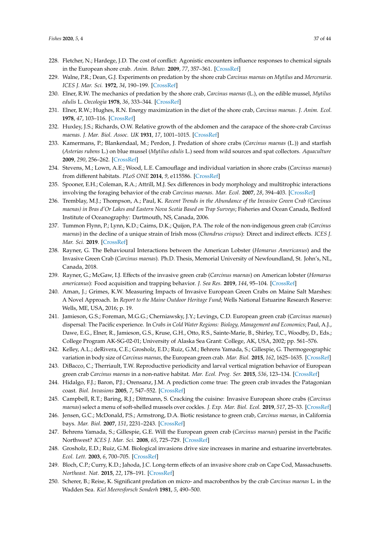- <span id="page-36-0"></span>228. Fletcher, N.; Hardege, J.D. The cost of conflict: Agonistic encounters influence responses to chemical signals in the European shore crab. *Anim. Behav.* **2009**, *77*, 357–361. [\[CrossRef\]](http://dx.doi.org/10.1016/j.anbehav.2008.10.007)
- <span id="page-36-1"></span>229. Walne, P.R.; Dean, G.J. Experiments on predation by the shore crab *Carcinus maenas* on *Mytilus* and *Mercenaria*. *ICES J. Mar. Sci.* **1972**, *34*, 190–199. [\[CrossRef\]](http://dx.doi.org/10.1093/icesjms/34.2.190)
- <span id="page-36-2"></span>230. Elner, R.W. The mechanics of predation by the shore crab, *Carcinus maenas* (L.), on the edible mussel, *Mytilus edulis* L. *Oecologia* **1978**, *36*, 333–344. [\[CrossRef\]](http://dx.doi.org/10.1007/BF00348059)
- <span id="page-36-3"></span>231. Elner, R.W.; Hughes, R.N. Energy maximization in the diet of the shore crab, *Carcinus maenas*. *J. Anim. Ecol.* **1978**, *47*, 103–116. [\[CrossRef\]](http://dx.doi.org/10.2307/3925)
- <span id="page-36-4"></span>232. Huxley, J.S.; Richards, O.W. Relative growth of the abdomen and the carapace of the shore-crab *Carcinus maenas*. *J. Mar. Biol. Assoc. UK* **1931**, *17*, 1001–1015. [\[CrossRef\]](http://dx.doi.org/10.1017/S0025315400052085)
- <span id="page-36-5"></span>233. Kamermans, P.; Blankendaal, M.; Perdon, J. Predation of shore crabs (*Carcinus maenas* (L.)) and starfish (*Asterias rubens* L.) on blue mussel (*Mytilus edulis* L.) seed from wild sources and spat collectors. *Aquaculture* **2009**, *290*, 256–262. [\[CrossRef\]](http://dx.doi.org/10.1016/j.aquaculture.2009.02.031)
- <span id="page-36-6"></span>234. Stevens, M.; Lown, A.E.; Wood, L.E. Camouflage and individual variation in shore crabs (*Carcinus maenas*) from different habitats. *PLoS ONE* **2014**, *9*, e115586. [\[CrossRef\]](http://dx.doi.org/10.1371/journal.pone.0115586)
- <span id="page-36-7"></span>235. Spooner, E.H.; Coleman, R.A.; Attrill, M.J. Sex differences in body morphology and multitrophic interactions involving the foraging behavior of the crab *Carcinus maenas*. *Mar. Ecol.* **2007**, *28*, 394–403. [\[CrossRef\]](http://dx.doi.org/10.1111/j.1439-0485.2007.00186.x)
- <span id="page-36-8"></span>236. Tremblay, M.J.; Thompson, A.; Paul, K. *Recent Trends in the Abundance of the Invasive Green Crab (Carcinus maenas) in Bras d'Or Lakes and Eastern Nova Scotia Based on Trap Surveys*; Fisheries and Ocean Canada, Bedford Institute of Oceanography: Dartmouth, NS, Canada, 2006.
- <span id="page-36-9"></span>237. Tummon Flynn, P.; Lynn, K.D.; Cairns, D.K.; Quijon, P.A. The role of the non-indigenous green crab (*Carcinus maenas*) in the decline of a unique strain of Irish moss (*Chondrus crispus*): Direct and indirect effects. *ICES J. Mar. Sci.* **2019**. [\[CrossRef\]](http://dx.doi.org/10.1093/icesjms/fsz130)
- <span id="page-36-10"></span>238. Rayner, G. The Behavioural Interactions between the American Lobster (*Homarus Americanus*) and the Invasive Green Crab (*Carcinus maenas*). Ph.D. Thesis, Memorial University of Newfoundland, St. John's, NL, Canada, 2018.
- <span id="page-36-11"></span>239. Rayner, G.; McGaw, I.J. Effects of the invasive green crab (*Carcinus maenas*) on American lobster (*Homarus americanus*): Food acquisition and trapping behavior. *J. Sea Res.* **2019**, *144*, 95–104. [\[CrossRef\]](http://dx.doi.org/10.1016/j.seares.2018.10.004)
- <span id="page-36-12"></span>240. Aman, J.; Grimes, K.W. Measuring Impacts of Invasive European Green Crabs on Maine Salt Marshes: A Novel Approach. In *Report to the Maine Outdoor Heritage Fund*; Wells National Estuarine Research Reserve: Wells, ME, USA, 2016; p. 19.
- <span id="page-36-13"></span>241. Jamieson, G.S.; Foreman, M.G.G.; Cherniawsky, J.Y.; Levings, C.D. European green crab (*Carcinus maenas*) dispersal: The Pacific experience. In *Crabs in Cold Water Regions: Biology, Management and Economics*; Paul, A.J., Dawe, E.G., Elner, R., Jamieson, G.S., Kruse, G.H., Otto, R.S., Sainte-Marie, B., Shirley, T.C., Woodby, D., Eds.; College Program AK-SG-02-01; University of Alaska Sea Grant: College, AK, USA, 2002; pp. 561–576.
- <span id="page-36-14"></span>242. Kelley, A.L.; deRivera, C.E.; Grosholz, E.D.; Ruiz, G.M.; Behrens Yamada, S.; Gillespie, G. Thermogeographic variation in body size of *Carcinus maenas*, the European green crab. *Mar. Biol.* **2015**, *162*, 1625–1635. [\[CrossRef\]](http://dx.doi.org/10.1007/s00227-015-2698-5)
- <span id="page-36-15"></span>243. DiBacco, C.; Therriault, T.W. Reproductive periodicity and larval vertical migration behavior of European green crab *Carcinus maenas* in a non-native habitat. *Mar. Ecol. Prog. Ser.* **2015**, *536*, 123–134. [\[CrossRef\]](http://dx.doi.org/10.3354/meps11422)
- <span id="page-36-16"></span>244. Hidalgo, F.J.; Baron, P.J.; Orensanz, J.M. A prediction come true: The green crab invades the Patagonian coast. *Biol. Invasions* **2005**, *7*, 547–552. [\[CrossRef\]](http://dx.doi.org/10.1007/s10530-004-5452-3)
- <span id="page-36-17"></span>245. Campbell, R.T.; Baring, R.J.; Dittmann, S. Cracking the cuisine: Invasive European shore crabs (*Carcinus maenas*) select a menu of soft-shelled mussels over cockles. *J. Exp. Mar. Biol. Ecol.* **2019**, *517*, 25–33. [\[CrossRef\]](http://dx.doi.org/10.1016/j.jembe.2019.05.011)
- <span id="page-36-18"></span>246. Jensen, G.C.; McDonald, P.S.; Armstrong, D.A. Biotic resistance to green crab, *Carcinus maenas*, in California bays. *Mar. Biol.* **2007**, *151*, 2231–2243. [\[CrossRef\]](http://dx.doi.org/10.1007/s00227-007-0658-4)
- <span id="page-36-19"></span>247. Behrens Yamada, S.; Gillespie, G.E. Will the European green crab (*Carcinus maenas*) persist in the Pacific Northwest? *ICES J. Mar. Sci.* **2008**, *65*, 725–729. [\[CrossRef\]](http://dx.doi.org/10.1093/icesjms/fsm191)
- <span id="page-36-20"></span>248. Grosholz, E.D.; Ruiz, G.M. Biological invasions drive size increases in marine and estuarine invertebrates. *Ecol. Lett.* **2003**, *6*, 700–705. [\[CrossRef\]](http://dx.doi.org/10.1046/j.1461-0248.2003.00495.x)
- <span id="page-36-21"></span>249. Bloch, C.P.; Curry, K.D.; Jahoda, J.C. Long-term effects of an invasive shore crab on Cape Cod, Massachusetts. *Northeast. Nat.* **2015**, *22*, 178–191. [\[CrossRef\]](http://dx.doi.org/10.1656/045.022.0118)
- <span id="page-36-22"></span>250. Scherer, B.; Reise, K. Significant predation on micro- and macrobenthos by the crab *Carcinus maenas* L. in the Wadden Sea. *Kiel Meeresforsch Sonderh* **1981**, *5*, 490–500.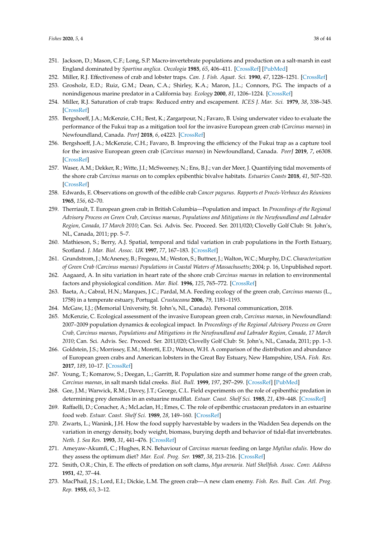- <span id="page-37-0"></span>251. Jackson, D.; Mason, C.F.; Long, S.P. Macro-invertebrate populations and production on a salt-marsh in east England dominated by *Spartina anglica*. *Oecologia* **1985**, *65*, 406–411. [\[CrossRef\]](http://dx.doi.org/10.1007/BF00378916) [\[PubMed\]](http://www.ncbi.nlm.nih.gov/pubmed/28310446)
- <span id="page-37-1"></span>252. Miller, R.J. Effectiveness of crab and lobster traps. *Can. J. Fish. Aquat. Sci.* **1990**, *47*, 1228–1251. [\[CrossRef\]](http://dx.doi.org/10.1139/f90-143)
- <span id="page-37-2"></span>253. Grosholz, E.D.; Ruiz, G.M.; Dean, C.A.; Shirley, K.A.; Maron, J.L.; Connors, P.G. The impacts of a nonindigenous marine predator in a California bay. *Ecology* **2000**, *81*, 1206–1224. [\[CrossRef\]](http://dx.doi.org/10.1890/0012-9658(2000)081[1206:TIOANM]2.0.CO;2)
- <span id="page-37-3"></span>254. Miller, R.J. Saturation of crab traps: Reduced entry and escapement. *ICES J. Mar. Sci.* **1979**, *38*, 338–345. [\[CrossRef\]](http://dx.doi.org/10.1093/icesjms/38.3.338)
- <span id="page-37-4"></span>255. Bergshoeff, J.A.; McKenzie, C.H.; Best, K.; Zargarpour, N.; Favaro, B. Using underwater video to evaluate the performance of the Fukui trap as a mitigation tool for the invasive European green crab (*Carcinus maenas*) in Newfoundland, Canada. *PeerJ* **2018**, *6*, e4223. [\[CrossRef\]](http://dx.doi.org/10.7717/peerj.4223)
- <span id="page-37-5"></span>256. Bergshoeff, J.A.; McKenzie, C.H.; Favaro, B. Improving the efficiency of the Fukui trap as a capture tool for the invasive European green crab (*Carcinus maenas*) in Newfoundland, Canada. *PeerJ* **2019**, *7*, e6308. [\[CrossRef\]](http://dx.doi.org/10.7717/peerj.6308)
- <span id="page-37-6"></span>257. Waser, A.M.; Dekker, R.; Witte, J.I.; McSweeney, N.; Ens, B.J.; van der Meer, J. Quantifying tidal movements of the shore crab *Carcinus maenas* on to complex epibenthic bivalve habitats. *Estuaries Coasts* **2018**, *41*, 507–520. [\[CrossRef\]](http://dx.doi.org/10.1007/s12237-017-0297-z)
- <span id="page-37-7"></span>258. Edwards, E. Observations on growth of the edible crab *Cancer pagurus*. *Rapports et Procés-Verbaux des Réunions* **1965**, *156*, 62–70.
- <span id="page-37-8"></span>259. Therriault, T. European green crab in British Columbia—Population and impact. In *Proceedings of the Regional Advisory Process on Green Crab, Carcinus maenas, Populations and Mitigations in the Newfoundland and Labrador Region, Canada, 17 March 2010*; Can. Sci. Advis. Sec. Proceed. Ser. 2011/020; Clovelly Golf Club: St. John's, NL, Canada, 2011; pp. 5–7.
- <span id="page-37-9"></span>260. Mathieson, S.; Berry, A.J. Spatial, temporal and tidal variation in crab populations in the Forth Estuary, Scotland. *J. Mar. Biol. Assoc. UK* **1997**, *77*, 167–183. [\[CrossRef\]](http://dx.doi.org/10.1017/S0025315400033853)
- <span id="page-37-10"></span>261. Grundstrom, J.; McAneney, B.; Fregeau, M.; Weston, S.; Buttner, J.; Walton, W.C.; Murphy, D.C. *Characterization of Green Crab (Carcinus maenas) Populations in Coastal Waters of Massachusetts*; 2004; p. 16, Unpublished report.
- <span id="page-37-11"></span>262. Aagaard, A. In situ variation in heart rate of the shore crab *Carcinus maenas* in relation to environmental factors and physiological condition. *Mar. Biol.* **1996**, *125*, 765–772. [\[CrossRef\]](http://dx.doi.org/10.1007/BF00349259)
- <span id="page-37-12"></span>263. Baeta, A.; Cabral, H.N.; Marques, J.C.; Pardal, M.A. Feeding ecology of the green crab, *Carcinus maenas* (L., 1758) in a temperate estuary, Portugal. *Crustaceana* **2006**, *79*, 1181–1193.
- <span id="page-37-13"></span>264. McGaw, I.J.; (Memorial University, St. John's, NL, Canada). Personal communication, 2018.
- <span id="page-37-14"></span>265. McKenzie, C. Ecological assessment of the invasive European green crab, *Carcinus maenas*, in Newfoundland: 2007–2009 population dynamics & ecological impact. In *Proceedings of the Regional Advisory Process on Green Crab, Carcinus maenas, Populations and Mitigations in the Newfoundland and Labrador Region, Canada, 17 March 2010*; Can. Sci. Advis. Sec. Proceed. Ser. 2011/020; Clovelly Golf Club: St. John's, NL, Canada, 2011; pp. 1–3.
- <span id="page-37-15"></span>266. Goldstein, J.S.; Morrissey, E.M.; Moretti, E.D.; Watson, W.H. A comparison of the distribution and abundance of European green crabs and American lobsters in the Great Bay Estuary, New Hampshire, USA. *Fish. Res.* **2017**, *189*, 10–17. [\[CrossRef\]](http://dx.doi.org/10.1016/j.fishres.2017.01.002)
- <span id="page-37-16"></span>267. Young, T.; Komarow, S.; Deegan, L.; Garritt, R. Population size and summer home range of the green crab, *Carcinus maenas*, in salt marsh tidal creeks. *Biol. Bull.* **1999**, *197*, 297–299. [\[CrossRef\]](http://dx.doi.org/10.2307/1542662) [\[PubMed\]](http://www.ncbi.nlm.nih.gov/pubmed/28281810)
- <span id="page-37-17"></span>268. Gee, J.M.; Warwick, R.M.; Davey, J.T.; George, C.L. Field experiments on the role of epibenthic predation in determining prey densities in an estuarine mudflat. *Estuar. Coast. Shelf Sci.* **1985**, *21*, 439–448. [\[CrossRef\]](http://dx.doi.org/10.1016/0272-7714(85)90022-8)
- <span id="page-37-18"></span>269. Raffaelli, D.; Conacher, A.; McLaclan, H.; Emes, C. The role of epibenthic crustacean predators in an estuarine food web. *Estuar. Coast. Shelf Sci.* **1989**, *28*, 149–160. [\[CrossRef\]](http://dx.doi.org/10.1016/0272-7714(89)90062-0)
- <span id="page-37-19"></span>270. Zwarts, L.; Wanink, J.H. How the food supply harvestable by waders in the Wadden Sea depends on the variation in energy density, body weight, biomass, burying depth and behavior of tidal-flat invertebrates. *Neth. J. Sea Res.* **1993**, *31*, 441–476. [\[CrossRef\]](http://dx.doi.org/10.1016/0077-7579(93)90059-2)
- <span id="page-37-20"></span>271. Ameyaw-Akumfi, C.; Hughes, R.N. Behaviour of *Carcinus maenas* feeding on large *Mytilus edulis*. How do they assess the optimum diet? *Mar. Ecol. Prog. Ser.* **1987**, *38*, 213–216. [\[CrossRef\]](http://dx.doi.org/10.3354/meps038213)
- <span id="page-37-22"></span>272. Smith, O.R.; Chin, E. The effects of predation on soft clams, *Mya arenaria*. *Natl Shellfish. Assoc. Conv. Address* **1951**, *42*, 37–44.
- <span id="page-37-21"></span>273. MacPhail, J.S.; Lord, E.I.; Dickie, L.M. The green crab—A new clam enemy. *Fish. Res. Bull. Can. Atl. Prog. Rep.* **1955**, *63*, 3–12.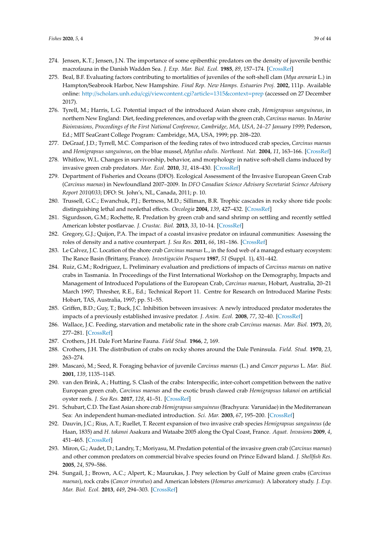- <span id="page-38-19"></span>274. Jensen, K.T.; Jensen, J.N. The importance of some epibenthic predators on the density of juvenile benthic macrofauna in the Danish Wadden Sea. *J. Exp. Mar. Biol. Ecol.* **1985**, *89*, 157–174. [\[CrossRef\]](http://dx.doi.org/10.1016/0022-0981(85)90124-8)
- <span id="page-38-1"></span>275. Beal, B.F. Evaluating factors contributing to mortalities of juveniles of the soft-shell clam (*Mya arenaria* L.) in Hampton/Seabrook Harbor, New Hampshire. *Final Rep. New Hamps. Estuaries Proj.* **2002**, 111p. Available online: http://scholars.unh.edu/cgi/[viewcontent.cgi?article](http://scholars.unh.edu/cgi/viewcontent.cgi?article=1315&context=prep)=1315&context=prep (accessed on 27 December 2017).
- <span id="page-38-18"></span>276. Tyrell, M.; Harris, L.G. Potential impact of the introduced Asian shore crab, *Hemigrapsus sanguineus*, in northern New England: Diet, feeding preferences, and overlap with the green crab, *Carcinus maenas*. In *Marine Bioinvasions, Proceedings of the First National Conference, Cambridge, MA, USA, 24–27 January 1999*; Pederson, Ed.; MIT SeaGrant College Program: Cambridge, MA, USA, 1999; pp. 208–220.
- <span id="page-38-20"></span>277. DeGraaf, J.D.; Tyrrell, M.C. Comparison of the feeding rates of two introduced crab species, *Carcinus maenas* and *Hemigrapsus sanguineus*, on the blue mussel, *Mytilus edulis*. *Northeast. Nat.* **2004**, *11*, 163–166. [\[CrossRef\]](http://dx.doi.org/10.1656/1092-6194(2004)011[0163:COTFRO]2.0.CO;2)
- <span id="page-38-0"></span>278. Whitlow, W.L. Changes in survivorship, behavior, and morphology in native soft-shell clams induced by invasive green crab predators. *Mar. Ecol.* **2010**, *31*, 418–430. [\[CrossRef\]](http://dx.doi.org/10.1111/j.1439-0485.2009.00350.x)
- <span id="page-38-2"></span>279. Department of Fisheries and Oceans (DFO). Ecological Assessment of the Invasive European Green Crab (*Carcinus maenas*) in Newfoundland 2007–2009. In *DFO Canadian Science Advisory Secretariat Science Advisory Report 2010*/*033*; DFO: St. John's, NL, Canada, 2011; p. 10.
- <span id="page-38-3"></span>280. Trussell, G.C.; Ewanchuk, P.J.; Bertness, M.D.; Silliman, B.R. Trophic cascades in rocky shore tide pools: distinguishing lethal and nonlethal effects. *Oecologia* **2004**, *139*, 427–432. [\[CrossRef\]](http://dx.doi.org/10.1007/s00442-004-1512-8)
- <span id="page-38-4"></span>281. Sigurdsson, G.M.; Rochette, R. Predation by green crab and sand shrimp on settling and recently settled American lobster postlarvae. *J. Crustac. Biol.* **2013**, *33*, 10–14. [\[CrossRef\]](http://dx.doi.org/10.1163/1937240X-00002107)
- <span id="page-38-5"></span>282. Gregory, G.J.; Quijon, P.A. The impact of a coastal invasive predator on infaunal communities: Assessing the roles of density and a native counterpart. *J. Sea Res.* **2011**, *66*, 181–186. [\[CrossRef\]](http://dx.doi.org/10.1016/j.seares.2011.05.009)
- <span id="page-38-6"></span>283. Le Calvez, J.C. Location of the shore crab *Carcinus maenas* L., in the food web of a managed estuary ecosystem: The Rance Basin (Brittany, France). *Investigación Pesquera* **1987**, *51* (Suppl. 1), 431–442.
- <span id="page-38-7"></span>284. Ruiz, G.M.; Rodriguez, L. Preliminary evaluation and predictions of impacts of *Carcinus maenas* on native crabs in Tasmania. In Proceedings of the First International Workshop on the Demography, Impacts and Management of Introduced Populations of the European Crab, *Carcinus maenas*, Hobart, Australia, 20–21 March 1997; Thresher, R.E., Ed.; Technical Report 11. Centre for Research on Introduced Marine Pests: Hobart, TAS, Australia, 1997; pp. 51–55.
- <span id="page-38-8"></span>285. Griffen, B.D.; Guy, T.; Buck, J.C. Inhibition between invasives: A newly introduced predator moderates the impacts of a previously established invasive predator. *J. Anim. Ecol.* **2008**, *77*, 32–40. [\[CrossRef\]](http://dx.doi.org/10.1111/j.1365-2656.2007.01304.x)
- <span id="page-38-9"></span>286. Wallace, J.C. Feeding, starvation and metabolic rate in the shore crab *Carcinus maenas*. *Mar. Biol.* **1973**, *20*, 277–281. [\[CrossRef\]](http://dx.doi.org/10.1007/BF00354271)
- <span id="page-38-10"></span>287. Crothers, J.H. Dale Fort Marine Fauna. *Field Stud.* **1966**, *2*, 169.
- <span id="page-38-11"></span>288. Crothers, J.H. The distribution of crabs on rocky shores around the Dale Peninsula. *Field. Stud.* **1970**, *23*, 263–274.
- <span id="page-38-12"></span>289. Mascaró, M.; Seed, R. Foraging behavior of juvenile *Carcinus maenas* (L.) and *Cancer pagurus* L. *Mar. Biol.* **2001**, *139*, 1135–1145.
- <span id="page-38-13"></span>290. van den Brink, A.; Hutting, S. Clash of the crabs: Interspecific, inter-cohort competition between the native European green crab, *Carcinus maenas* and the exotic brush clawed crab *Hemigrapsus takanoi* on artificial oyster reefs. *J. Sea Res.* **2017**, *128*, 41–51. [\[CrossRef\]](http://dx.doi.org/10.1016/j.seares.2017.08.002)
- <span id="page-38-14"></span>291. Schubart, C.D. The East Asian shore crab *Hemigrapsus sanguineus*(Brachyura: Varunidae) in the Mediterranean Sea: An independent human-mediated introduction. *Sci. Mar.* **2003**, *67*, 195–200. [\[CrossRef\]](http://dx.doi.org/10.3989/scimar.2003.67n2195)
- <span id="page-38-15"></span>292. Dauvin, J.C.; Rius, A.T.; Ruellet, T. Recent expansion of two invasive crab species *Hemigrapsus sanguineus* (de Haan, 1835) and *H. takanoi* Asakura and Wataabe 2005 along the Opal Coast, France. *Aquat. Invasions* **2009**, *4*, 451–465. [\[CrossRef\]](http://dx.doi.org/10.3391/ai.2009.4.3.3)
- <span id="page-38-16"></span>293. Miron, G.; Audet, D.; Landry, T.; Moriyasu, M. Predation potential of the invasive green crab (*Carcinus maenas*) and other common predators on commercial bivalve species found on Prince Edward Island. *J. Shellfish Res.* **2005**, *24*, 579–586.
- <span id="page-38-17"></span>294. Sungail, J.; Brown, A.C.; Alpert, K.; Maurukas, J. Prey selection by Gulf of Maine green crabs (*Carcinus maenas*), rock crabs (*Cancer irroratus*) and American lobsters (*Homarus americanus*): A laboratory study. *J. Exp. Mar. Biol. Ecol.* **2013**, *449*, 294–303. [\[CrossRef\]](http://dx.doi.org/10.1016/j.jembe.2013.09.021)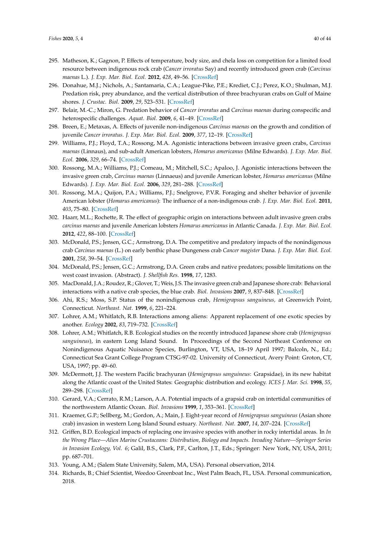- <span id="page-39-0"></span>295. Matheson, K.; Gagnon, P. Effects of temperature, body size, and chela loss on competition for a limited food resource between indigenous rock crab (*Cancer irroratus* Say) and recently introduced green crab (*Carcinus maenas* L.). *J. Exp. Mar. Biol. Ecol.* **2012**, *428*, 49–56. [\[CrossRef\]](http://dx.doi.org/10.1016/j.jembe.2012.06.003)
- <span id="page-39-1"></span>296. Donahue, M.J.; Nichols, A.; Santamaria, C.A.; League-Pike, P.E.; Krediet, C.J.; Perez, K.O.; Shulman, M.J. Predation risk, prey abundance, and the vertical distribution of three brachyuran crabs on Gulf of Maine shores. *J. Crustac. Biol.* **2009**, *29*, 523–531. [\[CrossRef\]](http://dx.doi.org/10.1651/08-3061.1)
- <span id="page-39-2"></span>297. Belair, M.-C.; Miron, G. Predation behavior of *Cancer irroratus* and *Carcinus maenas* during conspecific and heterospecific challenges. *Aquat. Biol.* **2009**, *6*, 41–49. [\[CrossRef\]](http://dx.doi.org/10.3354/ab00166)
- <span id="page-39-3"></span>298. Breen, E.; Metaxas, A. Effects of juvenile non-indigenous *Carcinus maenas* on the growth and condition of juvenile *Cancer irroratus*. *J. Exp. Mar. Biol. Ecol.* **2009**, *377*, 12–19. [\[CrossRef\]](http://dx.doi.org/10.1016/j.jembe.2009.06.007)
- <span id="page-39-4"></span>299. Williams, P.J.; Floyd, T.A.; Rossong, M.A. Agonistic interactions between invasive green crabs, *Carcinus maenas* (Linnaus), and sub-adult American lobsters, *Homarus americanus* (Milne Edwards). *J. Exp. Mar. Biol. Ecol.* **2006**, *329*, 66–74. [\[CrossRef\]](http://dx.doi.org/10.1016/j.jembe.2005.08.008)
- <span id="page-39-5"></span>300. Rossong, M.A.; Williams, P.J.; Comeau, M.; Mitchell, S.C.; Apaloo, J. Agonistic interactions between the invasive green crab, *Carcinus maenas* (Linnaeus) and juvenile American lobster, *Homarus americanus* (Milne Edwards). *J. Exp. Mar. Biol. Ecol.* **2006**, *329*, 281–288. [\[CrossRef\]](http://dx.doi.org/10.1016/j.jembe.2005.09.007)
- <span id="page-39-6"></span>301. Rossong, M.A.; Quijon, P.A.; Williams, P.J.; Snelgrove, P.V.R. Foraging and shelter behavior of juvenile American lobster (*Homarus americanus*): The influence of a non-indigenous crab. *J. Exp. Mar. Biol. Ecol.* **2011**, *403*, 75–80. [\[CrossRef\]](http://dx.doi.org/10.1016/j.jembe.2011.04.008)
- <span id="page-39-7"></span>302. Haarr, M.L.; Rochette, R. The effect of geographic origin on interactions between adult invasive green crabs *carcinus maenas* and juvenile American lobsters *Homarus americanus* in Atlantic Canada. *J. Exp. Mar. Biol. Ecol.* **2012**, *422*, 88–100. [\[CrossRef\]](http://dx.doi.org/10.1016/j.jembe.2012.04.016)
- <span id="page-39-8"></span>303. McDonald, P.S.; Jensen, G.C.; Armstrong, D.A. The competitive and predatory impacts of the nonindigenous crab *Carcinus maenas* (L.) on early benthic phase Dungeness crab *Cancer magister* Dana. *J. Exp. Mar. Biol. Ecol.* **2001**, *258*, 39–54. [\[CrossRef\]](http://dx.doi.org/10.1016/S0022-0981(00)00344-0)
- <span id="page-39-9"></span>304. McDonald, P.S.; Jensen, G.C.; Armstrong, D.A. Green crabs and native predators; possible limitations on the west coast invasion. (Abstract). *J. Shellfish Res.* **1998**, *17*, 1283.
- 305. MacDonald, J.A.; Roudez, R.; Glover, T.; Weis, J.S. The invasive green crab and Japanese shore crab: Behavioral interactions with a native crab species, the blue crab. *Biol. Invasions* **2007**, *9*, 837–848. [\[CrossRef\]](http://dx.doi.org/10.1007/s10530-006-9085-6)
- <span id="page-39-10"></span>306. Ahi, R.S.; Moss, S.P. Status of the nonindigenous crab, *Hemigrapsus sanguineus,* at Greenwich Point, Connecticut. *Northeast. Nat.* **1999**, *6*, 221–224.
- 307. Lohrer, A.M.; Whitlatch, R.B. Interactions among aliens: Apparent replacement of one exotic species by another. *Ecology* **2002**, *83*, 719–732. [\[CrossRef\]](http://dx.doi.org/10.1890/0012-9658(2002)083[0719:IAAARO]2.0.CO;2)
- <span id="page-39-15"></span>308. Lohrer, A.M.; Whitlatch, R.B. Ecological studies on the recently introduced Japanese shore crab (*Hemigrapsus sanguineus*), in eastern Long Island Sound. In Proceedings of the Second Northeast Conference on Nonindigenous Aquatic Nuisance Species, Burlington, VT, USA, 18–19 April 1997; Balcoln, N., Ed.; Connecticut Sea Grant College Program CTSG-97-02. University of Connecticut, Avery Point: Groton, CT, USA, 1997; pp. 49–60.
- 309. McDermott, J.J. The western Pacific brachyuran (*Hemigrapsus sanguineus*: Grapsidae), in its new habitat along the Atlantic coast of the United States: Geographic distribution and ecology. *ICES J. Mar. Sci.* **1998**, *55*, 289–298. [\[CrossRef\]](http://dx.doi.org/10.1006/jmsc.1997.0273)
- <span id="page-39-14"></span>310. Gerard, V.A.; Cerrato, R.M.; Larson, A.A. Potential impacts of a grapsid crab on intertidal communities of the northwestern Atlantic Ocean. *Biol. Invasions* **1999**, *1*, 353–361. [\[CrossRef\]](http://dx.doi.org/10.1023/A:1010093329077)
- 311. Kraemer, G.P.; Sellberg, M.; Gordon, A.; Main, J. Eight-year record of *Hemigrapsus sanguineus* (Asian shore crab) invasion in western Long Island Sound estuary. *Northeast. Nat.* **2007**, *14*, 207–224. [\[CrossRef\]](http://dx.doi.org/10.1656/1092-6194(2007)14[207:EROHSA]2.0.CO;2)
- <span id="page-39-11"></span>312. Griffen, B.D. Ecological impacts of replacing one invasive species with another in rocky intertidal areas. In *In the Wrong Place—Alien Marine Crustaceans: Distribution, Biology and Impacts. Invading Nature—Springer Series in Invasion Ecology, Vol. 6*; Galil, B.S., Clark, P.F., Carlton, J.T., Eds.; Springer: New York, NY, USA, 2011; pp. 687–701.
- <span id="page-39-12"></span>313. Young, A.M.; (Salem State University, Salem, MA, USA). Personal observation, 2014.
- <span id="page-39-13"></span>314. Richards, B.; Chief Scientist, Weedoo Greenboat Inc., West Palm Beach, FL, USA. Personal communication, 2018.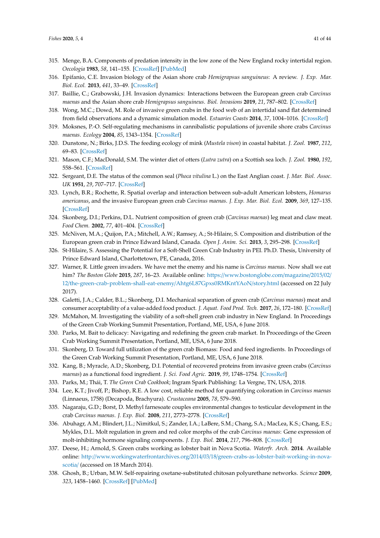- <span id="page-40-0"></span>315. Menge, B.A. Components of predation intensity in the low zone of the New England rocky intertidal region. *Oecologia* **1983**, *58*, 141–155. [\[CrossRef\]](http://dx.doi.org/10.1007/BF00399210) [\[PubMed\]](http://www.ncbi.nlm.nih.gov/pubmed/28310571)
- <span id="page-40-1"></span>316. Epifanio, C.E. Invasion biology of the Asian shore crab *Hemigrapsus sanguineus*: A review. *J. Exp. Mar. Biol. Ecol.* **2013**, *441*, 33–49. [\[CrossRef\]](http://dx.doi.org/10.1016/j.jembe.2013.01.010)
- <span id="page-40-2"></span>317. Baillie, C.; Grabowski, J.H. Invasion dynamics: Interactions between the European green crab *Carcinus maenas* and the Asian shore crab *Hemigrapsus sanguineus*. *Biol. Invasions* **2019**, *21*, 787–802. [\[CrossRef\]](http://dx.doi.org/10.1007/s10530-018-1858-1)
- <span id="page-40-3"></span>318. Wong, M.C.; Dowd, M. Role of invasive green crabs in the food web of an intertidal sand flat determined from field observations and a dynamic simulation model. *Estuaries Coasts* **2014**, *37*, 1004–1016. [\[CrossRef\]](http://dx.doi.org/10.1007/s12237-013-9728-7)
- <span id="page-40-4"></span>319. Moksnes, P.-O. Self-regulating mechanisms in cannibalistic populations of juvenile shore crabs *Carcinus maenas*. *Ecology* **2004**, *85*, 1343–1354. [\[CrossRef\]](http://dx.doi.org/10.1890/02-0750)
- <span id="page-40-5"></span>320. Dunstone, N.; Birks, J.D.S. The feeding ecology of mink (*Mustela vison*) in coastal habitat. *J. Zool.* **1987**, *212*, 69–83. [\[CrossRef\]](http://dx.doi.org/10.1111/j.1469-7998.1987.tb05115.x)
- <span id="page-40-6"></span>321. Mason, C.F.; MacDonald, S.M. The winter diet of otters (*Lutra zutra*) on a Scottish sea loch. *J. Zool.* **1980**, *192*, 558–561. [\[CrossRef\]](http://dx.doi.org/10.1111/j.1469-7998.1980.tb04254.x)
- <span id="page-40-7"></span>322. Sergeant, D.E. The status of the common seal (*Phoca vitulina* L.) on the East Anglian coast. *J. Mar. Biol. Assoc. UK* **1951**, *29*, 707–717. [\[CrossRef\]](http://dx.doi.org/10.1017/S0025315400052887)
- <span id="page-40-8"></span>323. Lynch, B.R.; Rochette, R. Spatial overlap and interaction between sub-adult American lobsters, *Homarus americanus*, and the invasive European green crab *Carcinus maenas*. *J. Exp. Mar. Biol. Ecol.* **2009**, *369*, 127–135. [\[CrossRef\]](http://dx.doi.org/10.1016/j.jembe.2008.11.002)
- <span id="page-40-9"></span>324. Skonberg, D.I.; Perkins, D.L. Nutrient composition of green crab (*Carcinus maenas*) leg meat and claw meat. *Food Chem.* **2002**, *77*, 401–404. [\[CrossRef\]](http://dx.doi.org/10.1016/S0308-8146(01)00364-8)
- <span id="page-40-10"></span>325. McNiven, M.A.; Quijon, P.A.; Mitchell, A.W.; Ramsey, A.; St-Hilaire, S. Composition and distribution of the European green crab in Prince Edward Island, Canada. *Open J. Anim. Sci.* **2013**, *3*, 295–298. [\[CrossRef\]](http://dx.doi.org/10.4236/ojas.2013.34043)
- <span id="page-40-11"></span>326. St-Hilaire, S. Assessing the Potential for a Soft-Shell Green Crab Industry in PEI. Ph.D. Thesis, University of Prince Edward Island, Charlottetown, PE, Canada, 2016.
- <span id="page-40-17"></span>327. Warner, R. Little green invaders. We have met the enemy and his name is *Carcinus maenas*. Now shall we eat him? *The Boston Globe* **2015**, *287*, 16–23. Available online: https://[www.bostonglobe.com](https://www.bostonglobe.com/magazine/2015/02/12/the-green-crab-problem-shall-eat-enemy/Ahtg6L87Gpxs0RMKntYAoN/story.html)/magazine/2015/02/ 12/[the-green-crab-problem-shall-eat-enemy](https://www.bostonglobe.com/magazine/2015/02/12/the-green-crab-problem-shall-eat-enemy/Ahtg6L87Gpxs0RMKntYAoN/story.html)/Ahtg6L87Gpxs0RMKntYAoN/story.html (accessed on 22 July 2017).
- 328. Galetti, J.A.; Calder, B.L.; Skonberg, D.I. Mechanical separation of green crab (*Carcinus maenas*) meat and consumer acceptability of a value-added food product. *J. Aquat. Food Prod. Tech.* **2017**, *26*, 172–180. [\[CrossRef\]](http://dx.doi.org/10.1080/10498850.2015.1126663)
- 329. McMahon, M. Investigating the viability of a soft-shell green crab industry in New England. In Proceedings of the Green Crab Working Summit Presentation, Portland, ME, USA, 6 June 2018.
- 330. Parks, M. Bait to delicacy: Navigating and redefining the green crab market. In Proceedings of the Green Crab Working Summit Presentation, Portland, ME, USA, 6 June 2018.
- <span id="page-40-12"></span>331. Skonberg, D. Toward full utilization of the green crab Biomass: Food and feed ingredients. In Proceedings of the Green Crab Working Summit Presentation, Portland, ME, USA, 6 June 2018.
- <span id="page-40-13"></span>332. Kang, B.; Myracle, A.D.; Skonberg, D.I. Potential of recovered proteins from invasive green crabs (*Carcinus maenas*) as a functional food ingredient. *J. Sci. Food Agric.* **2019**, *99*, 1748–1754. [\[CrossRef\]](http://dx.doi.org/10.1002/jsfa.9364)
- <span id="page-40-14"></span>333. Parks, M.; Thái, T. *The Green Crab Cookbook*; Ingram Spark Publishing: La Vergne, TN, USA, 2018.
- 334. Lee, K.T.; Jivoff, P.; Bishop, R.E. A low cost, reliable method for quantifying coloration in *Carcinus maenas* (Linnaeus, 1758) (Decapoda, Brachyura). *Crustaceana* **2005**, *78*, 579–590.
- <span id="page-40-15"></span>335. Nagaraju, G.D.; Borst, D. Methyl farnesoate couples environmental changes to testicular development in the crab *Carcinus maenas*. *J. Exp. Biol.* **2008**, *211*, 2773–2778. [\[CrossRef\]](http://dx.doi.org/10.1242/jeb.019133)
- <span id="page-40-16"></span>336. Abuhagr, A.M.; Blindert, J.L.; Nimitkul, S.; Zander, I.A.; LaBere, S.M.; Chang, S.A.; MacLea, K.S.; Chang, E.S.; Mykles, D.L. Molt regulation in green and red color morphs of the crab *Carcinus maenas*: Gene expression of molt-inhibiting hormone signaling components. *J. Exp. Biol.* **2014**, *217*, 796–808. [\[CrossRef\]](http://dx.doi.org/10.1242/jeb.093385)
- <span id="page-40-18"></span>337. Deese, H.; Arnold, S. Green crabs working as lobster bait in Nova Scotia. *Waterfr. Arch.* **2014**. Available online: http://www.workingwaterfrontarchives.org/2014/03/18/[green-crabs-as-lobster-bait-working-in-nova](http://www.workingwaterfrontarchives.org/2014/03/18/green-crabs-as-lobster-bait-working-in-nova-scotia/)[scotia](http://www.workingwaterfrontarchives.org/2014/03/18/green-crabs-as-lobster-bait-working-in-nova-scotia/)/ (accessed on 18 March 2014).
- <span id="page-40-19"></span>338. Ghosh, B.; Urban, M.W. Self-repairing oxetane-substituted chitosan polyurethane networks. *Science* **2009**, *323*, 1458–1460. [\[CrossRef\]](http://dx.doi.org/10.1126/science.1167391) [\[PubMed\]](http://www.ncbi.nlm.nih.gov/pubmed/19286550)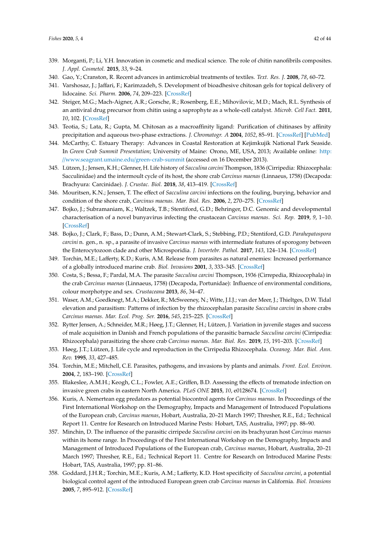- <span id="page-41-0"></span>339. Morganti, P.; Li, Y.H. Innovation in cosmetic and medical science. The role of chitin nanofibrils composites. *J. Appl. Cosmetol.* **2015**, *33*, 9–24.
- <span id="page-41-1"></span>340. Gao, Y.; Cranston, R. Recent advances in antimicrobial treatments of textiles. *Text. Res. J.* **2008**, *78*, 60–72.
- <span id="page-41-2"></span>341. Varshosaz, J.; Jaffari, F.; Karimzadeh, S. Development of bioadhesive chitosan gels for topical delivery of lidocaine. *Sci. Pharm.* **2006**, *74*, 209–223. [\[CrossRef\]](http://dx.doi.org/10.3797/scipharm.2006.74.209)
- <span id="page-41-3"></span>342. Steiger, M.G.; Mach-Aigner, A.R.; Gorsche, R.; Rosenberg, E.E.; Mihovilovic, M.D.; Mach, R.L. Synthesis of an antiviral drug precursor from chitin using a saprophyte as a whole-cell catalyst. *Microb. Cell Fact.* **2011**, *10*, 102. [\[CrossRef\]](http://dx.doi.org/10.1186/1475-2859-10-102)
- <span id="page-41-4"></span>343. Teotia, S.; Lata, R.; Gupta, M. Chitosan as a macroaffinity ligand: Purification of chitinases by affinity precipitation and aqueous two-phase extractions. *J. Chromatogr. A* **2004**, *1052*, 85–91. [\[CrossRef\]](http://dx.doi.org/10.1016/j.chroma.2004.08.096) [\[PubMed\]](http://www.ncbi.nlm.nih.gov/pubmed/15527124)
- <span id="page-41-5"></span>344. McCarthy, C. Estuary Therapy: Advances in Coastal Restoration at Kejimkujik National Park Seaside. In *Green Crab Summit Presentation*; University of Maine: Orono, ME, USA, 2013; Available online: [http:](http://www.seagrant.umaine.edu/green-crab-summit) //[www.seagrant.umaine.edu](http://www.seagrant.umaine.edu/green-crab-summit)/green-crab-summit (accessed on 16 December 2013).
- <span id="page-41-6"></span>345. Lützen, J.; Jensen, K.H.; Glenner, H. Life history of *Sacculina carcini* Thompson, 1836 (Cirripedia: Rhizocephala: Sacculinidae) and the intermoult cycle of its host, the shore crab *Carcinus maenas* (Linnaeus, 1758) (Decapoda: Brachyura: Carcinidae). *J. Crustac. Biol.* **2018**, *38*, 413–419. [\[CrossRef\]](http://dx.doi.org/10.1093/jcbiol/ruy044)
- <span id="page-41-7"></span>346. Mouritsen, K.N.; Jensen, T. The effect of *Sacculina carcini* infections on the fouling, burying, behavior and condition of the shore crab, *Carcinus maenas*. *Mar. Biol. Res.* **2006**, *2*, 270–275. [\[CrossRef\]](http://dx.doi.org/10.1080/17451000600874752)
- <span id="page-41-8"></span>347. Bojko, J.; Subramaniam, K.; Waltzek, T.B.; Stentiford, G.D.; Behringer, D.C. Genomic and developmental characterisation of a novel bunyavirus infecting the crustacean *Carcinus maenas*. *Sci. Rep.* **2019**, *9*, 1–10. [\[CrossRef\]](http://dx.doi.org/10.1038/s41598-019-49260-4)
- <span id="page-41-9"></span>348. Bojko, J.; Clark, F.; Bass, D.; Dunn, A.M.; Stewart-Clark, S.; Stebbing, P.D.; Stentiford, G.D. *Parahepatospora carcini* n. gen., n. sp., a parasite of invasive *Carcinus maenas* with intermediate features of sporogony between the Enterocytozoon clade and other Microsporidia. *J. Invertebr. Pathol.* **2017**, *143*, 124–134. [\[CrossRef\]](http://dx.doi.org/10.1016/j.jip.2016.12.006)
- <span id="page-41-10"></span>349. Torchin, M.E.; Lafferty, K.D.; Kuris, A.M. Release from parasites as natural enemies: Increased performance of a globally introduced marine crab. *Biol. Invasions* **2001**, *3*, 333–345. [\[CrossRef\]](http://dx.doi.org/10.1023/A:1015855019360)
- <span id="page-41-11"></span>350. Costa, S.; Bessa, F.; Pardal, M.A. The parasite *Sacculina carcini* Thompson, 1936 (Cirrepedia, Rhizocephala) in the crab *Carcinus maenas* (Linnaeus, 1758) (Decapoda, Portunidae): Influence of environmental conditions, colour morphotype and sex. *Crustaceana* **2013**, *86*, 34–47.
- <span id="page-41-12"></span>351. Waser, A.M.; Goedknegt, M.A.; Dekker, R.; McSweeney, N.; Witte, J.I.J.; van der Meer, J.; Thieltges, D.W. Tidal elevation and parasitism: Patterns of infection by the rhizocephalan parasite *Sacculina carcini* in shore crabs *Carcinus maenas*. *Mar. Ecol. Prog. Ser.* **2016**, *545*, 215–225. [\[CrossRef\]](http://dx.doi.org/10.3354/meps11594)
- <span id="page-41-13"></span>352. Rytter Jensen, A.; Schneider, M.R.; Høeg, J.T.; Glenner, H.; Lützen, J. Variation in juvenile stages and success of male acquisition in Danish and French populations of the parasitic barnacle *Sacculina carcini* (Cirripedia: Rhizocephala) parasitizing the shore crab *Carcinus maenas*. *Mar. Biol. Res.* **2019**, *15*, 191–203. [\[CrossRef\]](http://dx.doi.org/10.1080/17451000.2019.1612071)
- <span id="page-41-14"></span>353. Høeg, J.T.; Lützen, J. Life cycle and reproduction in the Cirripedia Rhizocephala. *Oceanog. Mar. Biol. Ann. Rev.* **1995**, *33*, 427–485.
- <span id="page-41-15"></span>354. Torchin, M.E.; Mitchell, C.E. Parasites, pathogens, and invasions by plants and animals. *Front. Ecol. Environ.* **2004**, *2*, 183–190. [\[CrossRef\]](http://dx.doi.org/10.1890/1540-9295(2004)002[0183:PPAIBP]2.0.CO;2)
- <span id="page-41-16"></span>355. Blakeslee, A.M.H.; Keogh, C.L.; Fowler, A.E.; Griffen, B.D. Assessing the effects of trematode infection on invasive green crabs in eastern North America. *PLoS ONE* **2015**, *10*, e0128674. [\[CrossRef\]](http://dx.doi.org/10.1371/journal.pone.0128674)
- <span id="page-41-17"></span>356. Kuris, A. Nemertean egg predators as potential biocontrol agents for *Carcinus maenas*. In Proceedings of the First International Workshop on the Demography, Impacts and Management of Introduced Populations of the European crab, *Carcinus maenas*, Hobart, Australia, 20–21 March 1997; Thresher, R.E., Ed.; Technical Report 11. Centre for Research on Introduced Marine Pests: Hobart, TAS, Australia, 1997; pp. 88–90.
- <span id="page-41-18"></span>357. Minchin, D. The influence of the parasitic cirripede *Sacculina carcini* on its brachyuran host *Carcinus maenas* within its home range. In Proceedings of the First International Workshop on the Demography, Impacts and Management of Introduced Populations of the European crab, *Carcinus maenas*, Hobart, Australia, 20–21 March 1997; Thresher, R.E., Ed.; Technical Report 11. Centre for Research on Introduced Marine Pests: Hobart, TAS, Australia, 1997; pp. 81–86.
- <span id="page-41-19"></span>358. Goddard, J.H.R.; Torchin, M.E.; Kuris, A.M.; Lafferty, K.D. Host specificity of *Sacculina carcini*, a potential biological control agent of the introduced European green crab *Carcinus maenas* in California. *Biol. Invasions* **2005**, *7*, 895–912. [\[CrossRef\]](http://dx.doi.org/10.1007/s10530-003-2981-0)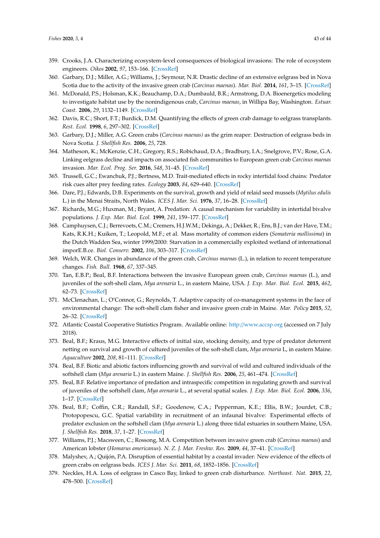- <span id="page-42-0"></span>359. Crooks, J.A. Characterizing ecosystem-level consequences of biological invasions: The role of ecosystem engineers. *Oikos* **2002**, *97*, 153–166. [\[CrossRef\]](http://dx.doi.org/10.1034/j.1600-0706.2002.970201.x)
- <span id="page-42-1"></span>360. Garbary, D.J.; Miller, A.G.; Williams, J.; Seymour, N.R. Drastic decline of an extensive eelgrass bed in Nova Scotia due to the activity of the invasive green crab (*Carcinus maenas*). *Mar. Biol.* **2014**, *161*, 3–15. [\[CrossRef\]](http://dx.doi.org/10.1007/s00227-013-2323-4)
- <span id="page-42-2"></span>361. McDonald, P.S.; Holsman, K.K.; Beauchamp, D.A.; Dumbauld, B.R.; Armstrong, D.A. Bioenergetics modeling to investigate habitat use by the nonindigenous crab, *Carcinus maenas*, in Willipa Bay, Washington. *Estuar. Coast.* **2006**, *29*, 1132–1149. [\[CrossRef\]](http://dx.doi.org/10.1007/BF02781815)
- 362. Davis, R.C.; Short, F.T.; Burdick, D.M. Quantifying the effects of green crab damage to eelgrass transplants. *Rest. Ecol.* **1998**, *6*, 297–302. [\[CrossRef\]](http://dx.doi.org/10.1046/j.1526-100X.1998.00634.x)
- <span id="page-42-3"></span>363. Garbary, D.J.; Miller, A.G. Green crabs (*Carcinus maenas)* as the grim reaper: Destruction of eelgrass beds in Nova Scotia. *J. Shellfish Res.* **2006**, *25*, 728.
- <span id="page-42-4"></span>364. Matheson, K.; McKenzie, C.H.; Gregory, R.S.; Robichaud, D.A.; Bradbury, I.A.; Snelgrove, P.V.; Rose, G.A. Linking eelgrass decline and impacts on associated fish communities to European green crab *Carcinus maenas* invasion. *Mar. Ecol. Prog. Ser.* **2016**, *548*, 31–45. [\[CrossRef\]](http://dx.doi.org/10.3354/meps11674)
- <span id="page-42-5"></span>365. Trussell, G.C.; Ewanchuk, P.J.; Bertness, M.D. Trait-mediated effects in rocky intertidal food chains: Predator risk cues alter prey feeding rates. *Ecology* **2003**, *84*, 629–640. [\[CrossRef\]](http://dx.doi.org/10.1890/0012-9658(2003)084[0629:TMEIRI]2.0.CO;2)
- <span id="page-42-6"></span>366. Dare, P.J.; Edwards, D.B. Experiments on the survival, growth and yield of relaid seed mussels (*Mytilus edulis* L.) in the Menai Straits, North Wales. *ICES J. Mar. Sci.* **1976**, *37*, 16–28. [\[CrossRef\]](http://dx.doi.org/10.1093/icesjms/37.1.16)
- <span id="page-42-7"></span>367. Richards, M.G.; Huxman, M.; Bryant, A. Predation: A causal mechanism for variability in intertidal bivalve populations. *J. Exp. Mar. Biol. Ecol.* **1999**, *241*, 159–177. [\[CrossRef\]](http://dx.doi.org/10.1016/S0022-0981(99)00075-1)
- <span id="page-42-8"></span>368. Camphuysen, C.J.; Berrevoets, C.M.; Cremers, H.J.W.M.; Dekinga, A.; Dekker, R.; Ens, B.J.; van der Have, T.M.; Kats, R.K.H.; Kuiken, T.; Leopold, M.F.; et al. Mass mortality of common eiders (*Somateria mollissima*) in the Dutch Wadden Sea, winter 1999/2000: Starvation in a commercially exploited wetland of international imporE.B.ce. *Biol. Conserv.* **2002**, *106*, 303–317. [\[CrossRef\]](http://dx.doi.org/10.1016/S0006-3207(01)00256-7)
- <span id="page-42-11"></span>369. Welch, W.R. Changes in abundance of the green crab, *Carcinus maenas* (L.), in relation to recent temperature changes. *Fish. Bull.* **1968**, *67*, 337–345.
- <span id="page-42-9"></span>370. Tan, E.B.P.; Beal, B.F. Interactions between the invasive European green crab, *Carcinus maenas* (L.), and juveniles of the soft-shell clam, *Mya arenaria* L., in eastern Maine, USA. *J. Exp. Mar. Biol. Ecol.* **2015**, *462*, 62–73. [\[CrossRef\]](http://dx.doi.org/10.1016/j.jembe.2014.10.021)
- <span id="page-42-10"></span>371. McClenachan, L.; O'Connor, G.; Reynolds, T. Adaptive capacity of co-management systems in the face of environmental change: The soft-shell clam fisher and invasive green crab in Maine. *Mar. Policy* **2015**, *52*, 26–32. [\[CrossRef\]](http://dx.doi.org/10.1016/j.marpol.2014.10.023)
- <span id="page-42-12"></span>372. Atlantic Coastal Cooperative Statistics Program. Available online: http://[www.accsp.org](http://www.accsp.org) (accessed on 7 July 2018).
- 373. Beal, B.F.; Kraus, M.G. Interactive effects of initial size, stocking density, and type of predator deterrent netting on survival and growth of cultured juveniles of the soft-shell clam, *Mya arenaria* L, in eastern Maine. *Aquaculture* **2002**, *208*, 81–111. [\[CrossRef\]](http://dx.doi.org/10.1016/S0044-8486(01)00900-0)
- 374. Beal, B.F. Biotic and abiotic factors influencing growth and survival of wild and cultured individuals of the softshell clam (*Mya arenaria* L.) in eastern Maine. *J. Shellfish Res.* **2006**, *25*, 461–474. [\[CrossRef\]](http://dx.doi.org/10.2983/0730-8000(2006)25[461:BAAFIG]2.0.CO;2)
- <span id="page-42-13"></span>375. Beal, B.F. Relative importance of predation and intraspecific competition in regulating growth and survival of juveniles of the softshell clam, *Mya arenaria* L., at several spatial scales. *J. Exp. Mar. Biol. Ecol.* **2006**, *336*, 1–17. [\[CrossRef\]](http://dx.doi.org/10.1016/j.jembe.2006.04.006)
- <span id="page-42-14"></span>376. Beal, B.F.; Coffin, C.R.; Randall, S.F.; Goodenow, C.A.; Pepperman, K.E.; Ellis, B.W.; Jourdet, C.B.; Protopopescu, G.C. Spatial variability in recruitment of an infaunal bivalve: Experimental effects of predator exclusion on the softshell clam (*Mya arenaria* L.) along three tidal estuaries in southern Maine, USA. *J. Shellfish Res.* **2018**, *37*, 1–27. [\[CrossRef\]](http://dx.doi.org/10.2983/035.037.0101)
- <span id="page-42-15"></span>377. Williams, P.J.; Macsween, C.; Rossong, M.A. Competition between invasive green crab (*Carcinus maenas*) and American lobster (*Homarus americanus*). *N. Z. J. Mar. Freshw. Res.* **2009**, *44*, 37–41. [\[CrossRef\]](http://dx.doi.org/10.1080/00288330909509979)
- 378. Malyshev, A.; Quijón, P.A. Disruption of essential habitat by a coastal invader: New evidence of the effects of green crabs on eelgrass beds. *ICES J. Mar. Sci.* **2011**, *68*, 1852–1856. [\[CrossRef\]](http://dx.doi.org/10.1093/icesjms/fsr126)
- <span id="page-42-16"></span>379. Neckles, H.A. Loss of eelgrass in Casco Bay, linked to green crab disturbance. *Northeast. Nat.* **2015**, *22*, 478–500. [\[CrossRef\]](http://dx.doi.org/10.1656/045.022.0305)